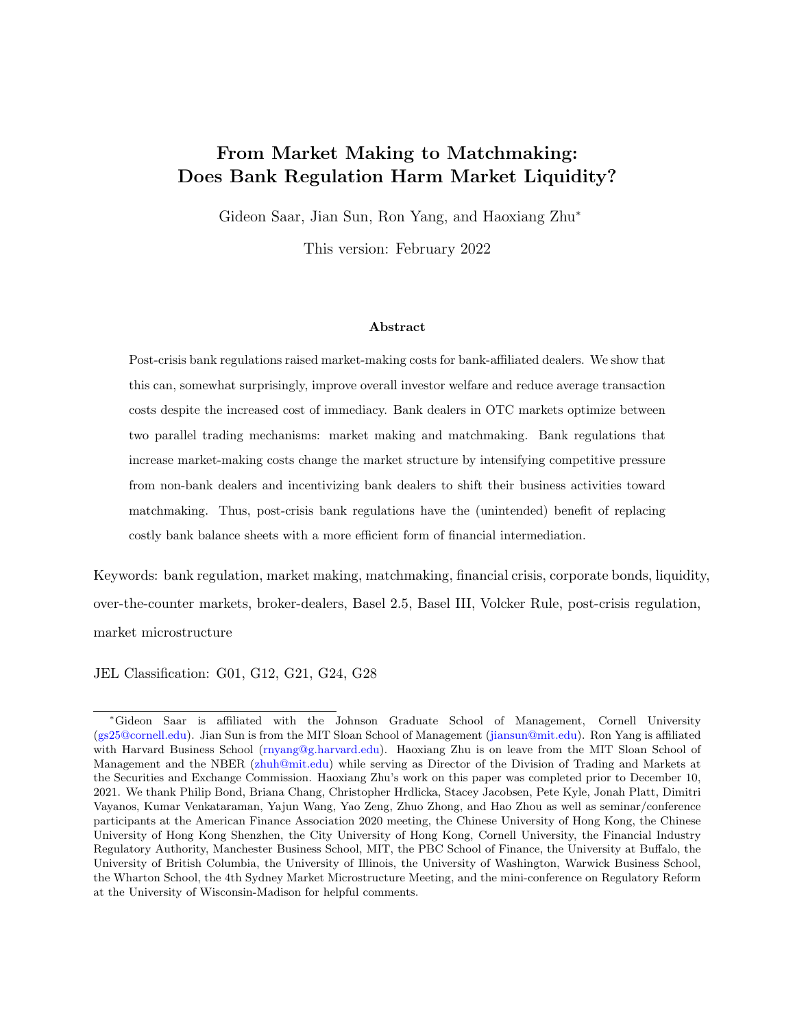# From Market Making to Matchmaking: Does Bank Regulation Harm Market Liquidity?

Gideon Saar, Jian Sun, Ron Yang, and Haoxiang Zhu<sup>∗</sup>

This version: February 2022

#### Abstract

Post-crisis bank regulations raised market-making costs for bank-affiliated dealers. We show that this can, somewhat surprisingly, improve overall investor welfare and reduce average transaction costs despite the increased cost of immediacy. Bank dealers in OTC markets optimize between two parallel trading mechanisms: market making and matchmaking. Bank regulations that increase market-making costs change the market structure by intensifying competitive pressure from non-bank dealers and incentivizing bank dealers to shift their business activities toward matchmaking. Thus, post-crisis bank regulations have the (unintended) benefit of replacing costly bank balance sheets with a more efficient form of financial intermediation.

Keywords: bank regulation, market making, matchmaking, financial crisis, corporate bonds, liquidity, over-the-counter markets, broker-dealers, Basel 2.5, Basel III, Volcker Rule, post-crisis regulation, market microstructure

JEL Classification: G01, G12, G21, G24, G28

<sup>∗</sup>Gideon Saar is affiliated with the Johnson Graduate School of Management, Cornell University [\(gs25@cornell.edu\)](mailto:gs25@cornell.edu). Jian Sun is from the MIT Sloan School of Management [\(jiansun@mit.edu\)](mailto:jiansun@mit.edu). Ron Yang is affiliated with Harvard Business School [\(rnyang@g.harvard.edu\)](mailto:rnyang@g.harvard.edu). Haoxiang Zhu is on leave from the MIT Sloan School of Management and the NBER [\(zhuh@mit.edu\)](mailto:zhuh@mit.edu) while serving as Director of the Division of Trading and Markets at the Securities and Exchange Commission. Haoxiang Zhu's work on this paper was completed prior to December 10, 2021. We thank Philip Bond, Briana Chang, Christopher Hrdlicka, Stacey Jacobsen, Pete Kyle, Jonah Platt, Dimitri Vayanos, Kumar Venkataraman, Yajun Wang, Yao Zeng, Zhuo Zhong, and Hao Zhou as well as seminar/conference participants at the American Finance Association 2020 meeting, the Chinese University of Hong Kong, the Chinese University of Hong Kong Shenzhen, the City University of Hong Kong, Cornell University, the Financial Industry Regulatory Authority, Manchester Business School, MIT, the PBC School of Finance, the University at Buffalo, the University of British Columbia, the University of Illinois, the University of Washington, Warwick Business School, the Wharton School, the 4th Sydney Market Microstructure Meeting, and the mini-conference on Regulatory Reform at the University of Wisconsin-Madison for helpful comments.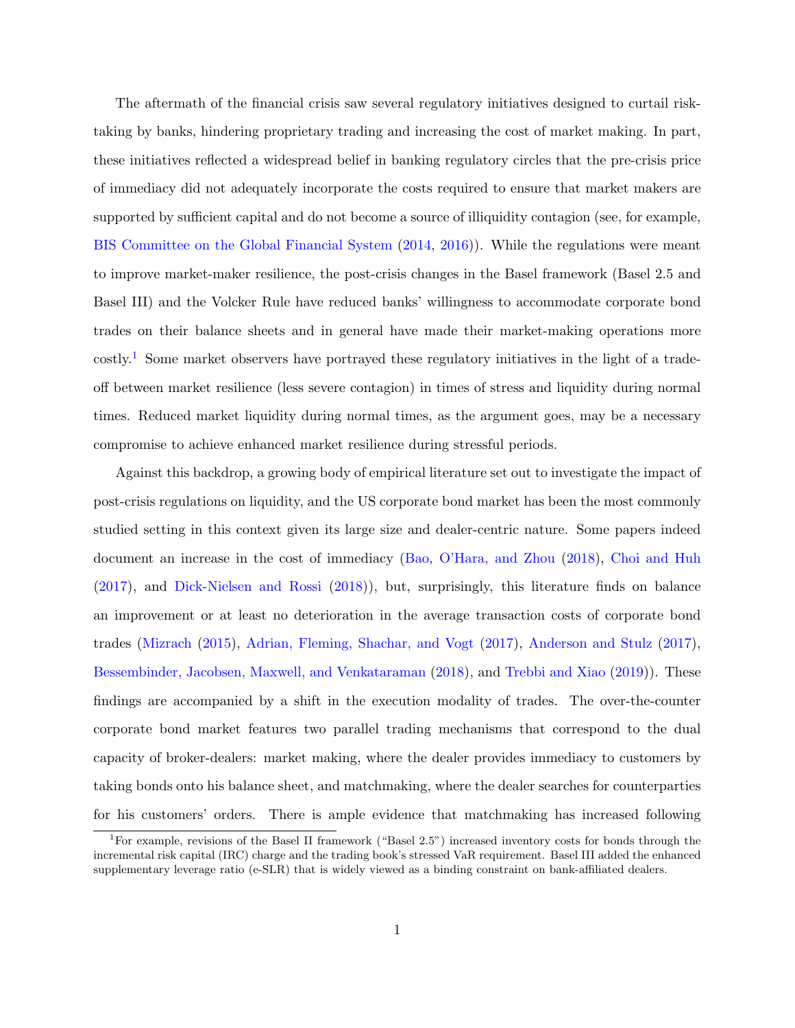The aftermath of the financial crisis saw several regulatory initiatives designed to curtail risktaking by banks, hindering proprietary trading and increasing the cost of market making. In part, these initiatives reflected a widespread belief in banking regulatory circles that the pre-crisis price of immediacy did not adequately incorporate the costs required to ensure that market makers are supported by sufficient capital and do not become a source of illiquidity contagion (see, for example, [BIS Committee on the Global Financial System](#page-62-0) [\(2014,](#page-62-0) [2016\)](#page-62-1)). While the regulations were meant to improve market-maker resilience, the post-crisis changes in the Basel framework (Basel 2.5 and Basel III) and the Volcker Rule have reduced banks' willingness to accommodate corporate bond trades on their balance sheets and in general have made their market-making operations more costly.[1](#page-1-0) Some market observers have portrayed these regulatory initiatives in the light of a tradeoff between market resilience (less severe contagion) in times of stress and liquidity during normal times. Reduced market liquidity during normal times, as the argument goes, may be a necessary compromise to achieve enhanced market resilience during stressful periods.

Against this backdrop, a growing body of empirical literature set out to investigate the impact of post-crisis regulations on liquidity, and the US corporate bond market has been the most commonly studied setting in this context given its large size and dealer-centric nature. Some papers indeed document an increase in the cost of immediacy [\(Bao, O'Hara, and Zhou](#page-62-2) [\(2018\)](#page-62-2), [Choi and Huh](#page-62-3) [\(2017\)](#page-62-3), and [Dick-Nielsen and Rossi](#page-62-4) [\(2018\)](#page-62-4)), but, surprisingly, this literature finds on balance an improvement or at least no deterioration in the average transaction costs of corporate bond trades [\(Mizrach](#page-63-0) [\(2015\)](#page-63-0), [Adrian, Fleming, Shachar, and Vogt](#page-62-5) [\(2017\)](#page-62-5), [Anderson and Stulz](#page-62-6) [\(2017\)](#page-62-6), [Bessembinder, Jacobsen, Maxwell, and Venkataraman](#page-62-7) [\(2018\)](#page-62-7), and [Trebbi and Xiao](#page-63-1) [\(2019\)](#page-63-1)). These findings are accompanied by a shift in the execution modality of trades. The over-the-counter corporate bond market features two parallel trading mechanisms that correspond to the dual capacity of broker-dealers: market making, where the dealer provides immediacy to customers by taking bonds onto his balance sheet, and matchmaking, where the dealer searches for counterparties for his customers' orders. There is ample evidence that matchmaking has increased following

<span id="page-1-0"></span><sup>1</sup>For example, revisions of the Basel II framework ("Basel 2.5") increased inventory costs for bonds through the incremental risk capital (IRC) charge and the trading book's stressed VaR requirement. Basel III added the enhanced supplementary leverage ratio (e-SLR) that is widely viewed as a binding constraint on bank-affiliated dealers.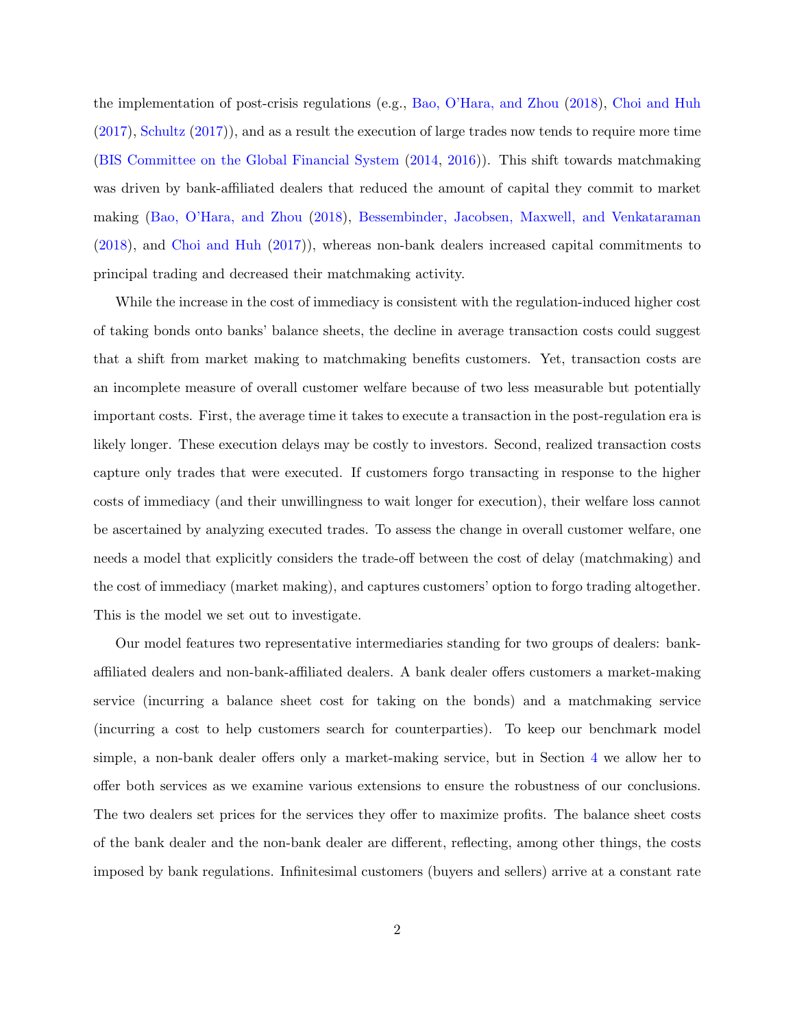the implementation of post-crisis regulations (e.g., [Bao, O'Hara, and Zhou](#page-62-2) [\(2018\)](#page-62-2), [Choi and Huh](#page-62-3) [\(2017\)](#page-62-3), [Schultz](#page-63-2) [\(2017\)](#page-63-2)), and as a result the execution of large trades now tends to require more time [\(BIS Committee on the Global Financial System](#page-62-0) [\(2014,](#page-62-0) [2016\)](#page-62-1)). This shift towards matchmaking was driven by bank-affiliated dealers that reduced the amount of capital they commit to market making [\(Bao, O'Hara, and Zhou](#page-62-2) [\(2018\)](#page-62-2), [Bessembinder, Jacobsen, Maxwell, and Venkataraman](#page-62-7) [\(2018\)](#page-62-7), and [Choi and Huh](#page-62-3) [\(2017\)](#page-62-3)), whereas non-bank dealers increased capital commitments to principal trading and decreased their matchmaking activity.

While the increase in the cost of immediacy is consistent with the regulation-induced higher cost of taking bonds onto banks' balance sheets, the decline in average transaction costs could suggest that a shift from market making to matchmaking benefits customers. Yet, transaction costs are an incomplete measure of overall customer welfare because of two less measurable but potentially important costs. First, the average time it takes to execute a transaction in the post-regulation era is likely longer. These execution delays may be costly to investors. Second, realized transaction costs capture only trades that were executed. If customers forgo transacting in response to the higher costs of immediacy (and their unwillingness to wait longer for execution), their welfare loss cannot be ascertained by analyzing executed trades. To assess the change in overall customer welfare, one needs a model that explicitly considers the trade-off between the cost of delay (matchmaking) and the cost of immediacy (market making), and captures customers' option to forgo trading altogether. This is the model we set out to investigate.

Our model features two representative intermediaries standing for two groups of dealers: bankaffiliated dealers and non-bank-affiliated dealers. A bank dealer offers customers a market-making service (incurring a balance sheet cost for taking on the bonds) and a matchmaking service (incurring a cost to help customers search for counterparties). To keep our benchmark model simple, a non-bank dealer offers only a market-making service, but in Section [4](#page-21-0) we allow her to offer both services as we examine various extensions to ensure the robustness of our conclusions. The two dealers set prices for the services they offer to maximize profits. The balance sheet costs of the bank dealer and the non-bank dealer are different, reflecting, among other things, the costs imposed by bank regulations. Infinitesimal customers (buyers and sellers) arrive at a constant rate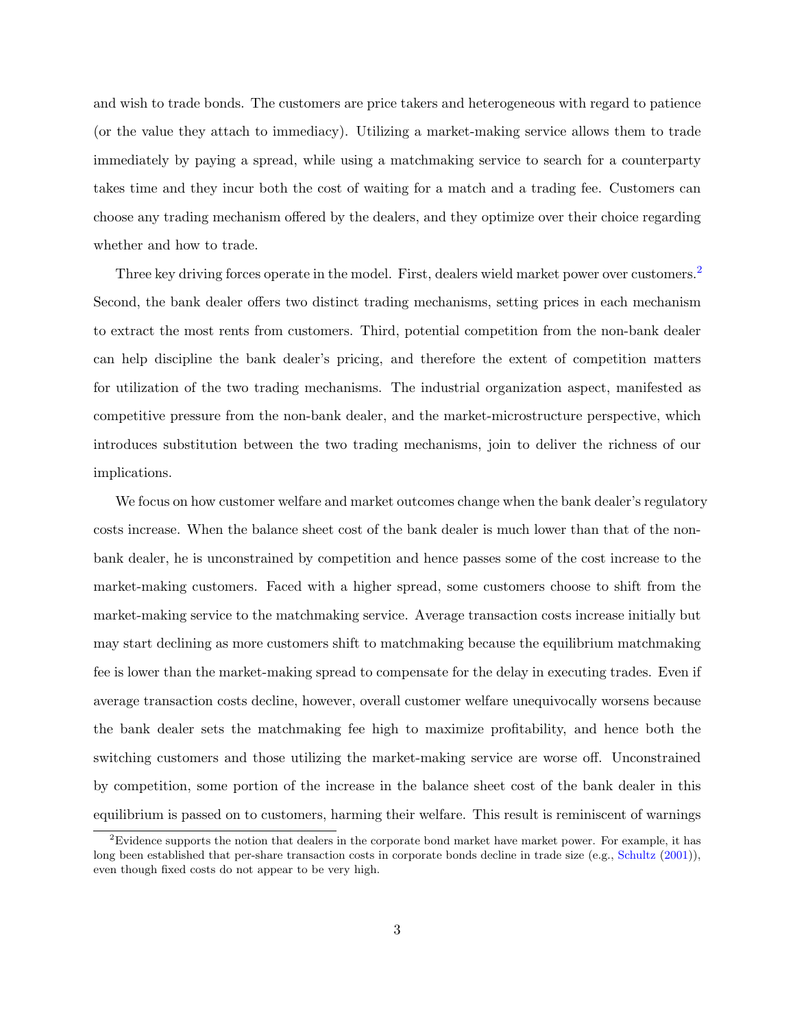and wish to trade bonds. The customers are price takers and heterogeneous with regard to patience (or the value they attach to immediacy). Utilizing a market-making service allows them to trade immediately by paying a spread, while using a matchmaking service to search for a counterparty takes time and they incur both the cost of waiting for a match and a trading fee. Customers can choose any trading mechanism offered by the dealers, and they optimize over their choice regarding whether and how to trade.

Three key driving forces operate in the model. First, dealers wield market power over customers.<sup>[2](#page-3-0)</sup> Second, the bank dealer offers two distinct trading mechanisms, setting prices in each mechanism to extract the most rents from customers. Third, potential competition from the non-bank dealer can help discipline the bank dealer's pricing, and therefore the extent of competition matters for utilization of the two trading mechanisms. The industrial organization aspect, manifested as competitive pressure from the non-bank dealer, and the market-microstructure perspective, which introduces substitution between the two trading mechanisms, join to deliver the richness of our implications.

We focus on how customer welfare and market outcomes change when the bank dealer's regulatory costs increase. When the balance sheet cost of the bank dealer is much lower than that of the nonbank dealer, he is unconstrained by competition and hence passes some of the cost increase to the market-making customers. Faced with a higher spread, some customers choose to shift from the market-making service to the matchmaking service. Average transaction costs increase initially but may start declining as more customers shift to matchmaking because the equilibrium matchmaking fee is lower than the market-making spread to compensate for the delay in executing trades. Even if average transaction costs decline, however, overall customer welfare unequivocally worsens because the bank dealer sets the matchmaking fee high to maximize profitability, and hence both the switching customers and those utilizing the market-making service are worse off. Unconstrained by competition, some portion of the increase in the balance sheet cost of the bank dealer in this equilibrium is passed on to customers, harming their welfare. This result is reminiscent of warnings

<span id="page-3-0"></span><sup>&</sup>lt;sup>2</sup>Evidence supports the notion that dealers in the corporate bond market have market power. For example, it has long been established that per-share transaction costs in corporate bonds decline in trade size (e.g., [Schultz](#page-63-3) [\(2001\)](#page-63-3)), even though fixed costs do not appear to be very high.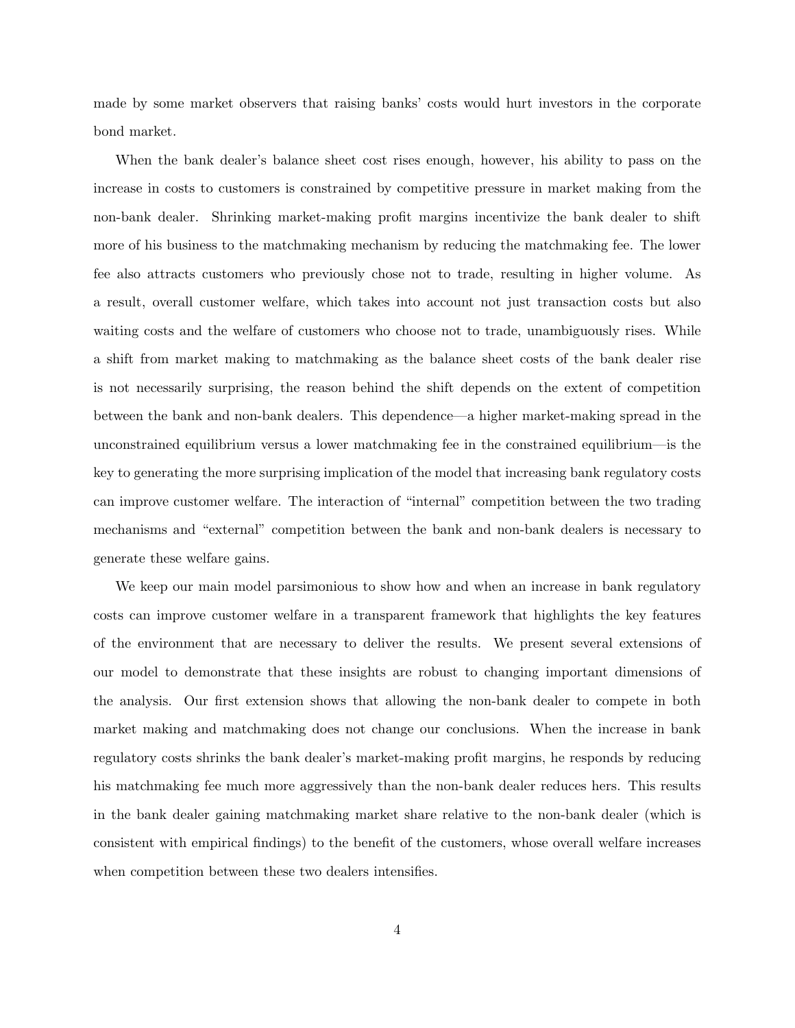made by some market observers that raising banks' costs would hurt investors in the corporate bond market.

When the bank dealer's balance sheet cost rises enough, however, his ability to pass on the increase in costs to customers is constrained by competitive pressure in market making from the non-bank dealer. Shrinking market-making profit margins incentivize the bank dealer to shift more of his business to the matchmaking mechanism by reducing the matchmaking fee. The lower fee also attracts customers who previously chose not to trade, resulting in higher volume. As a result, overall customer welfare, which takes into account not just transaction costs but also waiting costs and the welfare of customers who choose not to trade, unambiguously rises. While a shift from market making to matchmaking as the balance sheet costs of the bank dealer rise is not necessarily surprising, the reason behind the shift depends on the extent of competition between the bank and non-bank dealers. This dependence—a higher market-making spread in the unconstrained equilibrium versus a lower matchmaking fee in the constrained equilibrium—is the key to generating the more surprising implication of the model that increasing bank regulatory costs can improve customer welfare. The interaction of "internal" competition between the two trading mechanisms and "external" competition between the bank and non-bank dealers is necessary to generate these welfare gains.

We keep our main model parsimonious to show how and when an increase in bank regulatory costs can improve customer welfare in a transparent framework that highlights the key features of the environment that are necessary to deliver the results. We present several extensions of our model to demonstrate that these insights are robust to changing important dimensions of the analysis. Our first extension shows that allowing the non-bank dealer to compete in both market making and matchmaking does not change our conclusions. When the increase in bank regulatory costs shrinks the bank dealer's market-making profit margins, he responds by reducing his matchmaking fee much more aggressively than the non-bank dealer reduces hers. This results in the bank dealer gaining matchmaking market share relative to the non-bank dealer (which is consistent with empirical findings) to the benefit of the customers, whose overall welfare increases when competition between these two dealers intensifies.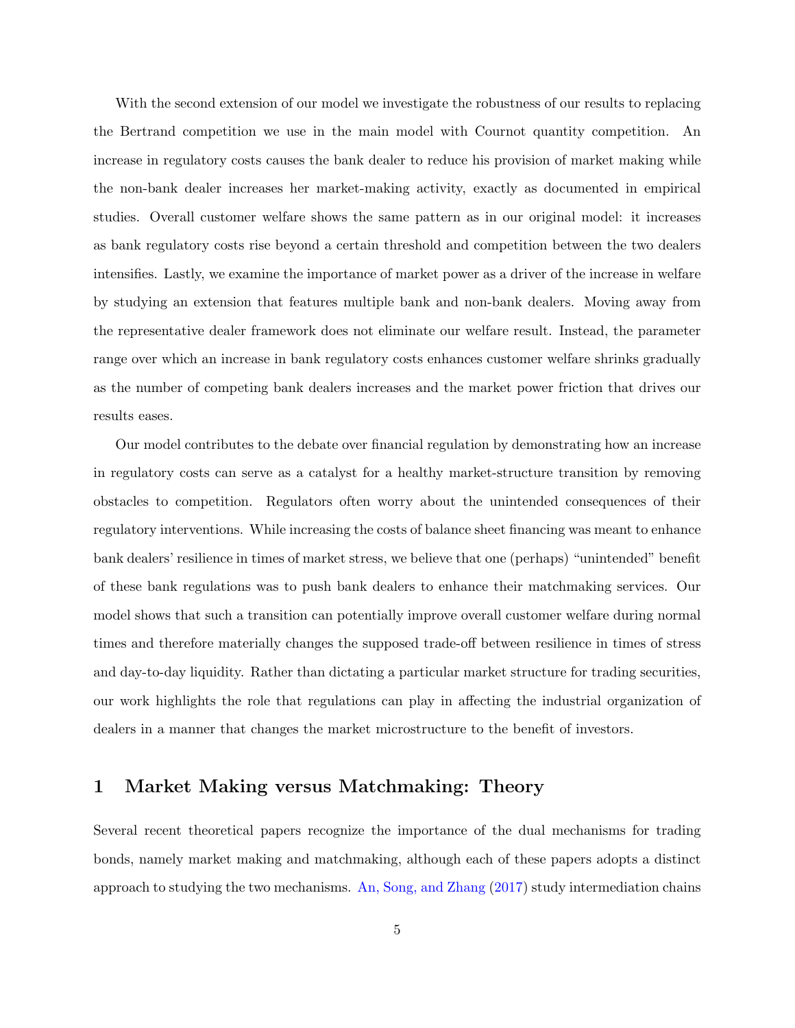With the second extension of our model we investigate the robustness of our results to replacing the Bertrand competition we use in the main model with Cournot quantity competition. An increase in regulatory costs causes the bank dealer to reduce his provision of market making while the non-bank dealer increases her market-making activity, exactly as documented in empirical studies. Overall customer welfare shows the same pattern as in our original model: it increases as bank regulatory costs rise beyond a certain threshold and competition between the two dealers intensifies. Lastly, we examine the importance of market power as a driver of the increase in welfare by studying an extension that features multiple bank and non-bank dealers. Moving away from the representative dealer framework does not eliminate our welfare result. Instead, the parameter range over which an increase in bank regulatory costs enhances customer welfare shrinks gradually as the number of competing bank dealers increases and the market power friction that drives our results eases.

Our model contributes to the debate over financial regulation by demonstrating how an increase in regulatory costs can serve as a catalyst for a healthy market-structure transition by removing obstacles to competition. Regulators often worry about the unintended consequences of their regulatory interventions. While increasing the costs of balance sheet financing was meant to enhance bank dealers' resilience in times of market stress, we believe that one (perhaps) "unintended" benefit of these bank regulations was to push bank dealers to enhance their matchmaking services. Our model shows that such a transition can potentially improve overall customer welfare during normal times and therefore materially changes the supposed trade-off between resilience in times of stress and day-to-day liquidity. Rather than dictating a particular market structure for trading securities, our work highlights the role that regulations can play in affecting the industrial organization of dealers in a manner that changes the market microstructure to the benefit of investors.

## 1 Market Making versus Matchmaking: Theory

Several recent theoretical papers recognize the importance of the dual mechanisms for trading bonds, namely market making and matchmaking, although each of these papers adopts a distinct approach to studying the two mechanisms. [An, Song, and Zhang](#page-62-8) [\(2017\)](#page-62-8) study intermediation chains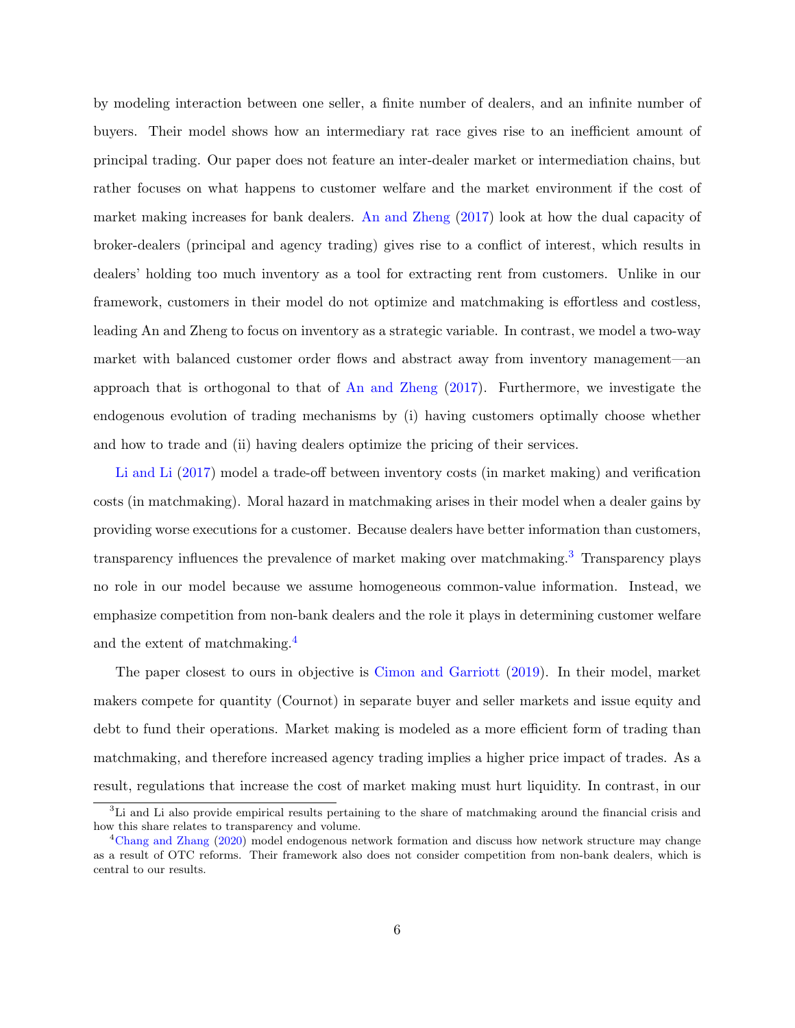by modeling interaction between one seller, a finite number of dealers, and an infinite number of buyers. Their model shows how an intermediary rat race gives rise to an inefficient amount of principal trading. Our paper does not feature an inter-dealer market or intermediation chains, but rather focuses on what happens to customer welfare and the market environment if the cost of market making increases for bank dealers. [An and Zheng](#page-62-9) [\(2017\)](#page-62-9) look at how the dual capacity of broker-dealers (principal and agency trading) gives rise to a conflict of interest, which results in dealers' holding too much inventory as a tool for extracting rent from customers. Unlike in our framework, customers in their model do not optimize and matchmaking is effortless and costless, leading An and Zheng to focus on inventory as a strategic variable. In contrast, we model a two-way market with balanced customer order flows and abstract away from inventory management—an approach that is orthogonal to that of [An and Zheng](#page-62-9) [\(2017\)](#page-62-9). Furthermore, we investigate the endogenous evolution of trading mechanisms by (i) having customers optimally choose whether and how to trade and (ii) having dealers optimize the pricing of their services.

[Li and Li](#page-63-4) [\(2017\)](#page-63-4) model a trade-off between inventory costs (in market making) and verification costs (in matchmaking). Moral hazard in matchmaking arises in their model when a dealer gains by providing worse executions for a customer. Because dealers have better information than customers, transparency influences the prevalence of market making over matchmaking.[3](#page-6-0) Transparency plays no role in our model because we assume homogeneous common-value information. Instead, we emphasize competition from non-bank dealers and the role it plays in determining customer welfare and the extent of matchmaking.[4](#page-6-1)

The paper closest to ours in objective is [Cimon and Garriott](#page-62-10) [\(2019\)](#page-62-10). In their model, market makers compete for quantity (Cournot) in separate buyer and seller markets and issue equity and debt to fund their operations. Market making is modeled as a more efficient form of trading than matchmaking, and therefore increased agency trading implies a higher price impact of trades. As a result, regulations that increase the cost of market making must hurt liquidity. In contrast, in our

<span id="page-6-0"></span><sup>&</sup>lt;sup>3</sup>Li and Li also provide empirical results pertaining to the share of matchmaking around the financial crisis and how this share relates to transparency and volume.

<span id="page-6-1"></span><sup>4</sup>[Chang and Zhang](#page-62-11) [\(2020\)](#page-62-11) model endogenous network formation and discuss how network structure may change as a result of OTC reforms. Their framework also does not consider competition from non-bank dealers, which is central to our results.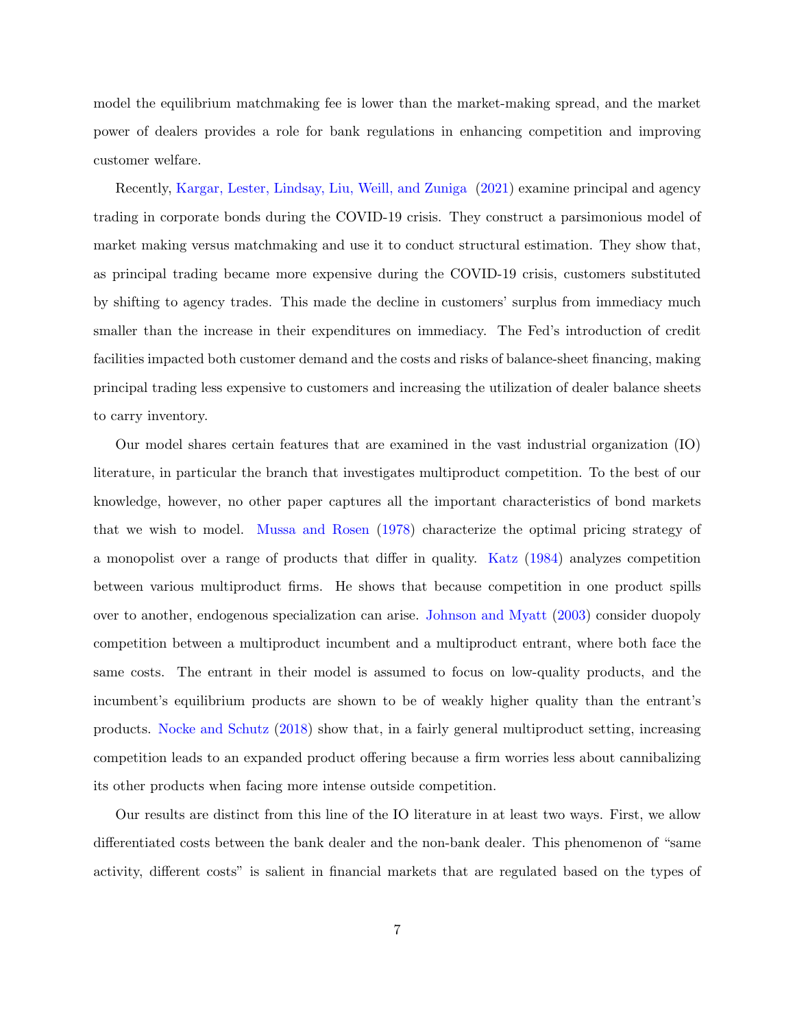model the equilibrium matchmaking fee is lower than the market-making spread, and the market power of dealers provides a role for bank regulations in enhancing competition and improving customer welfare.

Recently, [Kargar, Lester, Lindsay, Liu, Weill, and Zuniga](#page-63-5) [\(2021\)](#page-63-5) examine principal and agency trading in corporate bonds during the COVID-19 crisis. They construct a parsimonious model of market making versus matchmaking and use it to conduct structural estimation. They show that, as principal trading became more expensive during the COVID-19 crisis, customers substituted by shifting to agency trades. This made the decline in customers' surplus from immediacy much smaller than the increase in their expenditures on immediacy. The Fed's introduction of credit facilities impacted both customer demand and the costs and risks of balance-sheet financing, making principal trading less expensive to customers and increasing the utilization of dealer balance sheets to carry inventory.

Our model shares certain features that are examined in the vast industrial organization (IO) literature, in particular the branch that investigates multiproduct competition. To the best of our knowledge, however, no other paper captures all the important characteristics of bond markets that we wish to model. [Mussa and Rosen](#page-63-6) [\(1978\)](#page-63-6) characterize the optimal pricing strategy of a monopolist over a range of products that differ in quality. [Katz](#page-63-7) [\(1984\)](#page-63-7) analyzes competition between various multiproduct firms. He shows that because competition in one product spills over to another, endogenous specialization can arise. [Johnson and Myatt](#page-62-12) [\(2003\)](#page-62-12) consider duopoly competition between a multiproduct incumbent and a multiproduct entrant, where both face the same costs. The entrant in their model is assumed to focus on low-quality products, and the incumbent's equilibrium products are shown to be of weakly higher quality than the entrant's products. [Nocke and Schutz](#page-63-8) [\(2018\)](#page-63-8) show that, in a fairly general multiproduct setting, increasing competition leads to an expanded product offering because a firm worries less about cannibalizing its other products when facing more intense outside competition.

Our results are distinct from this line of the IO literature in at least two ways. First, we allow differentiated costs between the bank dealer and the non-bank dealer. This phenomenon of "same activity, different costs" is salient in financial markets that are regulated based on the types of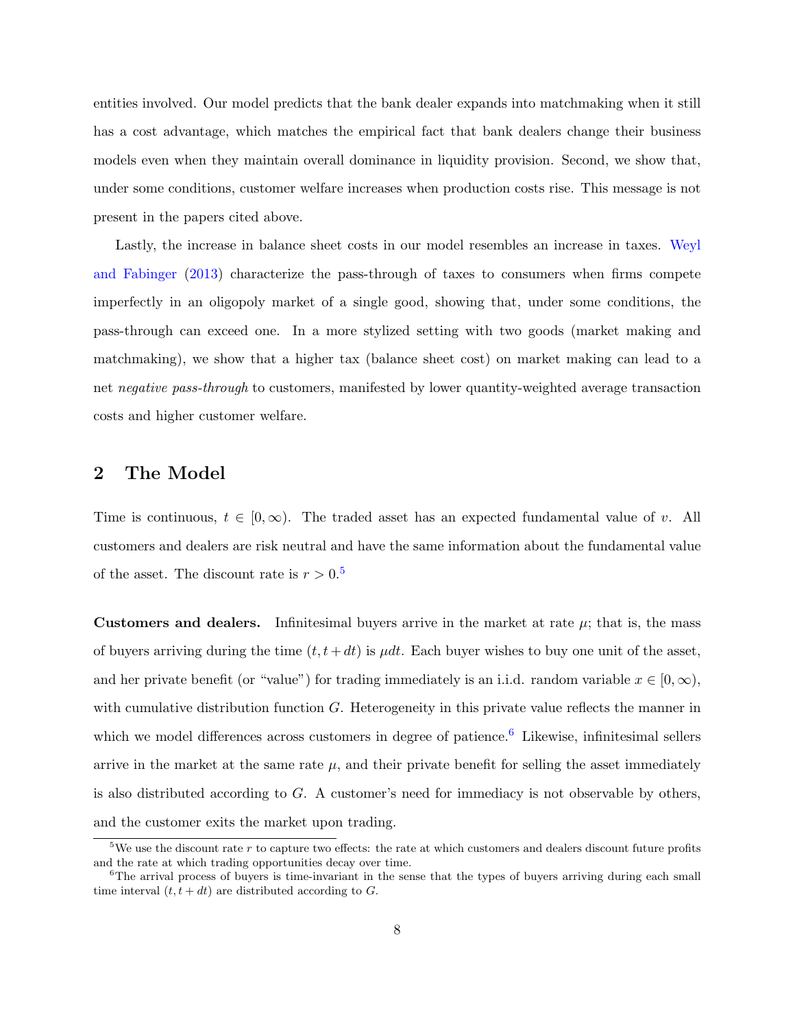entities involved. Our model predicts that the bank dealer expands into matchmaking when it still has a cost advantage, which matches the empirical fact that bank dealers change their business models even when they maintain overall dominance in liquidity provision. Second, we show that, under some conditions, customer welfare increases when production costs rise. This message is not present in the papers cited above.

Lastly, the increase in balance sheet costs in our model resembles an increase in taxes. [Weyl](#page-63-9) [and Fabinger](#page-63-9) [\(2013\)](#page-63-9) characterize the pass-through of taxes to consumers when firms compete imperfectly in an oligopoly market of a single good, showing that, under some conditions, the pass-through can exceed one. In a more stylized setting with two goods (market making and matchmaking), we show that a higher tax (balance sheet cost) on market making can lead to a net negative pass-through to customers, manifested by lower quantity-weighted average transaction costs and higher customer welfare.

## 2 The Model

Time is continuous,  $t \in [0, \infty)$ . The traded asset has an expected fundamental value of v. All customers and dealers are risk neutral and have the same information about the fundamental value of the asset. The discount rate is  $r > 0.5$  $r > 0.5$ 

**Customers and dealers.** Infinitesimal buyers arrive in the market at rate  $\mu$ ; that is, the mass of buyers arriving during the time  $(t, t+dt)$  is  $\mu dt$ . Each buyer wishes to buy one unit of the asset, and her private benefit (or "value") for trading immediately is an i.i.d. random variable  $x \in [0, \infty)$ , with cumulative distribution function  $G$ . Heterogeneity in this private value reflects the manner in which we model differences across customers in degree of patience.<sup>[6](#page-8-1)</sup> Likewise, infinitesimal sellers arrive in the market at the same rate  $\mu$ , and their private benefit for selling the asset immediately is also distributed according to G. A customer's need for immediacy is not observable by others, and the customer exits the market upon trading.

<span id="page-8-0"></span><sup>&</sup>lt;sup>5</sup>We use the discount rate r to capture two effects: the rate at which customers and dealers discount future profits and the rate at which trading opportunities decay over time.

<span id="page-8-1"></span><sup>&</sup>lt;sup>6</sup>The arrival process of buyers is time-invariant in the sense that the types of buyers arriving during each small time interval  $(t, t + dt)$  are distributed according to G.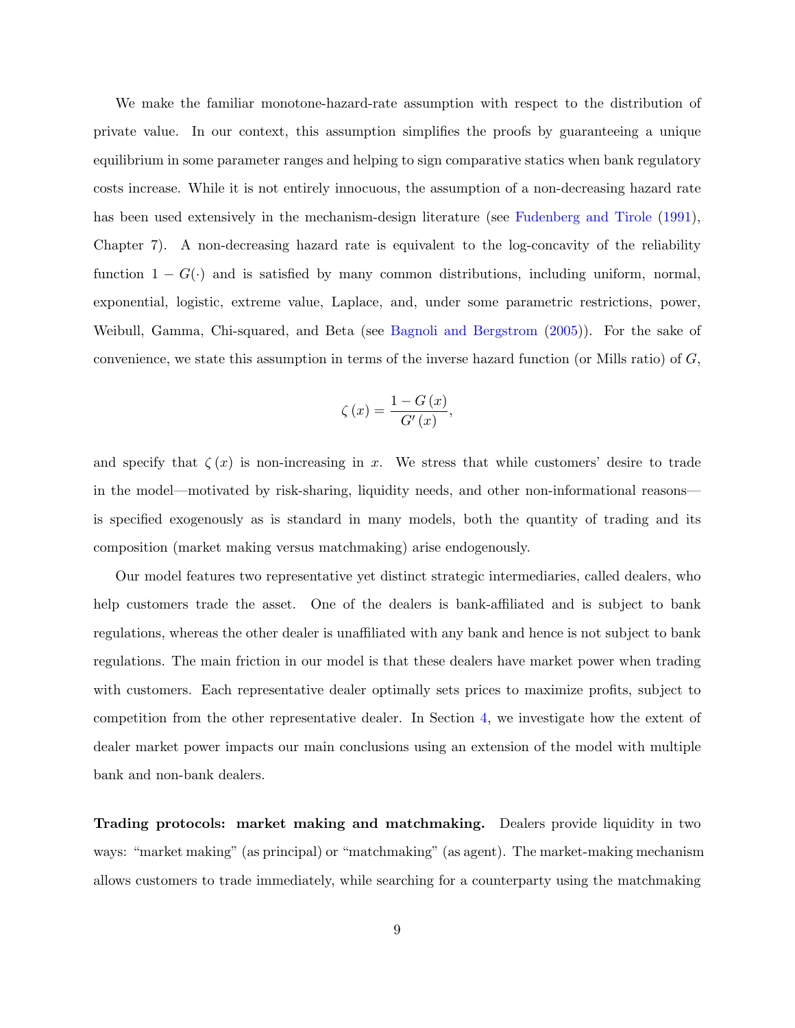We make the familiar monotone-hazard-rate assumption with respect to the distribution of private value. In our context, this assumption simplifies the proofs by guaranteeing a unique equilibrium in some parameter ranges and helping to sign comparative statics when bank regulatory costs increase. While it is not entirely innocuous, the assumption of a non-decreasing hazard rate has been used extensively in the mechanism-design literature (see [Fudenberg and Tirole](#page-62-13) [\(1991\)](#page-62-13), Chapter 7). A non-decreasing hazard rate is equivalent to the log-concavity of the reliability function  $1 - G(.)$  and is satisfied by many common distributions, including uniform, normal, exponential, logistic, extreme value, Laplace, and, under some parametric restrictions, power, Weibull, Gamma, Chi-squared, and Beta (see [Bagnoli and Bergstrom](#page-62-14) [\(2005\)](#page-62-14)). For the sake of convenience, we state this assumption in terms of the inverse hazard function (or Mills ratio) of  $G$ ,

$$
\zeta\left(x\right) = \frac{1 - G\left(x\right)}{G'\left(x\right)},
$$

and specify that  $\zeta(x)$  is non-increasing in x. We stress that while customers' desire to trade in the model—motivated by risk-sharing, liquidity needs, and other non-informational reasons is specified exogenously as is standard in many models, both the quantity of trading and its composition (market making versus matchmaking) arise endogenously.

Our model features two representative yet distinct strategic intermediaries, called dealers, who help customers trade the asset. One of the dealers is bank-affiliated and is subject to bank regulations, whereas the other dealer is unaffiliated with any bank and hence is not subject to bank regulations. The main friction in our model is that these dealers have market power when trading with customers. Each representative dealer optimally sets prices to maximize profits, subject to competition from the other representative dealer. In Section [4,](#page-21-0) we investigate how the extent of dealer market power impacts our main conclusions using an extension of the model with multiple bank and non-bank dealers.

Trading protocols: market making and matchmaking. Dealers provide liquidity in two ways: "market making" (as principal) or "matchmaking" (as agent). The market-making mechanism allows customers to trade immediately, while searching for a counterparty using the matchmaking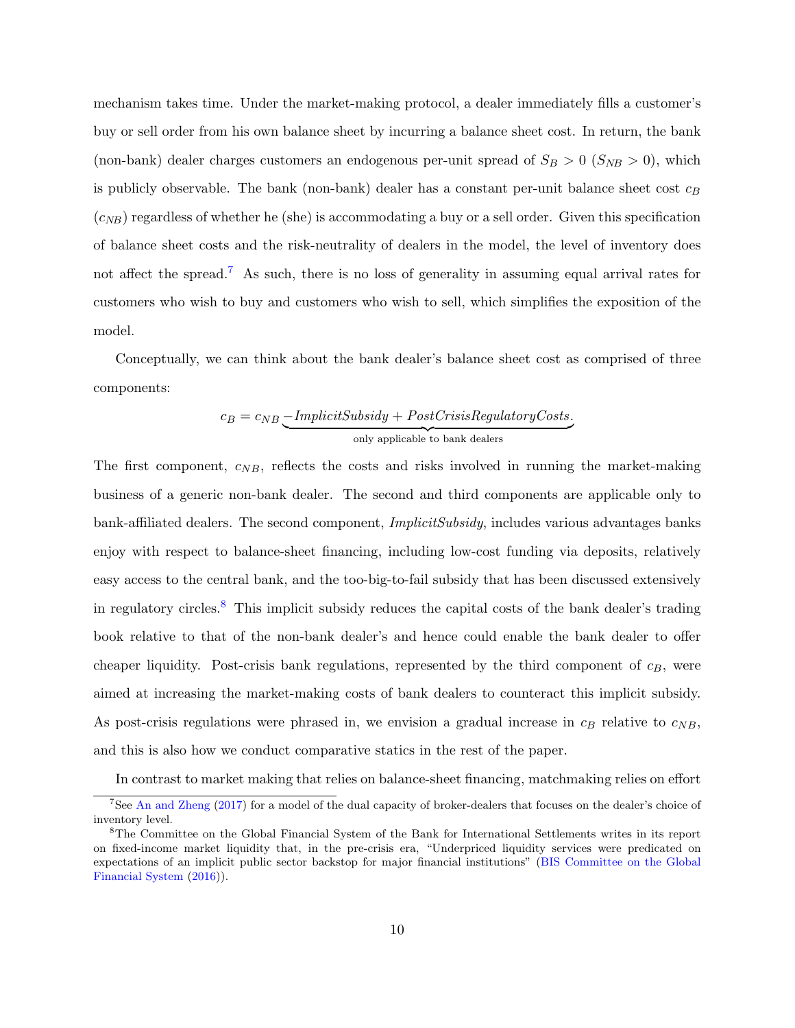mechanism takes time. Under the market-making protocol, a dealer immediately fills a customer's buy or sell order from his own balance sheet by incurring a balance sheet cost. In return, the bank (non-bank) dealer charges customers an endogenous per-unit spread of  $S_B > 0$  ( $S_{NB} > 0$ ), which is publicly observable. The bank (non-bank) dealer has a constant per-unit balance sheet cost  $c_B$  $(c_{NB})$  regardless of whether he (she) is accommodating a buy or a sell order. Given this specification of balance sheet costs and the risk-neutrality of dealers in the model, the level of inventory does not affect the spread.<sup>[7](#page-10-0)</sup> As such, there is no loss of generality in assuming equal arrival rates for customers who wish to buy and customers who wish to sell, which simplifies the exposition of the model.

Conceptually, we can think about the bank dealer's balance sheet cost as comprised of three components:

$$
c_B = c_{NB} \underbrace{\text{-}ImplicitSubsidy + PostCrisisRegularoryCosts.}_{\text{only applicable to bank dealers}}
$$

The first component,  $c_{NB}$ , reflects the costs and risks involved in running the market-making business of a generic non-bank dealer. The second and third components are applicable only to bank-affiliated dealers. The second component, ImplicitSubsidy, includes various advantages banks enjoy with respect to balance-sheet financing, including low-cost funding via deposits, relatively easy access to the central bank, and the too-big-to-fail subsidy that has been discussed extensively in regulatory circles.[8](#page-10-1) This implicit subsidy reduces the capital costs of the bank dealer's trading book relative to that of the non-bank dealer's and hence could enable the bank dealer to offer cheaper liquidity. Post-crisis bank regulations, represented by the third component of  $c_B$ , were aimed at increasing the market-making costs of bank dealers to counteract this implicit subsidy. As post-crisis regulations were phrased in, we envision a gradual increase in  $c_B$  relative to  $c_{NB}$ , and this is also how we conduct comparative statics in the rest of the paper.

<span id="page-10-0"></span>In contrast to market making that relies on balance-sheet financing, matchmaking relies on effort

<sup>&</sup>lt;sup>7</sup>See [An and Zheng](#page-62-9) [\(2017\)](#page-62-9) for a model of the dual capacity of broker-dealers that focuses on the dealer's choice of inventory level.

<span id="page-10-1"></span><sup>8</sup>The Committee on the Global Financial System of the Bank for International Settlements writes in its report on fixed-income market liquidity that, in the pre-crisis era, "Underpriced liquidity services were predicated on expectations of an implicit public sector backstop for major financial institutions" [\(BIS Committee on the Global](#page-62-1) [Financial System](#page-62-1) [\(2016\)](#page-62-1)).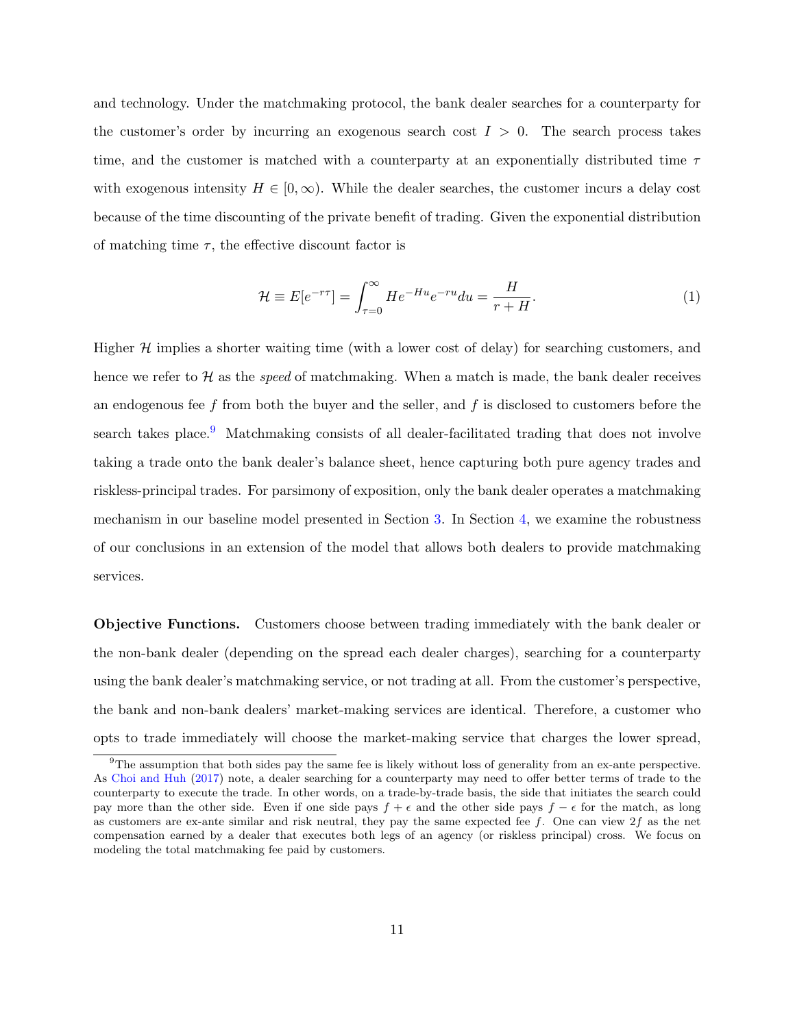and technology. Under the matchmaking protocol, the bank dealer searches for a counterparty for the customer's order by incurring an exogenous search cost  $I > 0$ . The search process takes time, and the customer is matched with a counterparty at an exponentially distributed time  $\tau$ with exogenous intensity  $H \in [0,\infty)$ . While the dealer searches, the customer incurs a delay cost because of the time discounting of the private benefit of trading. Given the exponential distribution of matching time  $\tau$ , the effective discount factor is

$$
\mathcal{H} \equiv E[e^{-r\tau}] = \int_{\tau=0}^{\infty} He^{-Hu}e^{-ru} du = \frac{H}{r+H}.
$$
\n(1)

Higher  $H$  implies a shorter waiting time (with a lower cost of delay) for searching customers, and hence we refer to  $H$  as the speed of matchmaking. When a match is made, the bank dealer receives an endogenous fee  $f$  from both the buyer and the seller, and  $f$  is disclosed to customers before the search takes place.<sup>[9](#page-11-0)</sup> Matchmaking consists of all dealer-facilitated trading that does not involve taking a trade onto the bank dealer's balance sheet, hence capturing both pure agency trades and riskless-principal trades. For parsimony of exposition, only the bank dealer operates a matchmaking mechanism in our baseline model presented in Section [3.](#page-13-0) In Section [4,](#page-21-0) we examine the robustness of our conclusions in an extension of the model that allows both dealers to provide matchmaking services.

Objective Functions. Customers choose between trading immediately with the bank dealer or the non-bank dealer (depending on the spread each dealer charges), searching for a counterparty using the bank dealer's matchmaking service, or not trading at all. From the customer's perspective, the bank and non-bank dealers' market-making services are identical. Therefore, a customer who opts to trade immediately will choose the market-making service that charges the lower spread,

<span id="page-11-0"></span> $9$ The assumption that both sides pay the same fee is likely without loss of generality from an ex-ante perspective. As [Choi and Huh](#page-62-3) [\(2017\)](#page-62-3) note, a dealer searching for a counterparty may need to offer better terms of trade to the counterparty to execute the trade. In other words, on a trade-by-trade basis, the side that initiates the search could pay more than the other side. Even if one side pays  $f + \epsilon$  and the other side pays  $f - \epsilon$  for the match, as long as customers are ex-ante similar and risk neutral, they pay the same expected fee  $f$ . One can view  $2f$  as the net compensation earned by a dealer that executes both legs of an agency (or riskless principal) cross. We focus on modeling the total matchmaking fee paid by customers.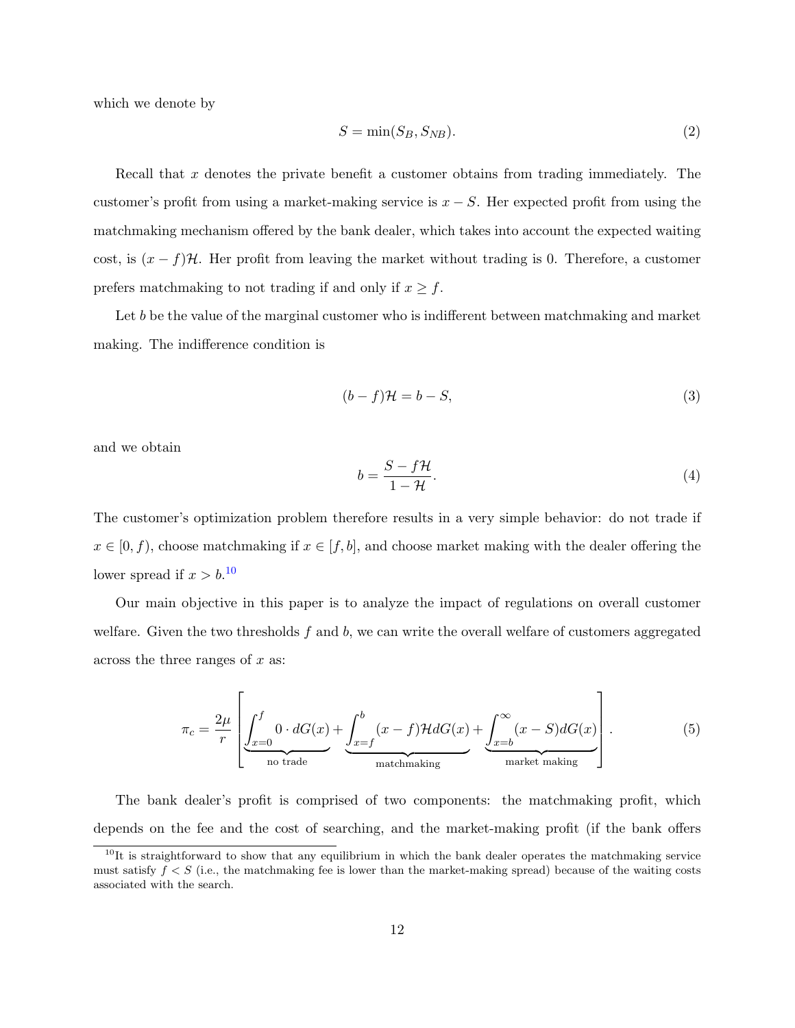which we denote by

$$
S = \min(S_B, S_{NB}).\tag{2}
$$

Recall that x denotes the private benefit a customer obtains from trading immediately. The customer's profit from using a market-making service is  $x - S$ . Her expected profit from using the matchmaking mechanism offered by the bank dealer, which takes into account the expected waiting cost, is  $(x - f)$ H. Her profit from leaving the market without trading is 0. Therefore, a customer prefers matchmaking to not trading if and only if  $x \geq f$ .

Let b be the value of the marginal customer who is indifferent between matchmaking and market making. The indifference condition is

$$
(b-f)\mathcal{H} = b - S,\tag{3}
$$

and we obtain

$$
b = \frac{S - f\mathcal{H}}{1 - \mathcal{H}}.\tag{4}
$$

The customer's optimization problem therefore results in a very simple behavior: do not trade if  $x \in [0, f)$ , choose matchmaking if  $x \in [f, b]$ , and choose market making with the dealer offering the lower spread if  $x > b$ .<sup>[10](#page-12-0)</sup>

Our main objective in this paper is to analyze the impact of regulations on overall customer welfare. Given the two thresholds  $f$  and  $b$ , we can write the overall welfare of customers aggregated across the three ranges of  $x$  as:

$$
\pi_c = \frac{2\mu}{r} \left[ \underbrace{\int_{x=0}^f 0 \cdot dG(x)}_{\text{no trade}} + \underbrace{\int_{x=f}^b (x-f) \mathcal{H} dG(x)}_{\text{matchmaking}} + \underbrace{\int_{x=b}^\infty (x-S) dG(x)}_{\text{market making}} \right].
$$
\n(5)

The bank dealer's profit is comprised of two components: the matchmaking profit, which depends on the fee and the cost of searching, and the market-making profit (if the bank offers

<span id="page-12-0"></span> $10$ It is straightforward to show that any equilibrium in which the bank dealer operates the matchmaking service must satisfy  $f < S$  (i.e., the matchmaking fee is lower than the market-making spread) because of the waiting costs associated with the search.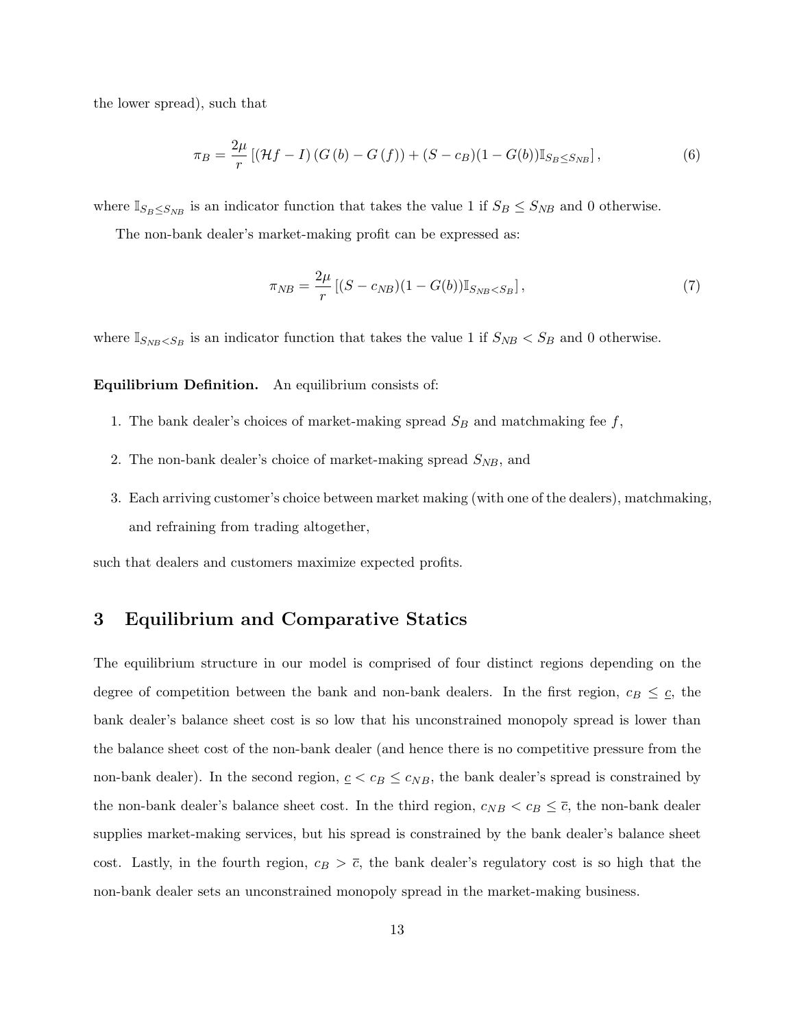the lower spread), such that

$$
\pi_B = \frac{2\mu}{r} \left[ (\mathcal{H}f - I) \left( G \left( b \right) - G \left( f \right) \right) + (S - c_B)(1 - G(b)) \mathbb{I}_{S_B \le S_{NB}} \right],\tag{6}
$$

where  $\mathbb{I}_{S_B \leq S_{NB}}$  is an indicator function that takes the value 1 if  $S_B \leq S_{NB}$  and 0 otherwise.

The non-bank dealer's market-making profit can be expressed as:

$$
\pi_{NB} = \frac{2\mu}{r} \left[ (S - c_{NB})(1 - G(b)) \mathbb{I}_{S_{NB} < S_B} \right],\tag{7}
$$

where  $\mathbb{I}_{S_{NB} < S_B}$  is an indicator function that takes the value 1 if  $S_{NB} < S_B$  and 0 otherwise.

### Equilibrium Definition. An equilibrium consists of:

- 1. The bank dealer's choices of market-making spread  $S_B$  and matchmaking fee f,
- 2. The non-bank dealer's choice of market-making spread  $S_{NB}$ , and
- 3. Each arriving customer's choice between market making (with one of the dealers), matchmaking, and refraining from trading altogether,

such that dealers and customers maximize expected profits.

## <span id="page-13-0"></span>3 Equilibrium and Comparative Statics

The equilibrium structure in our model is comprised of four distinct regions depending on the degree of competition between the bank and non-bank dealers. In the first region,  $c_B \leq c$ , the bank dealer's balance sheet cost is so low that his unconstrained monopoly spread is lower than the balance sheet cost of the non-bank dealer (and hence there is no competitive pressure from the non-bank dealer). In the second region,  $c < c_B \le c_{NB}$ , the bank dealer's spread is constrained by the non-bank dealer's balance sheet cost. In the third region,  $c_{NB} < c_B \leq \overline{c}$ , the non-bank dealer supplies market-making services, but his spread is constrained by the bank dealer's balance sheet cost. Lastly, in the fourth region,  $c_B > \overline{c}$ , the bank dealer's regulatory cost is so high that the non-bank dealer sets an unconstrained monopoly spread in the market-making business.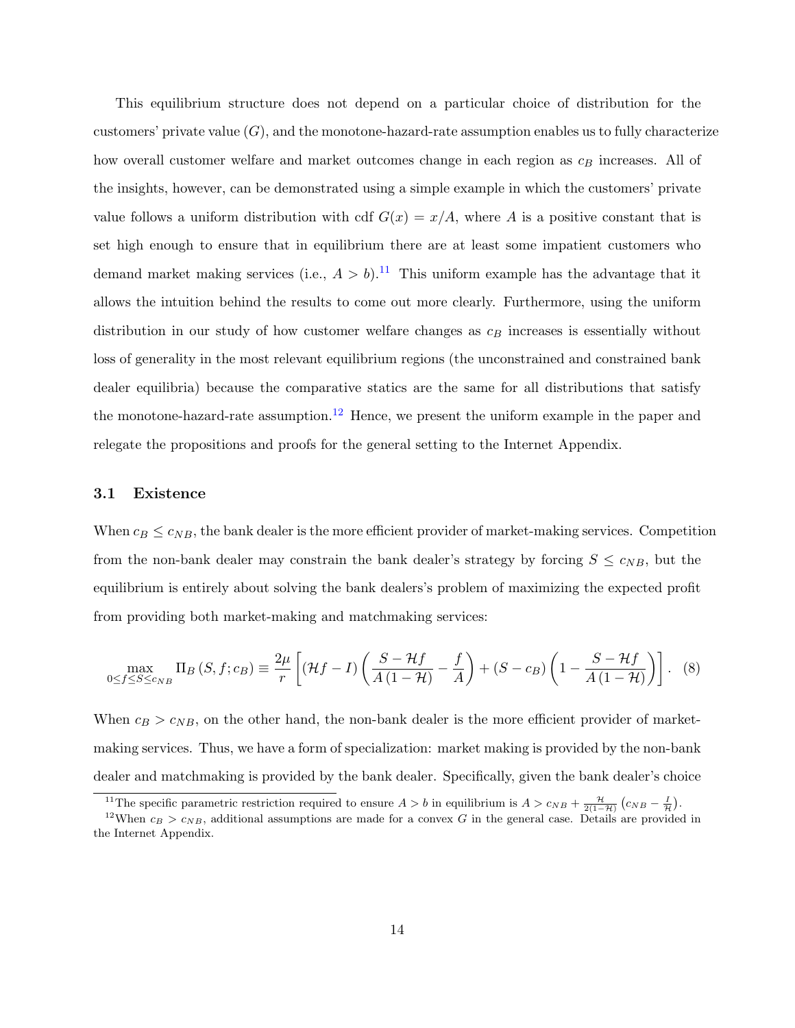This equilibrium structure does not depend on a particular choice of distribution for the customers' private value  $(G)$ , and the monotone-hazard-rate assumption enables us to fully characterize how overall customer welfare and market outcomes change in each region as  $c_B$  increases. All of the insights, however, can be demonstrated using a simple example in which the customers' private value follows a uniform distribution with cdf  $G(x) = x/A$ , where A is a positive constant that is set high enough to ensure that in equilibrium there are at least some impatient customers who demand market making services (i.e.,  $A > b$ ).<sup>[11](#page-14-0)</sup> This uniform example has the advantage that it allows the intuition behind the results to come out more clearly. Furthermore, using the uniform distribution in our study of how customer welfare changes as  $c_B$  increases is essentially without loss of generality in the most relevant equilibrium regions (the unconstrained and constrained bank dealer equilibria) because the comparative statics are the same for all distributions that satisfy the monotone-hazard-rate assumption.<sup>[12](#page-14-1)</sup> Hence, we present the uniform example in the paper and relegate the propositions and proofs for the general setting to the Internet Appendix.

### 3.1 Existence

When  $c_B \leq c_{NB}$ , the bank dealer is the more efficient provider of market-making services. Competition from the non-bank dealer may constrain the bank dealer's strategy by forcing  $S \leq c_{NB}$ , but the equilibrium is entirely about solving the bank dealers's problem of maximizing the expected profit from providing both market-making and matchmaking services:

$$
\max_{0 \le f \le S \le c_{NB}} \Pi_B(S, f; c_B) \equiv \frac{2\mu}{r} \left[ (\mathcal{H}f - I) \left( \frac{S - \mathcal{H}f}{A(1 - \mathcal{H})} - \frac{f}{A} \right) + (S - c_B) \left( 1 - \frac{S - \mathcal{H}f}{A(1 - \mathcal{H})} \right) \right].
$$
 (8)

When  $c_B > c_{NB}$ , on the other hand, the non-bank dealer is the more efficient provider of marketmaking services. Thus, we have a form of specialization: market making is provided by the non-bank dealer and matchmaking is provided by the bank dealer. Specifically, given the bank dealer's choice

<span id="page-14-1"></span><span id="page-14-0"></span><sup>&</sup>lt;sup>11</sup>The specific parametric restriction required to ensure  $A > b$  in equilibrium is  $A > c_{NB} + \frac{\mathcal{H}}{2(1-\mathcal{H})}(c_{NB} - \frac{I}{\mathcal{H}})$ .

<sup>&</sup>lt;sup>12</sup>When  $c_B > c_{NB}$ , additional assumptions are made for a convex G in the general case. Details are provided in the Internet Appendix.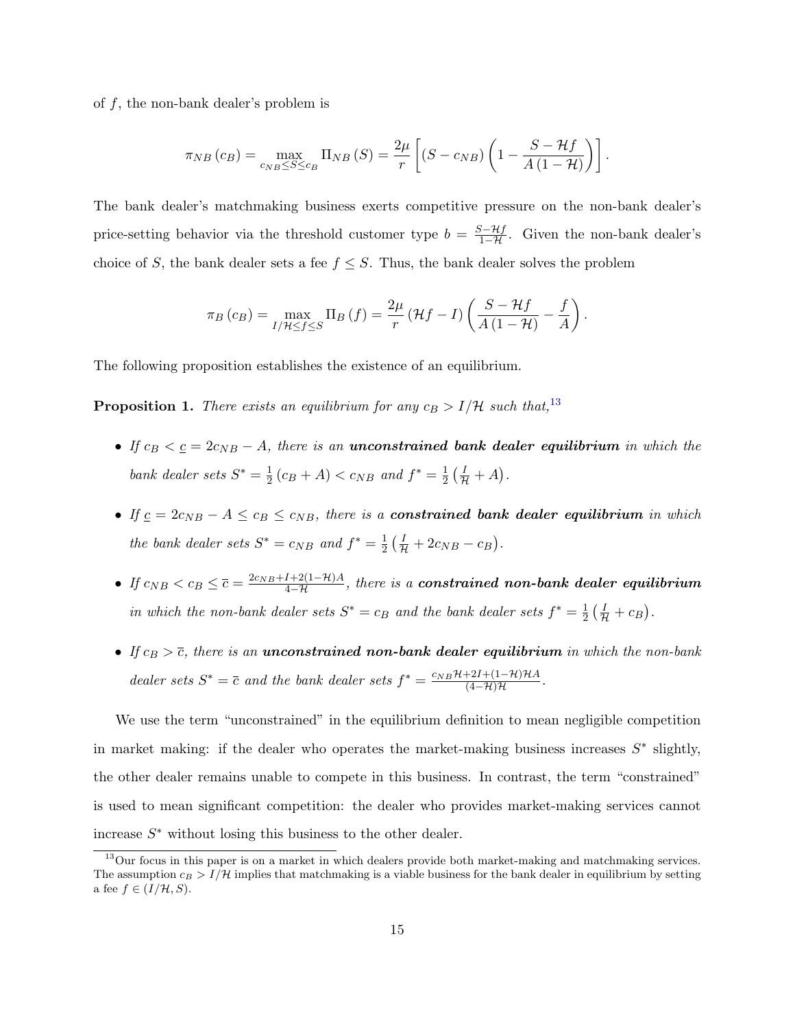of  $f$ , the non-bank dealer's problem is

$$
\pi_{NB}(c_B) = \max_{c_{NB} \leq S \leq c_B} \Pi_{NB}(S) = \frac{2\mu}{r} \left[ (S - c_{NB}) \left( 1 - \frac{S - \mathcal{H}f}{A(1 - \mathcal{H})} \right) \right].
$$

The bank dealer's matchmaking business exerts competitive pressure on the non-bank dealer's price-setting behavior via the threshold customer type  $b = \frac{S - Hf}{1 - H}$ . Given the non-bank dealer's choice of S, the bank dealer sets a fee  $f \leq S$ . Thus, the bank dealer solves the problem

$$
\pi_B(c_B) = \max_{I/\mathcal{H} \le f \le S} \Pi_B(f) = \frac{2\mu}{r} \left( \mathcal{H}f - I \right) \left( \frac{S - \mathcal{H}f}{A\left(1 - \mathcal{H}\right)} - \frac{f}{A} \right).
$$

The following proposition establishes the existence of an equilibrium.

<span id="page-15-1"></span>**Proposition 1.** There exists an equilibrium for any  $c_B > I/H$  such that,<sup>[13](#page-15-0)</sup>

- If  $c_B < \underline{c} = 2c_{NB} A$ , there is an unconstrained bank dealer equilibrium in which the bank dealer sets  $S^* = \frac{1}{2}$  $\frac{1}{2}(c_B + A) < c_{NB}$  and  $f^* = \frac{1}{2}$  $rac{1}{2}(\frac{I}{\mathcal{H}}+A).$
- If  $c = 2c_{NB} A \leq c_B \leq c_{NB}$ , there is a **constrained bank dealer equilibrium** in which the bank dealer sets  $S^* = c_{NB}$  and  $f^* = \frac{1}{2}$  $\frac{1}{2}(\frac{I}{H} + 2c_{NB} - c_B).$
- If  $c_{NB} < c_B \leq \overline{c} = \frac{2c_{NB}+I+2(1-\mathcal{H})A}{4-\mathcal{H}}$ , there is a **constrained non-bank dealer equilibrium** in which the non-bank dealer sets  $S^* = c_B$  and the bank dealer sets  $f^* = \frac{1}{2}$  $rac{1}{2}(\frac{I}{\mathcal{H}}+c_B).$
- If  $c_B > \overline{c}$ , there is an **unconstrained non-bank dealer equilibrium** in which the non-bank dealer sets  $S^* = \overline{c}$  and the bank dealer sets  $f^* = \frac{c_{NB}H+2I+(1-H)HA}{(1-H)H}$  $\frac{+2I + (I - H)H A}{(4 - H)H}$ .

We use the term "unconstrained" in the equilibrium definition to mean negligible competition in market making: if the dealer who operates the market-making business increases  $S^*$  slightly, the other dealer remains unable to compete in this business. In contrast, the term "constrained" is used to mean significant competition: the dealer who provides market-making services cannot increase  $S^*$  without losing this business to the other dealer.

<span id="page-15-0"></span><sup>&</sup>lt;sup>13</sup>Our focus in this paper is on a market in which dealers provide both market-making and matchmaking services. The assumption  $c_B > I/H$  implies that matchmaking is a viable business for the bank dealer in equilibrium by setting a fee  $f \in (I/\mathcal{H}, S)$ .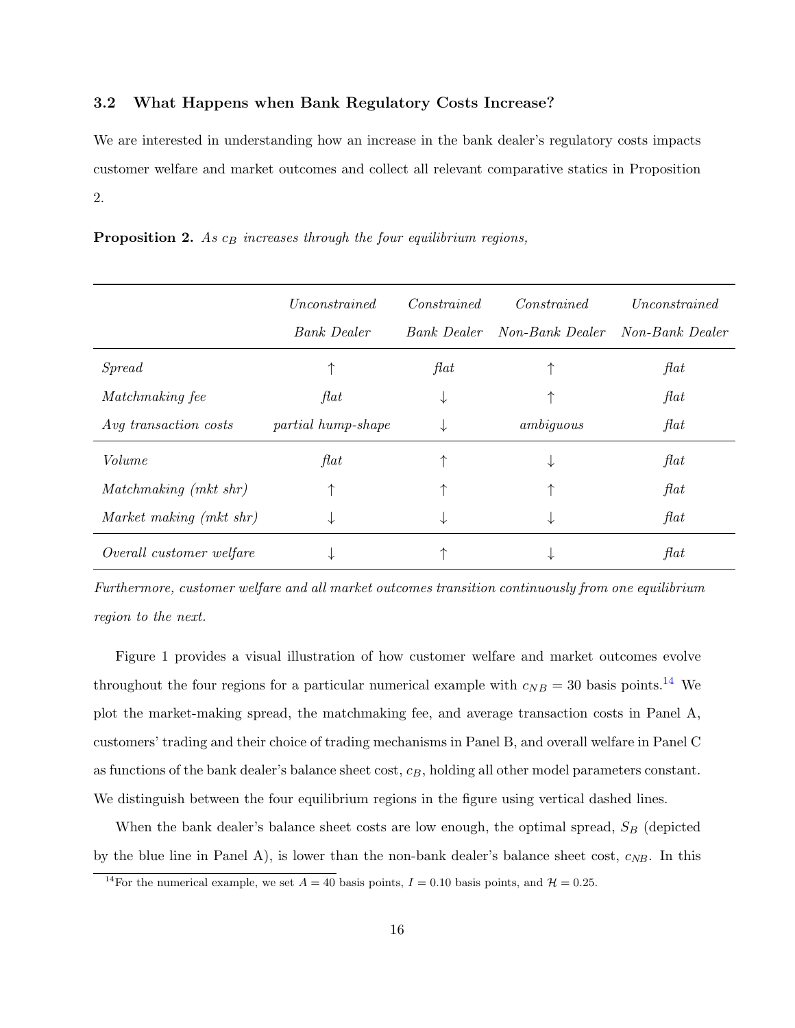## 3.2 What Happens when Bank Regulatory Costs Increase?

We are interested in understanding how an increase in the bank dealer's regulatory costs impacts customer welfare and market outcomes and collect all relevant comparative statics in Proposition 2.

<span id="page-16-1"></span>**Proposition 2.** As  $c_B$  increases through the four equilibrium regions,

|                          | Unconstrained      | Constrained | Constrained     | Unconstrained   |
|--------------------------|--------------------|-------------|-----------------|-----------------|
|                          | <b>Bank</b> Dealer | Bank Dealer | Non-Bank Dealer | Non-Bank Dealer |
| Spread                   |                    | flat        |                 | $\mathit{flat}$ |
| Matchmaking fee          | flat               | ↓           |                 | flat            |
| Avg transaction costs    | partial hump-shape | ↓           | ambiguous       | flat            |
| Volume                   | flat               |             | ↓               | flat            |
| Matchmaking (mkt shr)    |                    |             |                 | flat            |
| Market making (mkt shr)  | ↓                  | ↓           | ↓               | flat            |
| Overall customer welfare |                    |             |                 | $\mathit{flat}$ |

Furthermore, customer welfare and all market outcomes transition continuously from one equilibrium region to the next.

Figure 1 provides a visual illustration of how customer welfare and market outcomes evolve throughout the four regions for a particular numerical example with  $c_{NB} = 30$  basis points.<sup>[14](#page-16-0)</sup> We plot the market-making spread, the matchmaking fee, and average transaction costs in Panel A, customers' trading and their choice of trading mechanisms in Panel B, and overall welfare in Panel C as functions of the bank dealer's balance sheet cost,  $c_B$ , holding all other model parameters constant. We distinguish between the four equilibrium regions in the figure using vertical dashed lines.

When the bank dealer's balance sheet costs are low enough, the optimal spread,  $S_B$  (depicted by the blue line in Panel A), is lower than the non-bank dealer's balance sheet cost,  $c_{NB}$ . In this

<span id="page-16-0"></span><sup>&</sup>lt;sup>14</sup>For the numerical example, we set  $A = 40$  basis points,  $I = 0.10$  basis points, and  $\mathcal{H} = 0.25$ .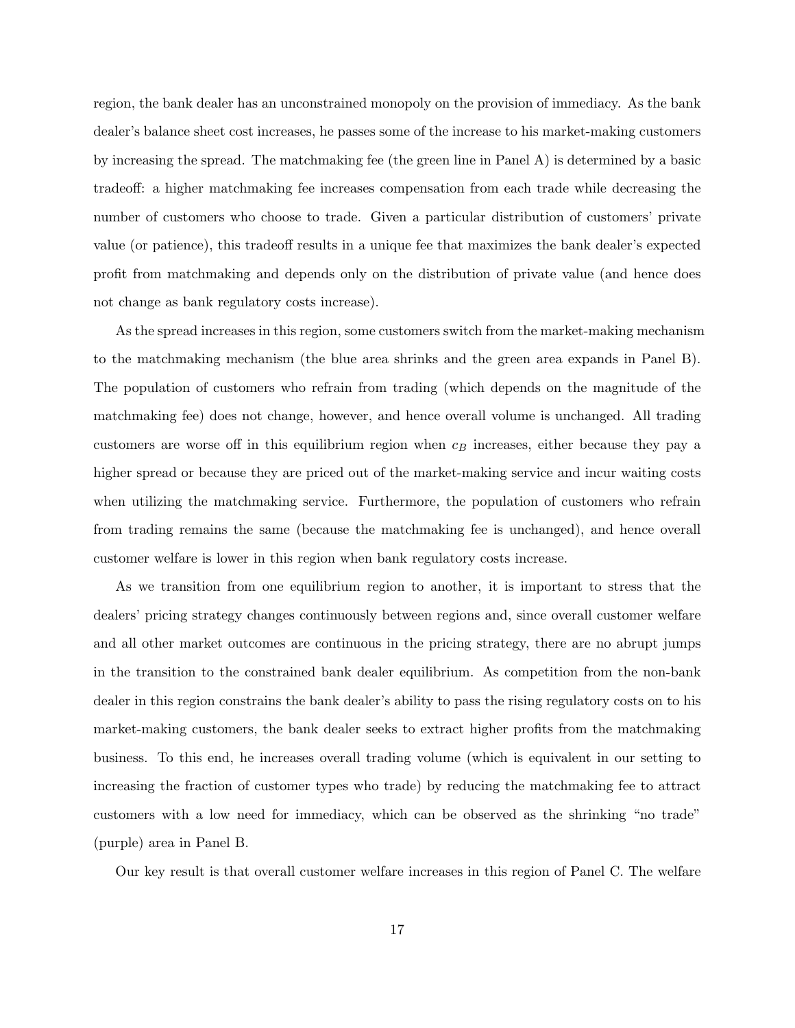region, the bank dealer has an unconstrained monopoly on the provision of immediacy. As the bank dealer's balance sheet cost increases, he passes some of the increase to his market-making customers by increasing the spread. The matchmaking fee (the green line in Panel A) is determined by a basic tradeoff: a higher matchmaking fee increases compensation from each trade while decreasing the number of customers who choose to trade. Given a particular distribution of customers' private value (or patience), this tradeoff results in a unique fee that maximizes the bank dealer's expected profit from matchmaking and depends only on the distribution of private value (and hence does not change as bank regulatory costs increase).

As the spread increases in this region, some customers switch from the market-making mechanism to the matchmaking mechanism (the blue area shrinks and the green area expands in Panel B). The population of customers who refrain from trading (which depends on the magnitude of the matchmaking fee) does not change, however, and hence overall volume is unchanged. All trading customers are worse off in this equilibrium region when  $c_B$  increases, either because they pay a higher spread or because they are priced out of the market-making service and incur waiting costs when utilizing the matchmaking service. Furthermore, the population of customers who refrain from trading remains the same (because the matchmaking fee is unchanged), and hence overall customer welfare is lower in this region when bank regulatory costs increase.

As we transition from one equilibrium region to another, it is important to stress that the dealers' pricing strategy changes continuously between regions and, since overall customer welfare and all other market outcomes are continuous in the pricing strategy, there are no abrupt jumps in the transition to the constrained bank dealer equilibrium. As competition from the non-bank dealer in this region constrains the bank dealer's ability to pass the rising regulatory costs on to his market-making customers, the bank dealer seeks to extract higher profits from the matchmaking business. To this end, he increases overall trading volume (which is equivalent in our setting to increasing the fraction of customer types who trade) by reducing the matchmaking fee to attract customers with a low need for immediacy, which can be observed as the shrinking "no trade" (purple) area in Panel B.

Our key result is that overall customer welfare increases in this region of Panel C. The welfare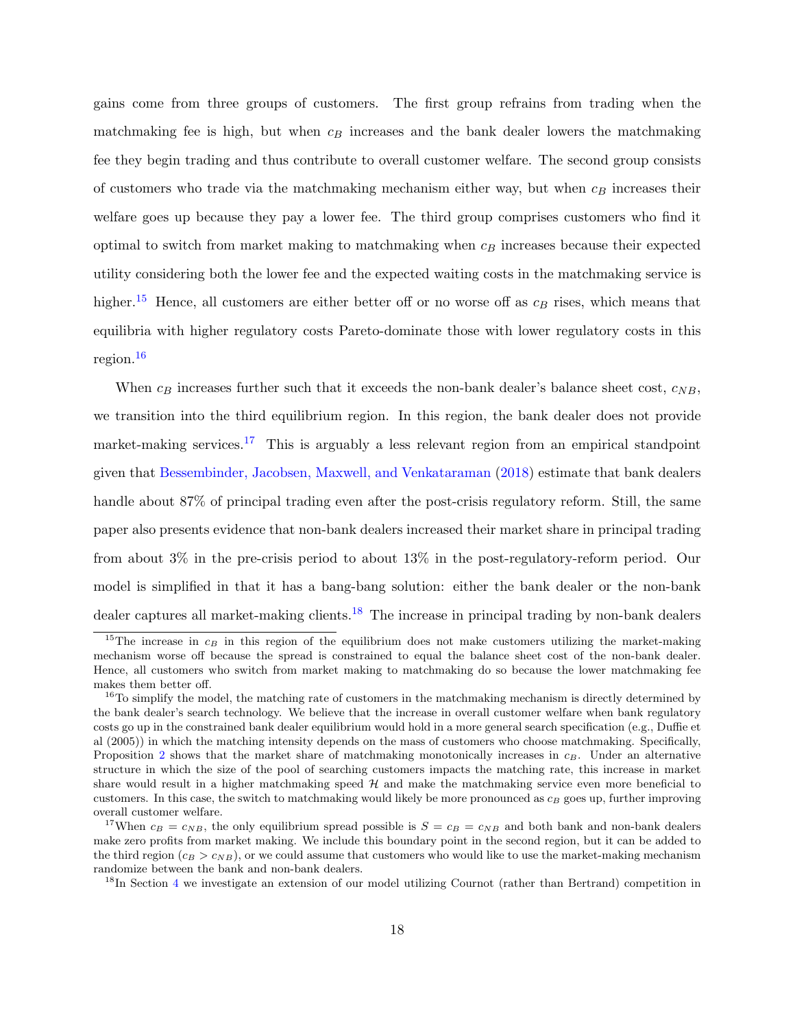gains come from three groups of customers. The first group refrains from trading when the matchmaking fee is high, but when  $c_B$  increases and the bank dealer lowers the matchmaking fee they begin trading and thus contribute to overall customer welfare. The second group consists of customers who trade via the matchmaking mechanism either way, but when  $c_B$  increases their welfare goes up because they pay a lower fee. The third group comprises customers who find it optimal to switch from market making to matchmaking when  $c_B$  increases because their expected utility considering both the lower fee and the expected waiting costs in the matchmaking service is higher.<sup>[15](#page-18-0)</sup> Hence, all customers are either better off or no worse off as  $c_B$  rises, which means that equilibria with higher regulatory costs Pareto-dominate those with lower regulatory costs in this region.[16](#page-18-1)

When  $c_B$  increases further such that it exceeds the non-bank dealer's balance sheet cost,  $c_{NB}$ , we transition into the third equilibrium region. In this region, the bank dealer does not provide market-making services.<sup>[17](#page-18-2)</sup> This is arguably a less relevant region from an empirical standpoint given that [Bessembinder, Jacobsen, Maxwell, and Venkataraman](#page-62-7) [\(2018\)](#page-62-7) estimate that bank dealers handle about 87% of principal trading even after the post-crisis regulatory reform. Still, the same paper also presents evidence that non-bank dealers increased their market share in principal trading from about 3% in the pre-crisis period to about 13% in the post-regulatory-reform period. Our model is simplified in that it has a bang-bang solution: either the bank dealer or the non-bank dealer captures all market-making clients.<sup>[18](#page-18-3)</sup> The increase in principal trading by non-bank dealers

<span id="page-18-0"></span><sup>&</sup>lt;sup>15</sup>The increase in  $c_B$  in this region of the equilibrium does not make customers utilizing the market-making mechanism worse off because the spread is constrained to equal the balance sheet cost of the non-bank dealer. Hence, all customers who switch from market making to matchmaking do so because the lower matchmaking fee makes them better off.

<span id="page-18-1"></span><sup>&</sup>lt;sup>16</sup>To simplify the model, the matching rate of customers in the matchmaking mechanism is directly determined by the bank dealer's search technology. We believe that the increase in overall customer welfare when bank regulatory costs go up in the constrained bank dealer equilibrium would hold in a more general search specification (e.g., Duffie et al (2005)) in which the matching intensity depends on the mass of customers who choose matchmaking. Specifically, Proposition [2](#page-16-1) shows that the market share of matchmaking monotonically increases in  $c_B$ . Under an alternative structure in which the size of the pool of searching customers impacts the matching rate, this increase in market share would result in a higher matchmaking speed  $H$  and make the matchmaking service even more beneficial to customers. In this case, the switch to matchmaking would likely be more pronounced as  $c_B$  goes up, further improving overall customer welfare.

<span id="page-18-2"></span><sup>&</sup>lt;sup>17</sup>When  $c_B = c_{NB}$ , the only equilibrium spread possible is  $S = c_B = c_{NB}$  and both bank and non-bank dealers make zero profits from market making. We include this boundary point in the second region, but it can be added to the third region  $(c_B > c_{NB})$ , or we could assume that customers who would like to use the market-making mechanism randomize between the bank and non-bank dealers.

<span id="page-18-3"></span><sup>&</sup>lt;sup>18</sup>In Section [4](#page-21-0) we investigate an extension of our model utilizing Cournot (rather than Bertrand) competition in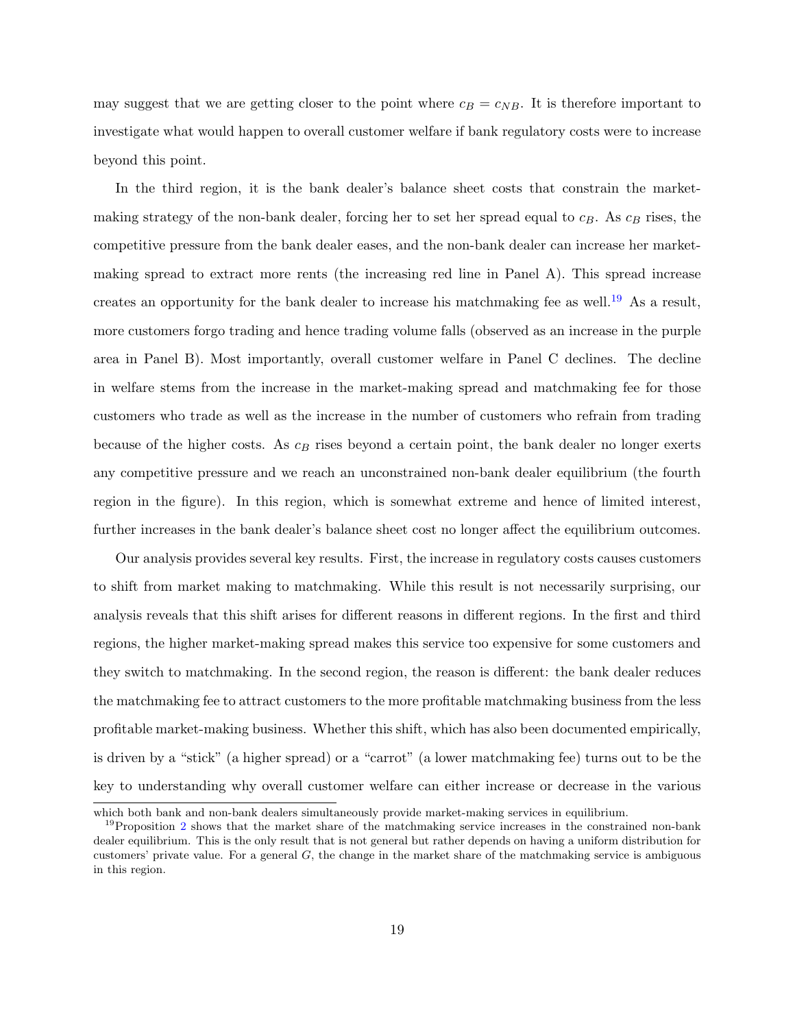may suggest that we are getting closer to the point where  $c_B = c_{NB}$ . It is therefore important to investigate what would happen to overall customer welfare if bank regulatory costs were to increase beyond this point.

In the third region, it is the bank dealer's balance sheet costs that constrain the marketmaking strategy of the non-bank dealer, forcing her to set her spread equal to  $c_B$ . As  $c_B$  rises, the competitive pressure from the bank dealer eases, and the non-bank dealer can increase her marketmaking spread to extract more rents (the increasing red line in Panel A). This spread increase creates an opportunity for the bank dealer to increase his matchmaking fee as well.[19](#page-19-0) As a result, more customers forgo trading and hence trading volume falls (observed as an increase in the purple area in Panel B). Most importantly, overall customer welfare in Panel C declines. The decline in welfare stems from the increase in the market-making spread and matchmaking fee for those customers who trade as well as the increase in the number of customers who refrain from trading because of the higher costs. As  $c_B$  rises beyond a certain point, the bank dealer no longer exerts any competitive pressure and we reach an unconstrained non-bank dealer equilibrium (the fourth region in the figure). In this region, which is somewhat extreme and hence of limited interest, further increases in the bank dealer's balance sheet cost no longer affect the equilibrium outcomes.

Our analysis provides several key results. First, the increase in regulatory costs causes customers to shift from market making to matchmaking. While this result is not necessarily surprising, our analysis reveals that this shift arises for different reasons in different regions. In the first and third regions, the higher market-making spread makes this service too expensive for some customers and they switch to matchmaking. In the second region, the reason is different: the bank dealer reduces the matchmaking fee to attract customers to the more profitable matchmaking business from the less profitable market-making business. Whether this shift, which has also been documented empirically, is driven by a "stick" (a higher spread) or a "carrot" (a lower matchmaking fee) turns out to be the key to understanding why overall customer welfare can either increase or decrease in the various

which both bank and non-bank dealers simultaneously provide market-making services in equilibrium.

<span id="page-19-0"></span> $19$ Proposition [2](#page-16-1) shows that the market share of the matchmaking service increases in the constrained non-bank dealer equilibrium. This is the only result that is not general but rather depends on having a uniform distribution for customers' private value. For a general  $G$ , the change in the market share of the matchmaking service is ambiguous in this region.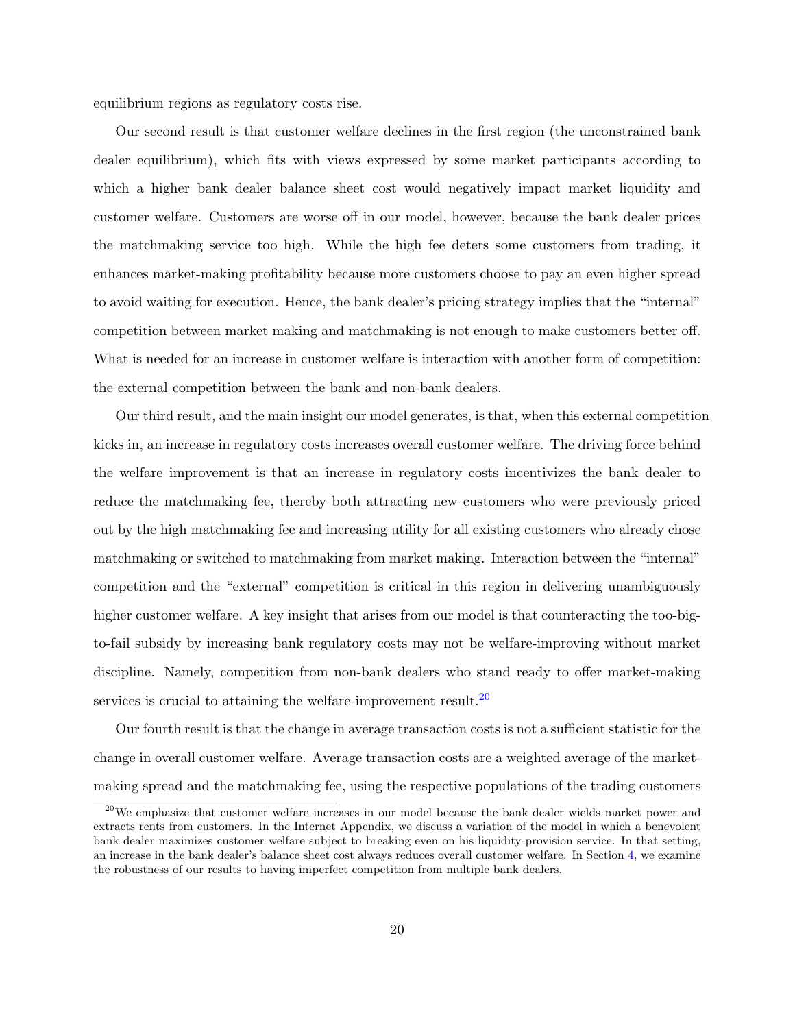equilibrium regions as regulatory costs rise.

Our second result is that customer welfare declines in the first region (the unconstrained bank dealer equilibrium), which fits with views expressed by some market participants according to which a higher bank dealer balance sheet cost would negatively impact market liquidity and customer welfare. Customers are worse off in our model, however, because the bank dealer prices the matchmaking service too high. While the high fee deters some customers from trading, it enhances market-making profitability because more customers choose to pay an even higher spread to avoid waiting for execution. Hence, the bank dealer's pricing strategy implies that the "internal" competition between market making and matchmaking is not enough to make customers better off. What is needed for an increase in customer welfare is interaction with another form of competition: the external competition between the bank and non-bank dealers.

Our third result, and the main insight our model generates, is that, when this external competition kicks in, an increase in regulatory costs increases overall customer welfare. The driving force behind the welfare improvement is that an increase in regulatory costs incentivizes the bank dealer to reduce the matchmaking fee, thereby both attracting new customers who were previously priced out by the high matchmaking fee and increasing utility for all existing customers who already chose matchmaking or switched to matchmaking from market making. Interaction between the "internal" competition and the "external" competition is critical in this region in delivering unambiguously higher customer welfare. A key insight that arises from our model is that counteracting the too-bigto-fail subsidy by increasing bank regulatory costs may not be welfare-improving without market discipline. Namely, competition from non-bank dealers who stand ready to offer market-making services is crucial to attaining the welfare-improvement result.<sup>[20](#page-20-0)</sup>

Our fourth result is that the change in average transaction costs is not a sufficient statistic for the change in overall customer welfare. Average transaction costs are a weighted average of the marketmaking spread and the matchmaking fee, using the respective populations of the trading customers

<span id="page-20-0"></span><sup>&</sup>lt;sup>20</sup>We emphasize that customer welfare increases in our model because the bank dealer wields market power and extracts rents from customers. In the Internet Appendix, we discuss a variation of the model in which a benevolent bank dealer maximizes customer welfare subject to breaking even on his liquidity-provision service. In that setting, an increase in the bank dealer's balance sheet cost always reduces overall customer welfare. In Section [4,](#page-21-0) we examine the robustness of our results to having imperfect competition from multiple bank dealers.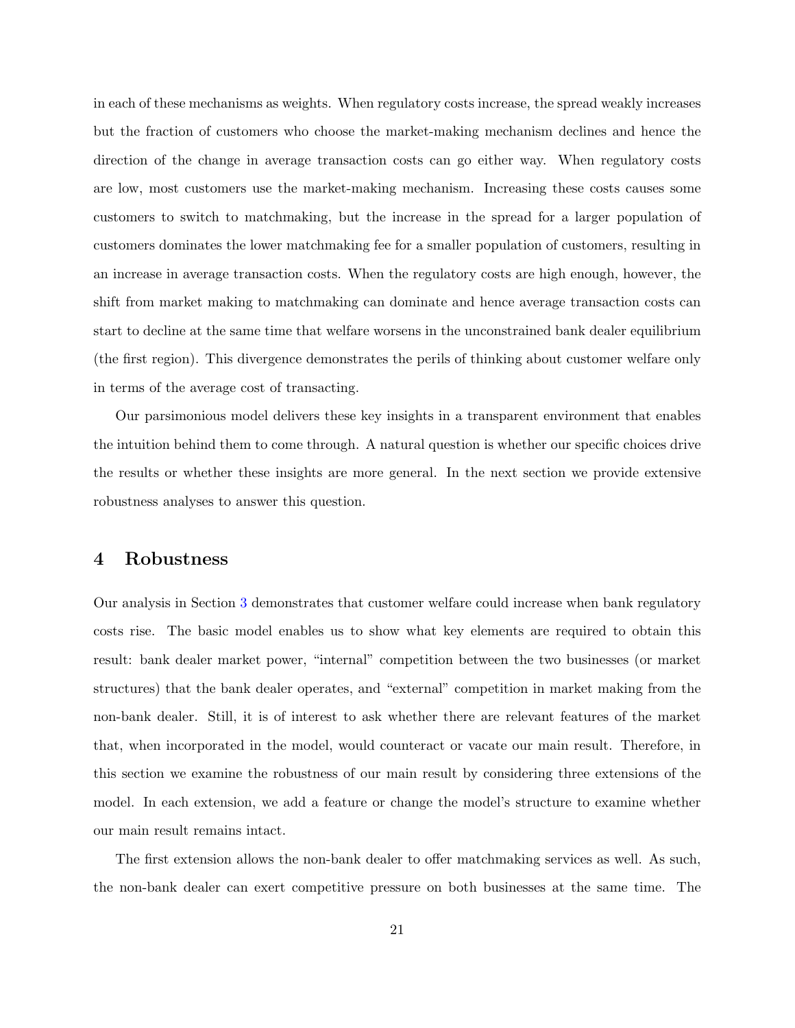in each of these mechanisms as weights. When regulatory costs increase, the spread weakly increases but the fraction of customers who choose the market-making mechanism declines and hence the direction of the change in average transaction costs can go either way. When regulatory costs are low, most customers use the market-making mechanism. Increasing these costs causes some customers to switch to matchmaking, but the increase in the spread for a larger population of customers dominates the lower matchmaking fee for a smaller population of customers, resulting in an increase in average transaction costs. When the regulatory costs are high enough, however, the shift from market making to matchmaking can dominate and hence average transaction costs can start to decline at the same time that welfare worsens in the unconstrained bank dealer equilibrium (the first region). This divergence demonstrates the perils of thinking about customer welfare only in terms of the average cost of transacting.

Our parsimonious model delivers these key insights in a transparent environment that enables the intuition behind them to come through. A natural question is whether our specific choices drive the results or whether these insights are more general. In the next section we provide extensive robustness analyses to answer this question.

## <span id="page-21-0"></span>4 Robustness

Our analysis in Section [3](#page-13-0) demonstrates that customer welfare could increase when bank regulatory costs rise. The basic model enables us to show what key elements are required to obtain this result: bank dealer market power, "internal" competition between the two businesses (or market structures) that the bank dealer operates, and "external" competition in market making from the non-bank dealer. Still, it is of interest to ask whether there are relevant features of the market that, when incorporated in the model, would counteract or vacate our main result. Therefore, in this section we examine the robustness of our main result by considering three extensions of the model. In each extension, we add a feature or change the model's structure to examine whether our main result remains intact.

The first extension allows the non-bank dealer to offer matchmaking services as well. As such, the non-bank dealer can exert competitive pressure on both businesses at the same time. The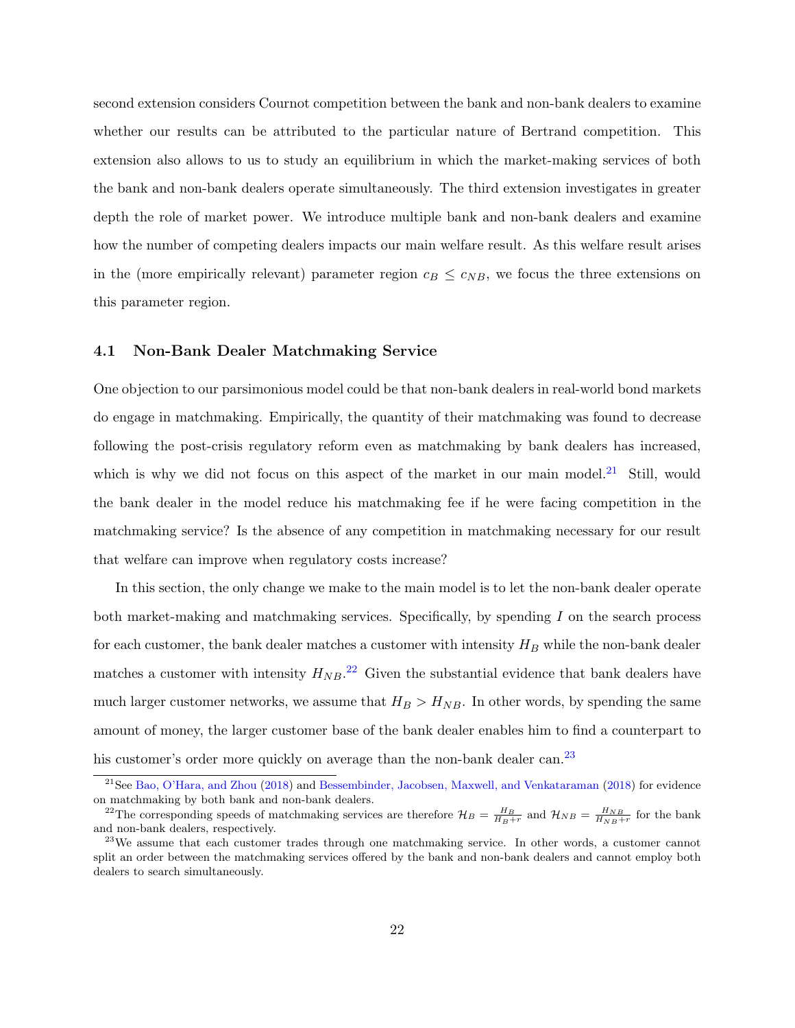second extension considers Cournot competition between the bank and non-bank dealers to examine whether our results can be attributed to the particular nature of Bertrand competition. This extension also allows to us to study an equilibrium in which the market-making services of both the bank and non-bank dealers operate simultaneously. The third extension investigates in greater depth the role of market power. We introduce multiple bank and non-bank dealers and examine how the number of competing dealers impacts our main welfare result. As this welfare result arises in the (more empirically relevant) parameter region  $c_B \leq c_{NB}$ , we focus the three extensions on this parameter region.

## <span id="page-22-3"></span>4.1 Non-Bank Dealer Matchmaking Service

One objection to our parsimonious model could be that non-bank dealers in real-world bond markets do engage in matchmaking. Empirically, the quantity of their matchmaking was found to decrease following the post-crisis regulatory reform even as matchmaking by bank dealers has increased, which is why we did not focus on this aspect of the market in our main model.<sup>[21](#page-22-0)</sup> Still, would the bank dealer in the model reduce his matchmaking fee if he were facing competition in the matchmaking service? Is the absence of any competition in matchmaking necessary for our result that welfare can improve when regulatory costs increase?

In this section, the only change we make to the main model is to let the non-bank dealer operate both market-making and matchmaking services. Specifically, by spending  $I$  on the search process for each customer, the bank dealer matches a customer with intensity  $H_B$  while the non-bank dealer matches a customer with intensity  $H_{NB}$ .<sup>[22](#page-22-1)</sup> Given the substantial evidence that bank dealers have much larger customer networks, we assume that  $H_B > H_{NB}$ . In other words, by spending the same amount of money, the larger customer base of the bank dealer enables him to find a counterpart to his customer's order more quickly on average than the non-bank dealer can.<sup>[23](#page-22-2)</sup>

<span id="page-22-0"></span><sup>&</sup>lt;sup>21</sup>See [Bao, O'Hara, and Zhou](#page-62-2) [\(2018\)](#page-62-7) and [Bessembinder, Jacobsen, Maxwell, and Venkataraman](#page-62-7) (2018) for evidence on matchmaking by both bank and non-bank dealers.

<span id="page-22-1"></span><sup>&</sup>lt;sup>22</sup>The corresponding speeds of matchmaking services are therefore  $\mathcal{H}_B = \frac{H_B}{H_B+r}$  and  $\mathcal{H}_{NB} = \frac{H_{NB}}{H_{NB}+r}$  for the bank and non-bank dealers, respectively.

<span id="page-22-2"></span><sup>&</sup>lt;sup>23</sup>We assume that each customer trades through one matchmaking service. In other words, a customer cannot split an order between the matchmaking services offered by the bank and non-bank dealers and cannot employ both dealers to search simultaneously.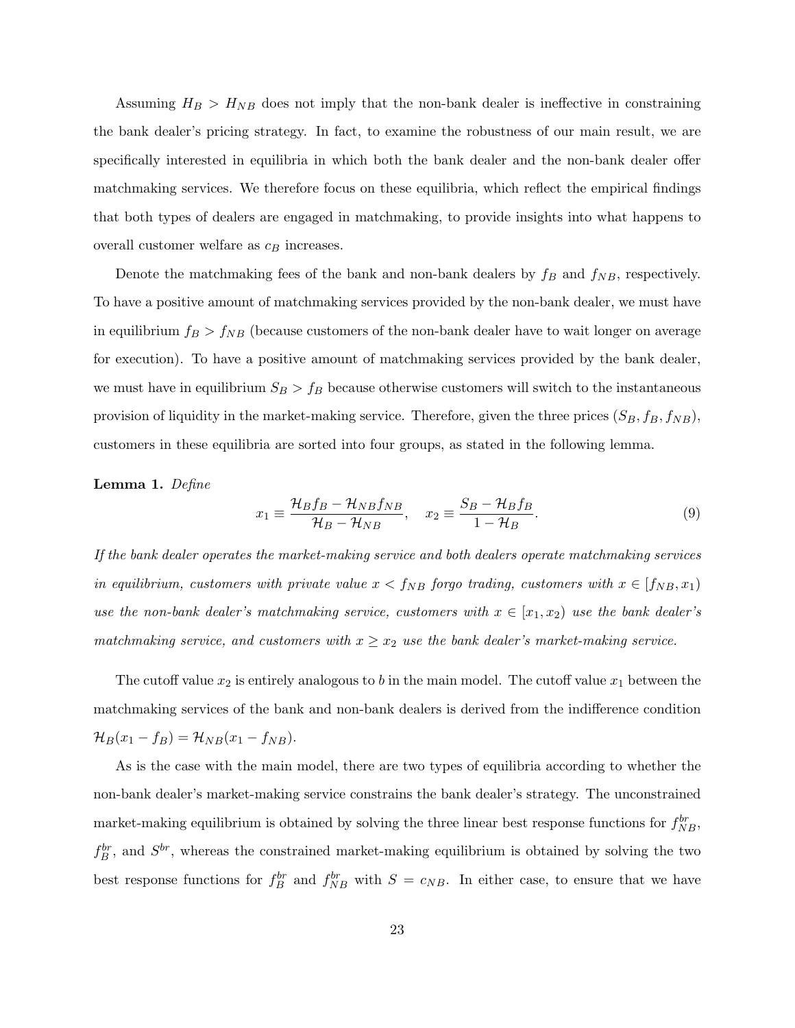Assuming  $H_B > H_{NB}$  does not imply that the non-bank dealer is ineffective in constraining the bank dealer's pricing strategy. In fact, to examine the robustness of our main result, we are specifically interested in equilibria in which both the bank dealer and the non-bank dealer offer matchmaking services. We therefore focus on these equilibria, which reflect the empirical findings that both types of dealers are engaged in matchmaking, to provide insights into what happens to overall customer welfare as  $c_B$  increases.

Denote the matchmaking fees of the bank and non-bank dealers by  $f_B$  and  $f_{NB}$ , respectively. To have a positive amount of matchmaking services provided by the non-bank dealer, we must have in equilibrium  $f_B > f_{NB}$  (because customers of the non-bank dealer have to wait longer on average for execution). To have a positive amount of matchmaking services provided by the bank dealer, we must have in equilibrium  $S_B > f_B$  because otherwise customers will switch to the instantaneous provision of liquidity in the market-making service. Therefore, given the three prices  $(S_B, f_B, f_{NB})$ , customers in these equilibria are sorted into four groups, as stated in the following lemma.

<span id="page-23-0"></span>Lemma 1. Define

$$
x_1 \equiv \frac{\mathcal{H}_B f_B - \mathcal{H}_{NB} f_{NB}}{\mathcal{H}_B - \mathcal{H}_{NB}}, \quad x_2 \equiv \frac{S_B - \mathcal{H}_B f_B}{1 - \mathcal{H}_B}.\tag{9}
$$

If the bank dealer operates the market-making service and both dealers operate matchmaking services in equilibrium, customers with private value  $x < f_{NB}$  forgo trading, customers with  $x \in [f_{NB}, x_1]$ use the non-bank dealer's matchmaking service, customers with  $x \in [x_1, x_2)$  use the bank dealer's matchmaking service, and customers with  $x \geq x_2$  use the bank dealer's market-making service.

The cutoff value  $x_2$  is entirely analogous to b in the main model. The cutoff value  $x_1$  between the matchmaking services of the bank and non-bank dealers is derived from the indifference condition  $\mathcal{H}_B(x_1 - f_B) = \mathcal{H}_{NB}(x_1 - f_{NB}).$ 

As is the case with the main model, there are two types of equilibria according to whether the non-bank dealer's market-making service constrains the bank dealer's strategy. The unconstrained market-making equilibrium is obtained by solving the three linear best response functions for  $f_{NB}^{br}$ ,  $f_B^{br}$ , and  $S^{br}$ , whereas the constrained market-making equilibrium is obtained by solving the two best response functions for  $f_B^{br}$  and  $f_{NB}^{br}$  with  $S = c_{NB}$ . In either case, to ensure that we have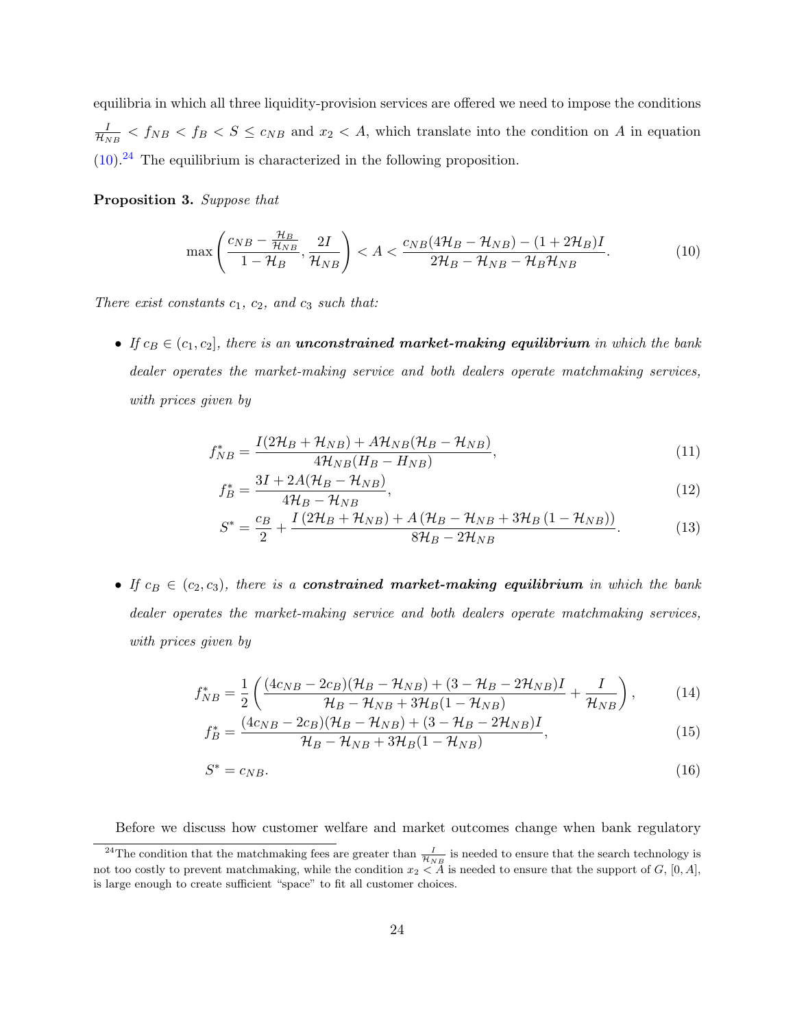equilibria in which all three liquidity-provision services are offered we need to impose the conditions  $\frac{I}{\mathcal{H}_{NB}}$  <  $f_{NB}$  <  $f_{B}$  <  $S \leq c_{NB}$  and  $x_2$  < A, which translate into the condition on A in equation  $(10).<sup>24</sup>$  $(10).<sup>24</sup>$  $(10).<sup>24</sup>$  $(10).<sup>24</sup>$  The equilibrium is characterized in the following proposition.

<span id="page-24-2"></span>Proposition 3. Suppose that

<span id="page-24-0"></span>
$$
\max\left(\frac{c_{NB} - \frac{\mathcal{H}_B}{\mathcal{H}_{NB}}}{1 - \mathcal{H}_B}, \frac{2I}{\mathcal{H}_{NB}}\right) < A < \frac{c_{NB}(4\mathcal{H}_B - \mathcal{H}_{NB}) - (1 + 2\mathcal{H}_B)I}{2\mathcal{H}_B - \mathcal{H}_{NB} - \mathcal{H}_B\mathcal{H}_{NB}}.\tag{10}
$$

There exist constants  $c_1, c_2,$  and  $c_3$  such that:

• If  $c_B \in (c_1, c_2]$ , there is an **unconstrained market-making equilibrium** in which the bank dealer operates the market-making service and both dealers operate matchmaking services, with prices given by

$$
f_{NB}^* = \frac{I(2\mathcal{H}_B + \mathcal{H}_{NB}) + A\mathcal{H}_{NB}(\mathcal{H}_B - \mathcal{H}_{NB})}{4\mathcal{H}_{NB}(H_B - H_{NB})},\tag{11}
$$

$$
f_B^* = \frac{3I + 2A(\mathcal{H}_B - \mathcal{H}_{NB})}{4\mathcal{H}_B - \mathcal{H}_{NB}},\tag{12}
$$

$$
S^* = \frac{c_B}{2} + \frac{I(2\mathcal{H}_B + \mathcal{H}_{NB}) + A(\mathcal{H}_B - \mathcal{H}_{NB} + 3\mathcal{H}_B(1 - \mathcal{H}_{NB}))}{8\mathcal{H}_B - 2\mathcal{H}_{NB}}.
$$
(13)

• If  $c_B \in (c_2, c_3)$ , there is a **constrained market-making equilibrium** in which the bank dealer operates the market-making service and both dealers operate matchmaking services, with prices given by

$$
f_{NB}^{*} = \frac{1}{2} \left( \frac{(4c_{NB} - 2c_{B})(\mathcal{H}_{B} - \mathcal{H}_{NB}) + (3 - \mathcal{H}_{B} - 2\mathcal{H}_{NB})I}{\mathcal{H}_{B} - \mathcal{H}_{NB} + 3\mathcal{H}_{B}(1 - \mathcal{H}_{NB})} + \frac{I}{\mathcal{H}_{NB}} \right),
$$
(14)

$$
f_B^* = \frac{(4c_{NB} - 2c_B)(\mathcal{H}_B - \mathcal{H}_{NB}) + (3 - \mathcal{H}_B - 2\mathcal{H}_{NB})I}{\mathcal{H}_B - \mathcal{H}_{NB} + 3\mathcal{H}_B(1 - \mathcal{H}_{NB})},
$$
(15)

$$
S^* = c_{NB}.\tag{16}
$$

<span id="page-24-1"></span>Before we discuss how customer welfare and market outcomes change when bank regulatory

<sup>&</sup>lt;sup>24</sup>The condition that the matchmaking fees are greater than  $\frac{I}{\mathcal{H}_{NB}}$  is needed to ensure that the search technology is not too costly to prevent matchmaking, while the condition  $x_2 < A$  is needed to ensure that the support of G, [0, A], is large enough to create sufficient "space" to fit all customer choices.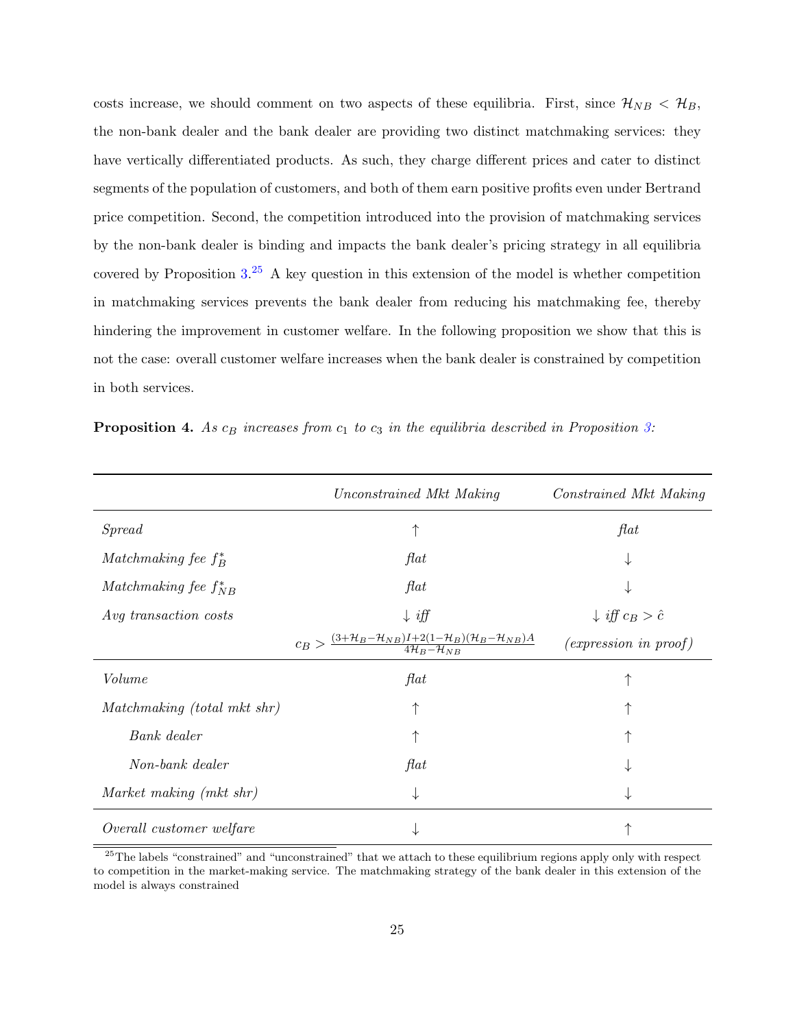costs increase, we should comment on two aspects of these equilibria. First, since  $\mathcal{H}_{NB} < \mathcal{H}_{B}$ , the non-bank dealer and the bank dealer are providing two distinct matchmaking services: they have vertically differentiated products. As such, they charge different prices and cater to distinct segments of the population of customers, and both of them earn positive profits even under Bertrand price competition. Second, the competition introduced into the provision of matchmaking services by the non-bank dealer is binding and impacts the bank dealer's pricing strategy in all equilibria covered by Proposition  $3.^{25}$  $3.^{25}$  $3.^{25}$  $3.^{25}$  A key question in this extension of the model is whether competition in matchmaking services prevents the bank dealer from reducing his matchmaking fee, thereby hindering the improvement in customer welfare. In the following proposition we show that this is not the case: overall customer welfare increases when the bank dealer is constrained by competition in both services.

<span id="page-25-1"></span>

| <b>Proposition 4.</b> As $c_B$ increases from $c_1$ to $c_3$ in the equilibria described in Proposition 3: |  |  |  |
|------------------------------------------------------------------------------------------------------------|--|--|--|
|------------------------------------------------------------------------------------------------------------|--|--|--|

|                             | Unconstrained Mkt Making                                                                                                                | Constrained Mkt Making           |
|-----------------------------|-----------------------------------------------------------------------------------------------------------------------------------------|----------------------------------|
| Spread                      |                                                                                                                                         | flat                             |
| Matchmaking fee $f_R^*$     | $\operatorname{flat}$                                                                                                                   | ↓                                |
| Matchmaking fee $f_{NB}^*$  | $\int a t$                                                                                                                              |                                  |
| Avg transaction costs       | $\downarrow$ iff                                                                                                                        | $\downarrow$ iff $c_B > \hat{c}$ |
|                             | $c_B > \frac{(3+\mathcal{H}_B-\mathcal{H}_{NB})I+2(1-\mathcal{H}_B)(\mathcal{H}_B-\mathcal{H}_{NB})A}{4\mathcal{H}_B-\mathcal{H}_{NB}}$ | $(expression\ in\ proof)$        |
| Volume                      | $\operatorname{flat}$                                                                                                                   | 个                                |
| Matchmaking (total mkt shr) |                                                                                                                                         |                                  |
| Bank dealer                 |                                                                                                                                         |                                  |
| Non-bank dealer             | $\operatorname{flat}$                                                                                                                   | ⇃                                |
| Market making (mkt shr)     | ↓                                                                                                                                       | ⇃                                |
| Overall customer welfare    |                                                                                                                                         |                                  |

<span id="page-25-0"></span> $25$ The labels "constrained" and "unconstrained" that we attach to these equilibrium regions apply only with respect to competition in the market-making service. The matchmaking strategy of the bank dealer in this extension of the model is always constrained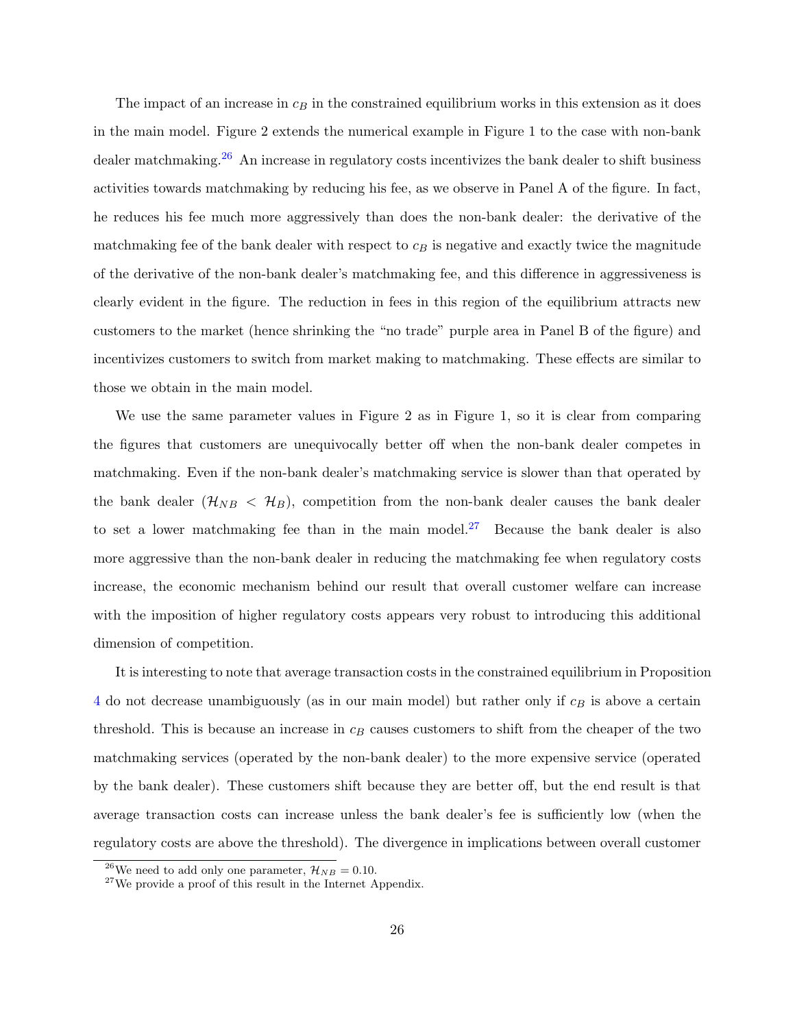The impact of an increase in  $c_B$  in the constrained equilibrium works in this extension as it does in the main model. Figure 2 extends the numerical example in Figure 1 to the case with non-bank dealer matchmaking.<sup>[26](#page-26-0)</sup> An increase in regulatory costs incentivizes the bank dealer to shift business activities towards matchmaking by reducing his fee, as we observe in Panel A of the figure. In fact, he reduces his fee much more aggressively than does the non-bank dealer: the derivative of the matchmaking fee of the bank dealer with respect to  $c_B$  is negative and exactly twice the magnitude of the derivative of the non-bank dealer's matchmaking fee, and this difference in aggressiveness is clearly evident in the figure. The reduction in fees in this region of the equilibrium attracts new customers to the market (hence shrinking the "no trade" purple area in Panel B of the figure) and incentivizes customers to switch from market making to matchmaking. These effects are similar to those we obtain in the main model.

We use the same parameter values in Figure 2 as in Figure 1, so it is clear from comparing the figures that customers are unequivocally better off when the non-bank dealer competes in matchmaking. Even if the non-bank dealer's matchmaking service is slower than that operated by the bank dealer  $(\mathcal{H}_{NB} < \mathcal{H}_{B})$ , competition from the non-bank dealer causes the bank dealer to set a lower matchmaking fee than in the main model.<sup>[27](#page-26-1)</sup> Because the bank dealer is also more aggressive than the non-bank dealer in reducing the matchmaking fee when regulatory costs increase, the economic mechanism behind our result that overall customer welfare can increase with the imposition of higher regulatory costs appears very robust to introducing this additional dimension of competition.

It is interesting to note that average transaction costs in the constrained equilibrium in Proposition  $4$  do not decrease unambiguously (as in our main model) but rather only if  $c_B$  is above a certain threshold. This is because an increase in  $c_B$  causes customers to shift from the cheaper of the two matchmaking services (operated by the non-bank dealer) to the more expensive service (operated by the bank dealer). These customers shift because they are better off, but the end result is that average transaction costs can increase unless the bank dealer's fee is sufficiently low (when the regulatory costs are above the threshold). The divergence in implications between overall customer

<span id="page-26-0"></span><sup>&</sup>lt;sup>26</sup>We need to add only one parameter,  $\mathcal{H}_{NB} = 0.10$ .

<span id="page-26-1"></span> $27$ We provide a proof of this result in the Internet Appendix.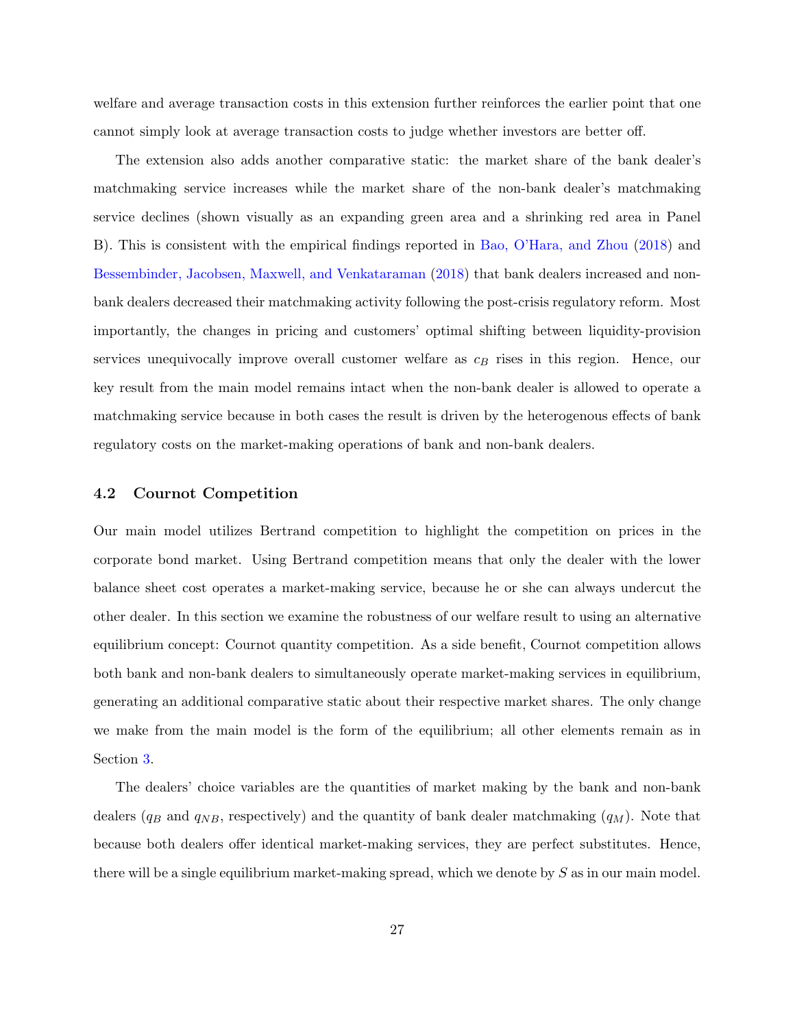welfare and average transaction costs in this extension further reinforces the earlier point that one cannot simply look at average transaction costs to judge whether investors are better off.

The extension also adds another comparative static: the market share of the bank dealer's matchmaking service increases while the market share of the non-bank dealer's matchmaking service declines (shown visually as an expanding green area and a shrinking red area in Panel B). This is consistent with the empirical findings reported in [Bao, O'Hara, and Zhou](#page-62-2) [\(2018\)](#page-62-2) and [Bessembinder, Jacobsen, Maxwell, and Venkataraman](#page-62-7) [\(2018\)](#page-62-7) that bank dealers increased and nonbank dealers decreased their matchmaking activity following the post-crisis regulatory reform. Most importantly, the changes in pricing and customers' optimal shifting between liquidity-provision services unequivocally improve overall customer welfare as  $c_B$  rises in this region. Hence, our key result from the main model remains intact when the non-bank dealer is allowed to operate a matchmaking service because in both cases the result is driven by the heterogenous effects of bank regulatory costs on the market-making operations of bank and non-bank dealers.

### <span id="page-27-0"></span>4.2 Cournot Competition

Our main model utilizes Bertrand competition to highlight the competition on prices in the corporate bond market. Using Bertrand competition means that only the dealer with the lower balance sheet cost operates a market-making service, because he or she can always undercut the other dealer. In this section we examine the robustness of our welfare result to using an alternative equilibrium concept: Cournot quantity competition. As a side benefit, Cournot competition allows both bank and non-bank dealers to simultaneously operate market-making services in equilibrium, generating an additional comparative static about their respective market shares. The only change we make from the main model is the form of the equilibrium; all other elements remain as in Section [3.](#page-13-0)

The dealers' choice variables are the quantities of market making by the bank and non-bank dealers ( $q_B$  and  $q_{NB}$ , respectively) and the quantity of bank dealer matchmaking ( $q_M$ ). Note that because both dealers offer identical market-making services, they are perfect substitutes. Hence, there will be a single equilibrium market-making spread, which we denote by  $S$  as in our main model.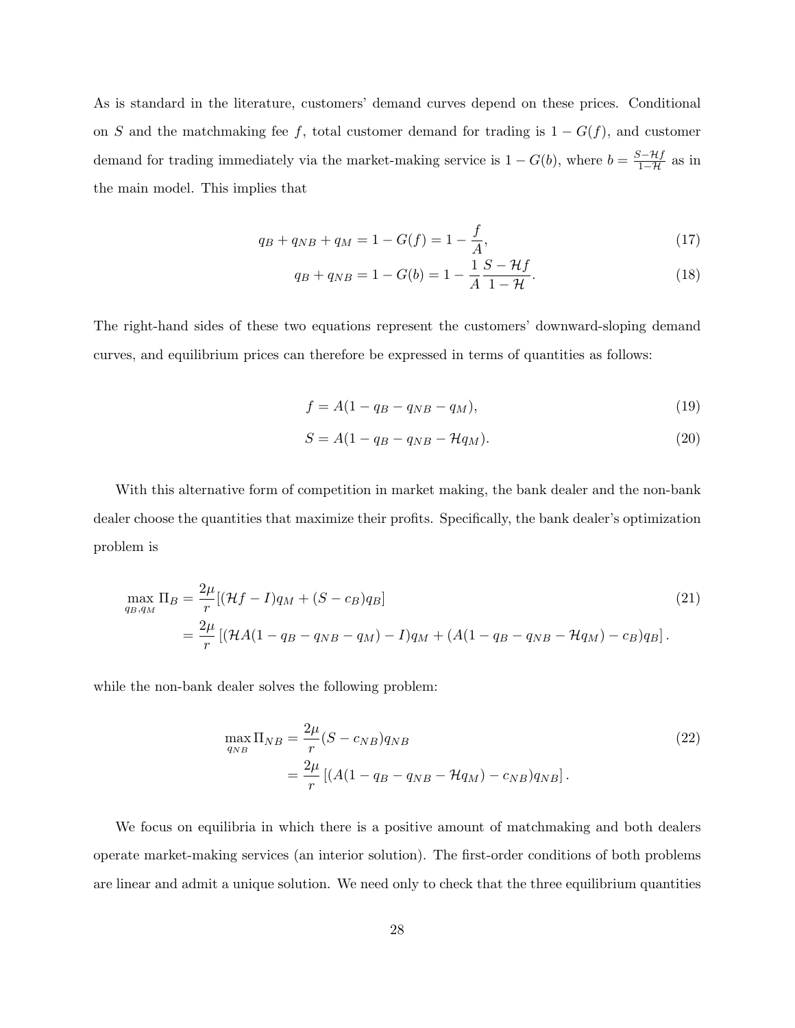As is standard in the literature, customers' demand curves depend on these prices. Conditional on S and the matchmaking fee f, total customer demand for trading is  $1 - G(f)$ , and customer demand for trading immediately via the market-making service is  $1 - G(b)$ , where  $b = \frac{S - Hf}{1 - H}$  as in the main model. This implies that

$$
q_B + q_{NB} + q_M = 1 - G(f) = 1 - \frac{f}{A},\tag{17}
$$

$$
q_B + q_{NB} = 1 - G(b) = 1 - \frac{1}{A} \frac{S - Hf}{1 - H}.
$$
\n(18)

The right-hand sides of these two equations represent the customers' downward-sloping demand curves, and equilibrium prices can therefore be expressed in terms of quantities as follows:

$$
f = A(1 - q_B - q_{NB} - q_M),\tag{19}
$$

$$
S = A(1 - q_B - q_{NB} - \mathcal{H}q_M). \tag{20}
$$

With this alternative form of competition in market making, the bank dealer and the non-bank dealer choose the quantities that maximize their profits. Specifically, the bank dealer's optimization problem is

$$
\max_{q_B, q_M} \Pi_B = \frac{2\mu}{r} [(\mathcal{H}f - I)q_M + (S - c_B)q_B]
$$
\n
$$
= \frac{2\mu}{r} [(\mathcal{H}A(1 - q_B - q_{NB} - q_M) - I)q_M + (A(1 - q_B - q_{NB} - \mathcal{H}q_M) - c_B)q_B].
$$
\n(21)

while the non-bank dealer solves the following problem:

$$
\max_{q_{NB}} \Pi_{NB} = \frac{2\mu}{r} (S - c_{NB}) q_{NB} \n= \frac{2\mu}{r} [(A(1 - q_B - q_{NB} - \mathcal{H}q_M) - c_{NB}) q_{NB}].
$$
\n(22)

We focus on equilibria in which there is a positive amount of matchmaking and both dealers operate market-making services (an interior solution). The first-order conditions of both problems are linear and admit a unique solution. We need only to check that the three equilibrium quantities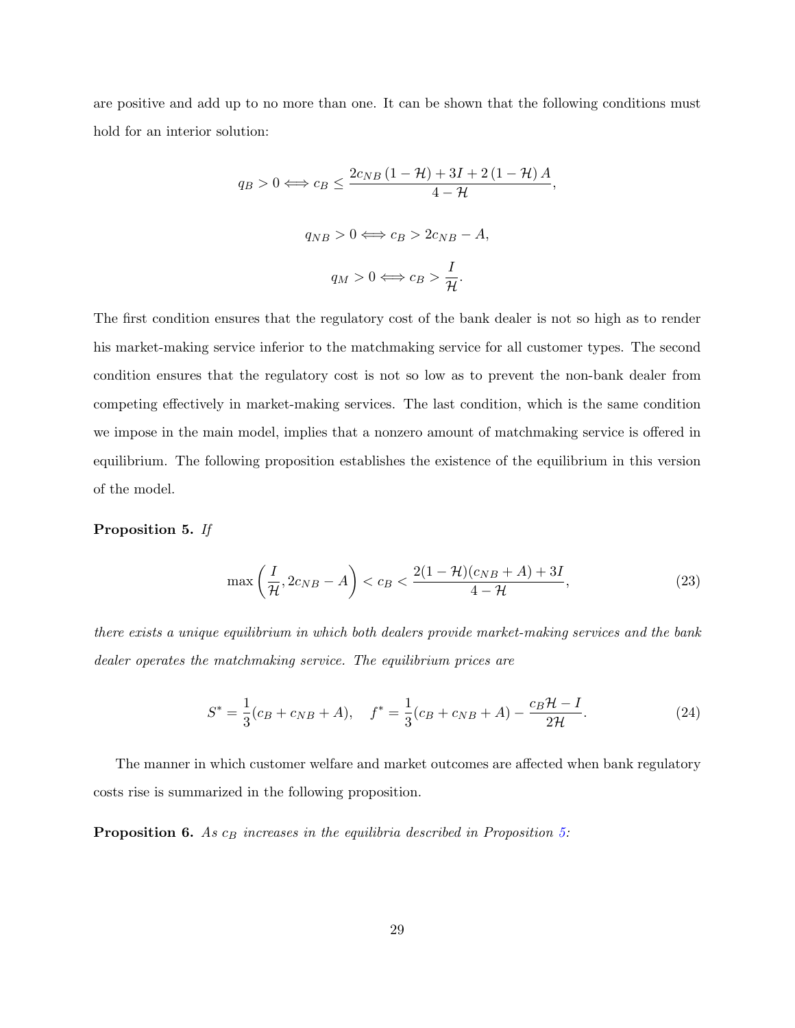are positive and add up to no more than one. It can be shown that the following conditions must hold for an interior solution:

$$
q_B > 0 \Longleftrightarrow c_B \le \frac{2c_{NB} (1 - \mathcal{H}) + 3I + 2(1 - \mathcal{H})A}{4 - \mathcal{H}},
$$
  

$$
q_{NB} > 0 \Longleftrightarrow c_B > 2c_{NB} - A,
$$
  

$$
q_M > 0 \Longleftrightarrow c_B > \frac{I}{\mathcal{H}}.
$$

The first condition ensures that the regulatory cost of the bank dealer is not so high as to render his market-making service inferior to the matchmaking service for all customer types. The second condition ensures that the regulatory cost is not so low as to prevent the non-bank dealer from competing effectively in market-making services. The last condition, which is the same condition we impose in the main model, implies that a nonzero amount of matchmaking service is offered in equilibrium. The following proposition establishes the existence of the equilibrium in this version of the model.

### <span id="page-29-0"></span>Proposition 5. If

$$
\max\left(\frac{I}{\mathcal{H}}, 2c_{NB} - A\right) < c = < \frac{2(1 - \mathcal{H})(c_{NB} + A) + 3I}{4 - \mathcal{H}},\tag{23}
$$

there exists a unique equilibrium in which both dealers provide market-making services and the bank dealer operates the matchmaking service. The equilibrium prices are

$$
S^* = \frac{1}{3}(c_B + c_{NB} + A), \quad f^* = \frac{1}{3}(c_B + c_{NB} + A) - \frac{c_B \mathcal{H} - I}{2\mathcal{H}}.
$$
 (24)

The manner in which customer welfare and market outcomes are affected when bank regulatory costs rise is summarized in the following proposition.

<span id="page-29-1"></span>**Proposition 6.** As  $c_B$  increases in the equilibria described in Proposition [5:](#page-29-0)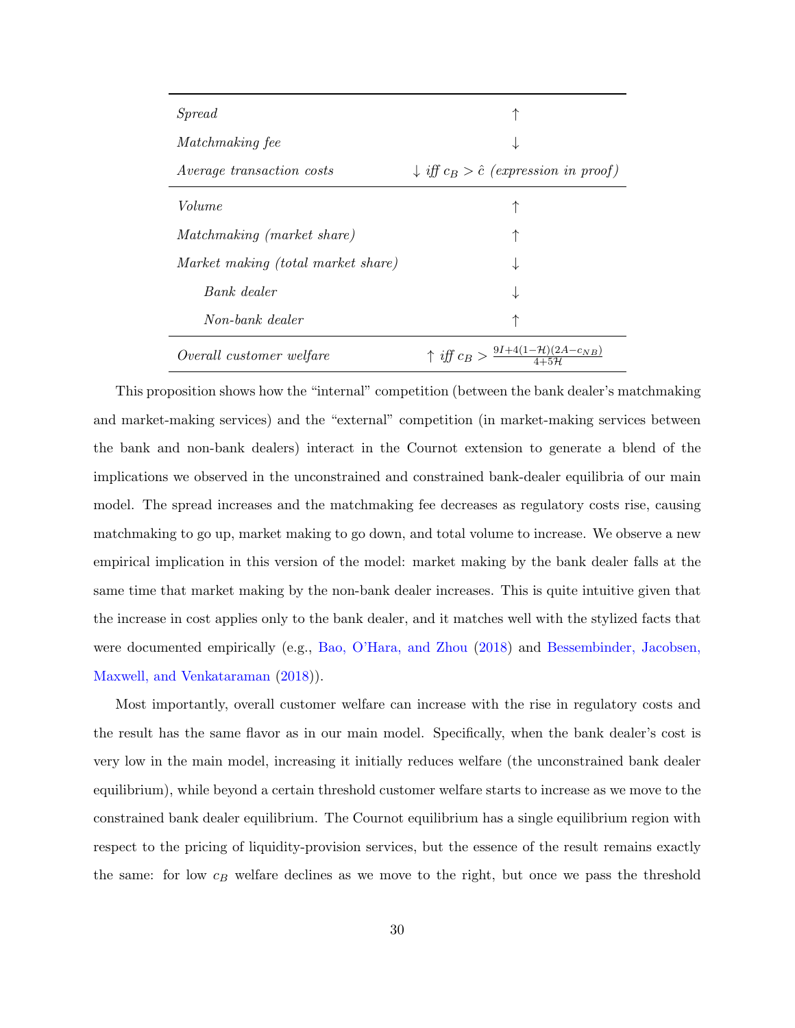| Spread                             |                                                             |  |  |
|------------------------------------|-------------------------------------------------------------|--|--|
| <i>Matchmaking fee</i>             | ↓                                                           |  |  |
| <i>Average transaction costs</i>   | $\downarrow$ iff $c_B > \hat{c}$ (expression in proof)      |  |  |
| Volume                             | ↑                                                           |  |  |
| <i>Matchmaking (market share)</i>  | ↑                                                           |  |  |
| Market making (total market share) |                                                             |  |  |
| Bank dealer                        |                                                             |  |  |
| Non-bank dealer                    | ↑                                                           |  |  |
| Overall customer welfare           | $\uparrow$ iff $c_B > \frac{9I + 4(1 - H)(2A - c_{NB})}{2}$ |  |  |

This proposition shows how the "internal" competition (between the bank dealer's matchmaking and market-making services) and the "external" competition (in market-making services between the bank and non-bank dealers) interact in the Cournot extension to generate a blend of the implications we observed in the unconstrained and constrained bank-dealer equilibria of our main model. The spread increases and the matchmaking fee decreases as regulatory costs rise, causing matchmaking to go up, market making to go down, and total volume to increase. We observe a new empirical implication in this version of the model: market making by the bank dealer falls at the same time that market making by the non-bank dealer increases. This is quite intuitive given that the increase in cost applies only to the bank dealer, and it matches well with the stylized facts that were documented empirically (e.g., [Bao, O'Hara, and Zhou](#page-62-2) [\(2018\)](#page-62-2) and [Bessembinder, Jacobsen,](#page-62-7) [Maxwell, and Venkataraman](#page-62-7) [\(2018\)](#page-62-7)).

Most importantly, overall customer welfare can increase with the rise in regulatory costs and the result has the same flavor as in our main model. Specifically, when the bank dealer's cost is very low in the main model, increasing it initially reduces welfare (the unconstrained bank dealer equilibrium), while beyond a certain threshold customer welfare starts to increase as we move to the constrained bank dealer equilibrium. The Cournot equilibrium has a single equilibrium region with respect to the pricing of liquidity-provision services, but the essence of the result remains exactly the same: for low  $c_B$  welfare declines as we move to the right, but once we pass the threshold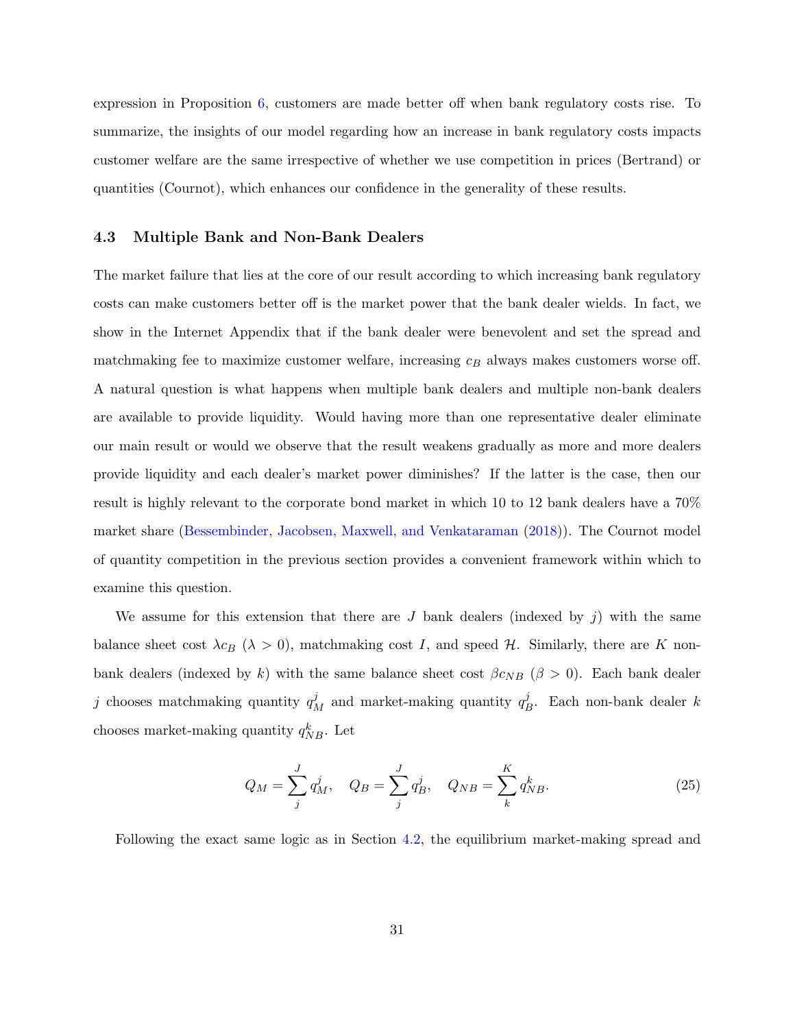expression in Proposition [6,](#page-29-1) customers are made better off when bank regulatory costs rise. To summarize, the insights of our model regarding how an increase in bank regulatory costs impacts customer welfare are the same irrespective of whether we use competition in prices (Bertrand) or quantities (Cournot), which enhances our confidence in the generality of these results.

### 4.3 Multiple Bank and Non-Bank Dealers

The market failure that lies at the core of our result according to which increasing bank regulatory costs can make customers better off is the market power that the bank dealer wields. In fact, we show in the Internet Appendix that if the bank dealer were benevolent and set the spread and matchmaking fee to maximize customer welfare, increasing  $c_B$  always makes customers worse off. A natural question is what happens when multiple bank dealers and multiple non-bank dealers are available to provide liquidity. Would having more than one representative dealer eliminate our main result or would we observe that the result weakens gradually as more and more dealers provide liquidity and each dealer's market power diminishes? If the latter is the case, then our result is highly relevant to the corporate bond market in which 10 to 12 bank dealers have a 70% market share [\(Bessembinder, Jacobsen, Maxwell, and Venkataraman](#page-62-7) [\(2018\)](#page-62-7)). The Cournot model of quantity competition in the previous section provides a convenient framework within which to examine this question.

We assume for this extension that there are J bank dealers (indexed by  $j$ ) with the same balance sheet cost  $\lambda c_B$  ( $\lambda > 0$ ), matchmaking cost I, and speed H. Similarly, there are K nonbank dealers (indexed by k) with the same balance sheet cost  $\beta c_{NB}$  ( $\beta > 0$ ). Each bank dealer j chooses matchmaking quantity  $q_M^j$  and market-making quantity  $q_I^j$  $B$ . Each non-bank dealer k chooses market-making quantity  $q_{NB}^k$ . Let

$$
Q_M = \sum_j^J q_M^j, \quad Q_B = \sum_j^J q_B^j, \quad Q_{NB} = \sum_k^K q_{NB}^k.
$$
 (25)

Following the exact same logic as in Section [4.2,](#page-27-0) the equilibrium market-making spread and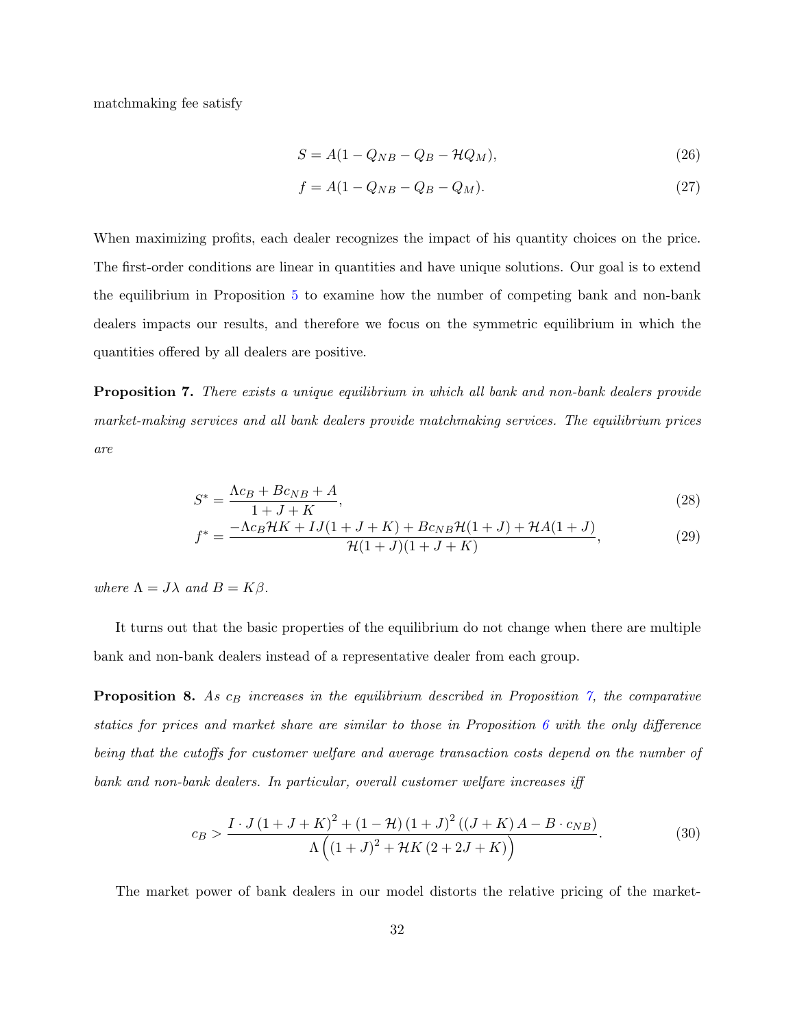matchmaking fee satisfy

$$
S = A(1 - Q_{NB} - Q_B - \mathcal{H}Q_M),\tag{26}
$$

$$
f = A(1 - Q_{NB} - Q_B - Q_M). \tag{27}
$$

When maximizing profits, each dealer recognizes the impact of his quantity choices on the price. The first-order conditions are linear in quantities and have unique solutions. Our goal is to extend the equilibrium in Proposition [5](#page-29-0) to examine how the number of competing bank and non-bank dealers impacts our results, and therefore we focus on the symmetric equilibrium in which the quantities offered by all dealers are positive.

<span id="page-32-0"></span>**Proposition 7.** There exists a unique equilibrium in which all bank and non-bank dealers provide market-making services and all bank dealers provide matchmaking services. The equilibrium prices are

$$
S^* = \frac{\Lambda c_B + B c_{NB} + A}{1 + J + K},\tag{28}
$$

$$
f^* = \frac{-\Lambda c_B \mathcal{H} K + I J (1 + J + K) + B c_{NB} \mathcal{H} (1 + J) + \mathcal{H} A (1 + J)}{\mathcal{H} (1 + J) (1 + J + K)},\tag{29}
$$

where  $\Lambda = J\lambda$  and  $B = K\beta$ .

It turns out that the basic properties of the equilibrium do not change when there are multiple bank and non-bank dealers instead of a representative dealer from each group.

<span id="page-32-2"></span>**Proposition 8.** As  $c_B$  increases in the equilibrium described in Proposition [7,](#page-32-0) the comparative statics for prices and market share are similar to those in Proposition [6](#page-29-1) with the only difference being that the cutoffs for customer welfare and average transaction costs depend on the number of bank and non-bank dealers. In particular, overall customer welfare increases iff

<span id="page-32-1"></span>
$$
c_B > \frac{I \cdot J (1 + J + K)^2 + (1 - \mathcal{H}) (1 + J)^2 ((J + K) A - B \cdot c_{NB})}{\Lambda ((1 + J)^2 + \mathcal{H} K (2 + 2J + K))}.
$$
 (30)

The market power of bank dealers in our model distorts the relative pricing of the market-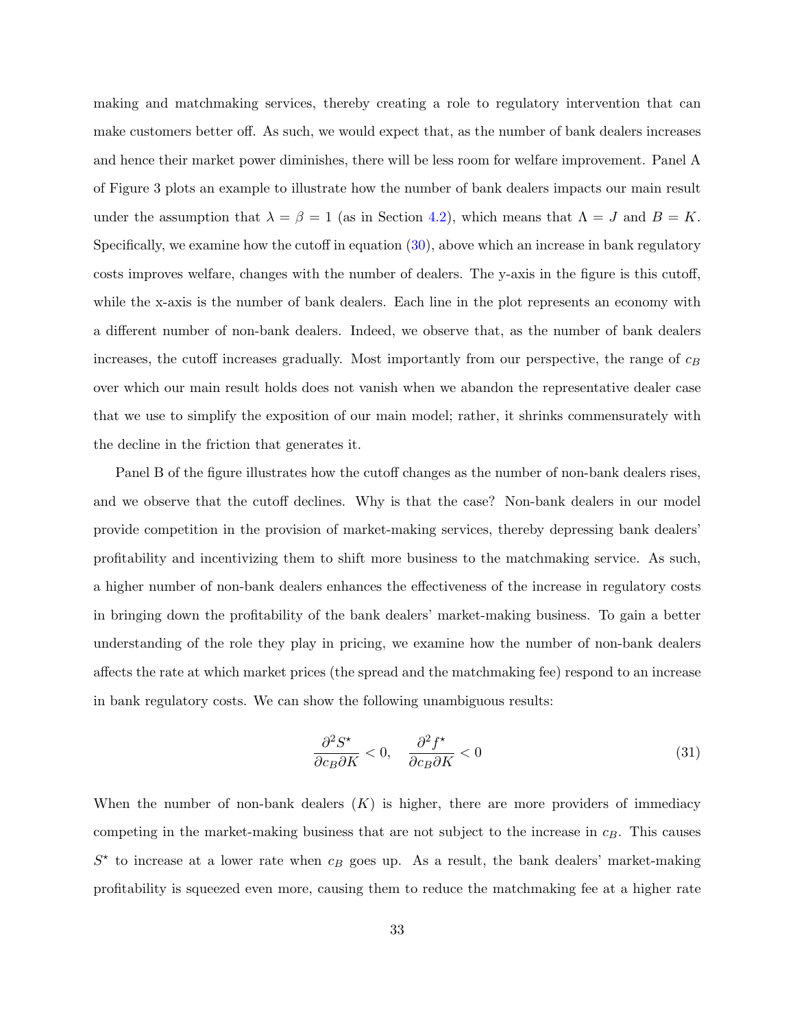making and matchmaking services, thereby creating a role to regulatory intervention that can make customers better off. As such, we would expect that, as the number of bank dealers increases and hence their market power diminishes, there will be less room for welfare improvement. Panel A of Figure 3 plots an example to illustrate how the number of bank dealers impacts our main result under the assumption that  $\lambda = \beta = 1$  (as in Section [4.2\)](#page-27-0), which means that  $\Lambda = J$  and  $B = K$ . Specifically, we examine how the cutoff in equation [\(30\)](#page-32-1), above which an increase in bank regulatory costs improves welfare, changes with the number of dealers. The y-axis in the figure is this cutoff, while the x-axis is the number of bank dealers. Each line in the plot represents an economy with a different number of non-bank dealers. Indeed, we observe that, as the number of bank dealers increases, the cutoff increases gradually. Most importantly from our perspective, the range of  $c_B$ over which our main result holds does not vanish when we abandon the representative dealer case that we use to simplify the exposition of our main model; rather, it shrinks commensurately with the decline in the friction that generates it.

Panel B of the figure illustrates how the cutoff changes as the number of non-bank dealers rises, and we observe that the cutoff declines. Why is that the case? Non-bank dealers in our model provide competition in the provision of market-making services, thereby depressing bank dealers' profitability and incentivizing them to shift more business to the matchmaking service. As such, a higher number of non-bank dealers enhances the effectiveness of the increase in regulatory costs in bringing down the profitability of the bank dealers' market-making business. To gain a better understanding of the role they play in pricing, we examine how the number of non-bank dealers affects the rate at which market prices (the spread and the matchmaking fee) respond to an increase in bank regulatory costs. We can show the following unambiguous results:

$$
\frac{\partial^2 S^\star}{\partial c_B \partial K} < 0, \quad \frac{\partial^2 f^\star}{\partial c_B \partial K} < 0 \tag{31}
$$

When the number of non-bank dealers  $(K)$  is higher, there are more providers of immediacy competing in the market-making business that are not subject to the increase in  $c_B$ . This causes  $S^*$  to increase at a lower rate when  $c_B$  goes up. As a result, the bank dealers' market-making profitability is squeezed even more, causing them to reduce the matchmaking fee at a higher rate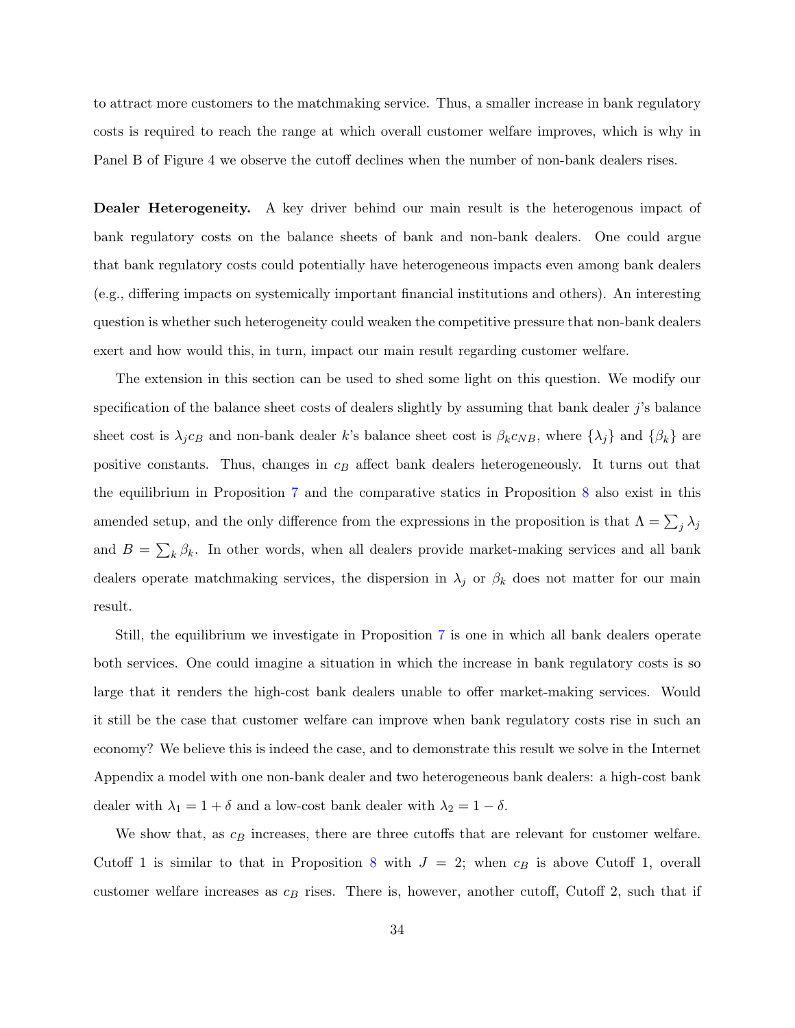to attract more customers to the matchmaking service. Thus, a smaller increase in bank regulatory costs is required to reach the range at which overall customer welfare improves, which is why in Panel B of Figure 4 we observe the cutoff declines when the number of non-bank dealers rises.

Dealer Heterogeneity. A key driver behind our main result is the heterogenous impact of bank regulatory costs on the balance sheets of bank and non-bank dealers. One could argue that bank regulatory costs could potentially have heterogeneous impacts even among bank dealers (e.g., differing impacts on systemically important financial institutions and others). An interesting question is whether such heterogeneity could weaken the competitive pressure that non-bank dealers exert and how would this, in turn, impact our main result regarding customer welfare.

The extension in this section can be used to shed some light on this question. We modify our specification of the balance sheet costs of dealers slightly by assuming that bank dealer  $j$ 's balance sheet cost is  $\lambda_j c_B$  and non-bank dealer k's balance sheet cost is  $\beta_k c_{NB}$ , where  $\{\lambda_j\}$  and  $\{\beta_k\}$  are positive constants. Thus, changes in  $c_B$  affect bank dealers heterogeneously. It turns out that the equilibrium in Proposition [7](#page-32-0) and the comparative statics in Proposition [8](#page-32-2) also exist in this amended setup, and the only difference from the expressions in the proposition is that  $\Lambda = \sum_j \lambda_j$ and  $B = \sum_{k} \beta_k$ . In other words, when all dealers provide market-making services and all bank dealers operate matchmaking services, the dispersion in  $\lambda_j$  or  $\beta_k$  does not matter for our main result.

Still, the equilibrium we investigate in Proposition [7](#page-32-0) is one in which all bank dealers operate both services. One could imagine a situation in which the increase in bank regulatory costs is so large that it renders the high-cost bank dealers unable to offer market-making services. Would it still be the case that customer welfare can improve when bank regulatory costs rise in such an economy? We believe this is indeed the case, and to demonstrate this result we solve in the Internet Appendix a model with one non-bank dealer and two heterogeneous bank dealers: a high-cost bank dealer with  $\lambda_1 = 1 + \delta$  and a low-cost bank dealer with  $\lambda_2 = 1 - \delta$ .

We show that, as  $c_B$  increases, there are three cutoffs that are relevant for customer welfare. Cutoff 1 is similar to that in Proposition [8](#page-32-2) with  $J = 2$ ; when  $c_B$  is above Cutoff 1, overall customer welfare increases as  $c_B$  rises. There is, however, another cutoff, Cutoff 2, such that if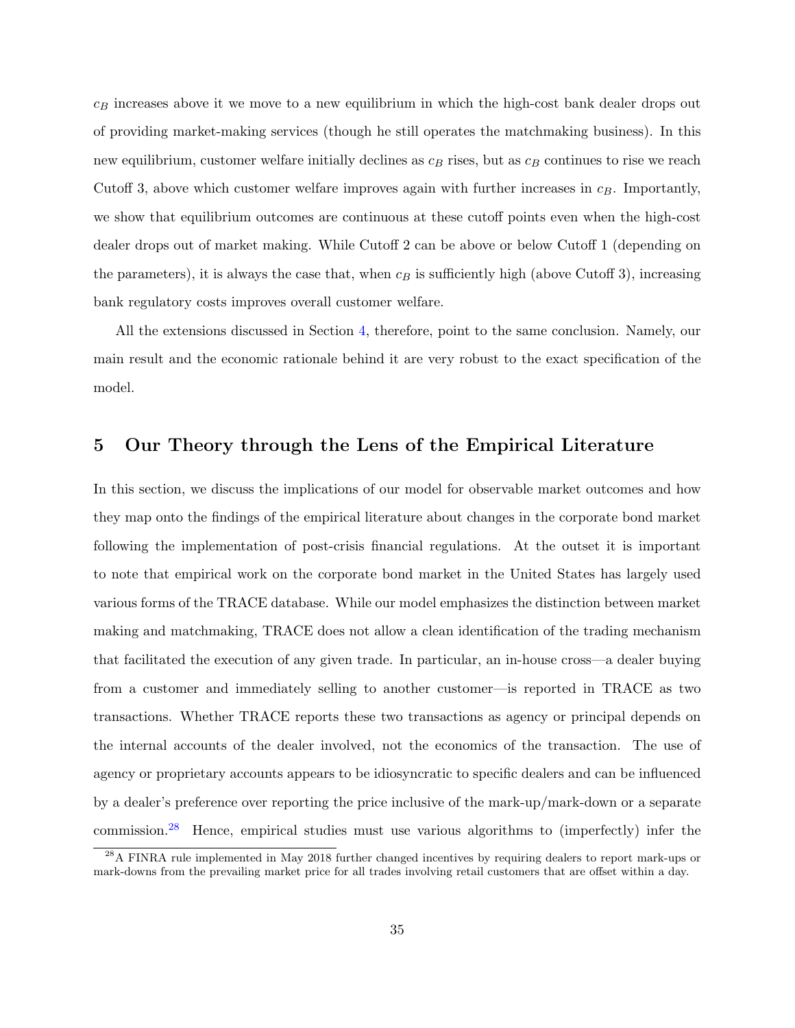$c_B$  increases above it we move to a new equilibrium in which the high-cost bank dealer drops out of providing market-making services (though he still operates the matchmaking business). In this new equilibrium, customer welfare initially declines as  $c_B$  rises, but as  $c_B$  continues to rise we reach Cutoff 3, above which customer welfare improves again with further increases in  $c_B$ . Importantly, we show that equilibrium outcomes are continuous at these cutoff points even when the high-cost dealer drops out of market making. While Cutoff 2 can be above or below Cutoff 1 (depending on the parameters), it is always the case that, when  $c_B$  is sufficiently high (above Cutoff 3), increasing bank regulatory costs improves overall customer welfare.

All the extensions discussed in Section [4,](#page-21-0) therefore, point to the same conclusion. Namely, our main result and the economic rationale behind it are very robust to the exact specification of the model.

## 5 Our Theory through the Lens of the Empirical Literature

In this section, we discuss the implications of our model for observable market outcomes and how they map onto the findings of the empirical literature about changes in the corporate bond market following the implementation of post-crisis financial regulations. At the outset it is important to note that empirical work on the corporate bond market in the United States has largely used various forms of the TRACE database. While our model emphasizes the distinction between market making and matchmaking, TRACE does not allow a clean identification of the trading mechanism that facilitated the execution of any given trade. In particular, an in-house cross—a dealer buying from a customer and immediately selling to another customer—is reported in TRACE as two transactions. Whether TRACE reports these two transactions as agency or principal depends on the internal accounts of the dealer involved, not the economics of the transaction. The use of agency or proprietary accounts appears to be idiosyncratic to specific dealers and can be influenced by a dealer's preference over reporting the price inclusive of the mark-up/mark-down or a separate commission.[28](#page-35-0) Hence, empirical studies must use various algorithms to (imperfectly) infer the

<span id="page-35-0"></span><sup>&</sup>lt;sup>28</sup>A FINRA rule implemented in May 2018 further changed incentives by requiring dealers to report mark-ups or mark-downs from the prevailing market price for all trades involving retail customers that are offset within a day.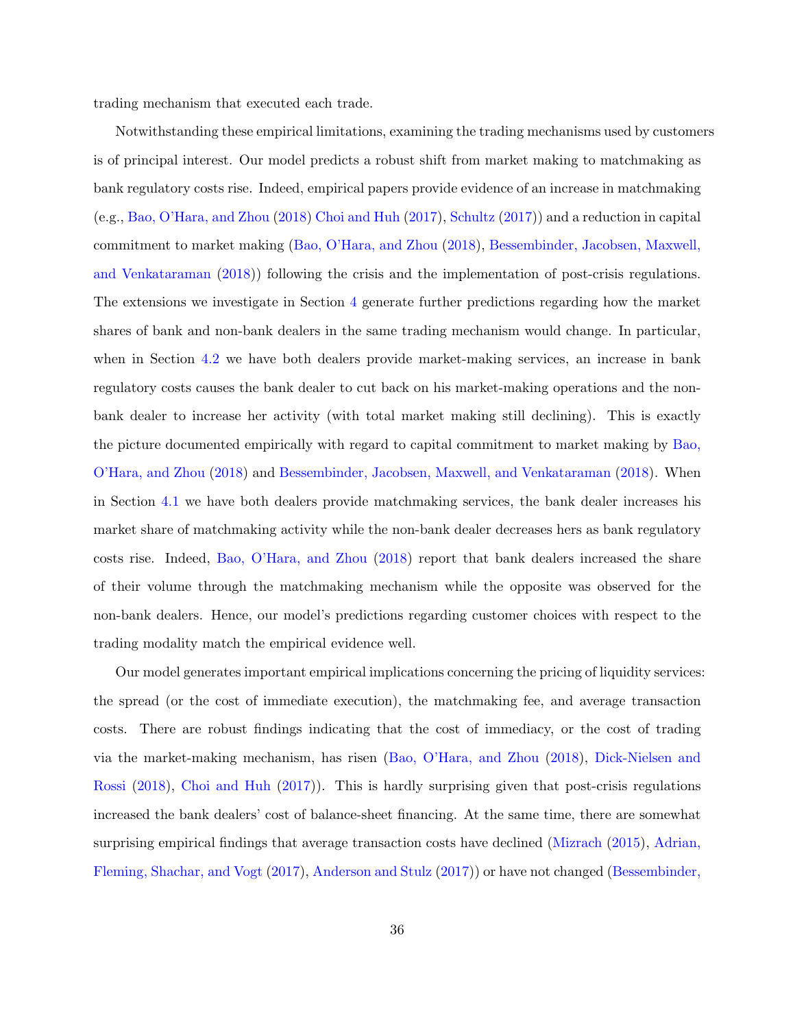trading mechanism that executed each trade.

Notwithstanding these empirical limitations, examining the trading mechanisms used by customers is of principal interest. Our model predicts a robust shift from market making to matchmaking as bank regulatory costs rise. Indeed, empirical papers provide evidence of an increase in matchmaking (e.g., [Bao, O'Hara, and Zhou](#page-62-2) [\(2018\)](#page-62-2) [Choi and Huh](#page-62-3) [\(2017\)](#page-62-3), [Schultz](#page-63-2) [\(2017\)](#page-63-2)) and a reduction in capital commitment to market making [\(Bao, O'Hara, and Zhou](#page-62-2) [\(2018\)](#page-62-2), [Bessembinder, Jacobsen, Maxwell,](#page-62-7) [and Venkataraman](#page-62-7) [\(2018\)](#page-62-7)) following the crisis and the implementation of post-crisis regulations. The extensions we investigate in Section [4](#page-21-0) generate further predictions regarding how the market shares of bank and non-bank dealers in the same trading mechanism would change. In particular, when in Section [4.2](#page-27-0) we have both dealers provide market-making services, an increase in bank regulatory costs causes the bank dealer to cut back on his market-making operations and the nonbank dealer to increase her activity (with total market making still declining). This is exactly the picture documented empirically with regard to capital commitment to market making by [Bao,](#page-62-2) [O'Hara, and Zhou](#page-62-2) [\(2018\)](#page-62-2) and [Bessembinder, Jacobsen, Maxwell, and Venkataraman](#page-62-7) [\(2018\)](#page-62-7). When in Section [4.1](#page-22-3) we have both dealers provide matchmaking services, the bank dealer increases his market share of matchmaking activity while the non-bank dealer decreases hers as bank regulatory costs rise. Indeed, [Bao, O'Hara, and Zhou](#page-62-2) [\(2018\)](#page-62-2) report that bank dealers increased the share of their volume through the matchmaking mechanism while the opposite was observed for the non-bank dealers. Hence, our model's predictions regarding customer choices with respect to the trading modality match the empirical evidence well.

Our model generates important empirical implications concerning the pricing of liquidity services: the spread (or the cost of immediate execution), the matchmaking fee, and average transaction costs. There are robust findings indicating that the cost of immediacy, or the cost of trading via the market-making mechanism, has risen [\(Bao, O'Hara, and Zhou](#page-62-2) [\(2018\)](#page-62-2), [Dick-Nielsen and](#page-62-4) [Rossi](#page-62-4) [\(2018\)](#page-62-4), [Choi and Huh](#page-62-3) [\(2017\)](#page-62-3)). This is hardly surprising given that post-crisis regulations increased the bank dealers' cost of balance-sheet financing. At the same time, there are somewhat surprising empirical findings that average transaction costs have declined [\(Mizrach](#page-63-0) [\(2015\)](#page-63-0), [Adrian,](#page-62-5) [Fleming, Shachar, and Vogt](#page-62-5) [\(2017\)](#page-62-5), [Anderson and Stulz](#page-62-6) [\(2017\)](#page-62-6)) or have not changed [\(Bessembinder,](#page-62-7)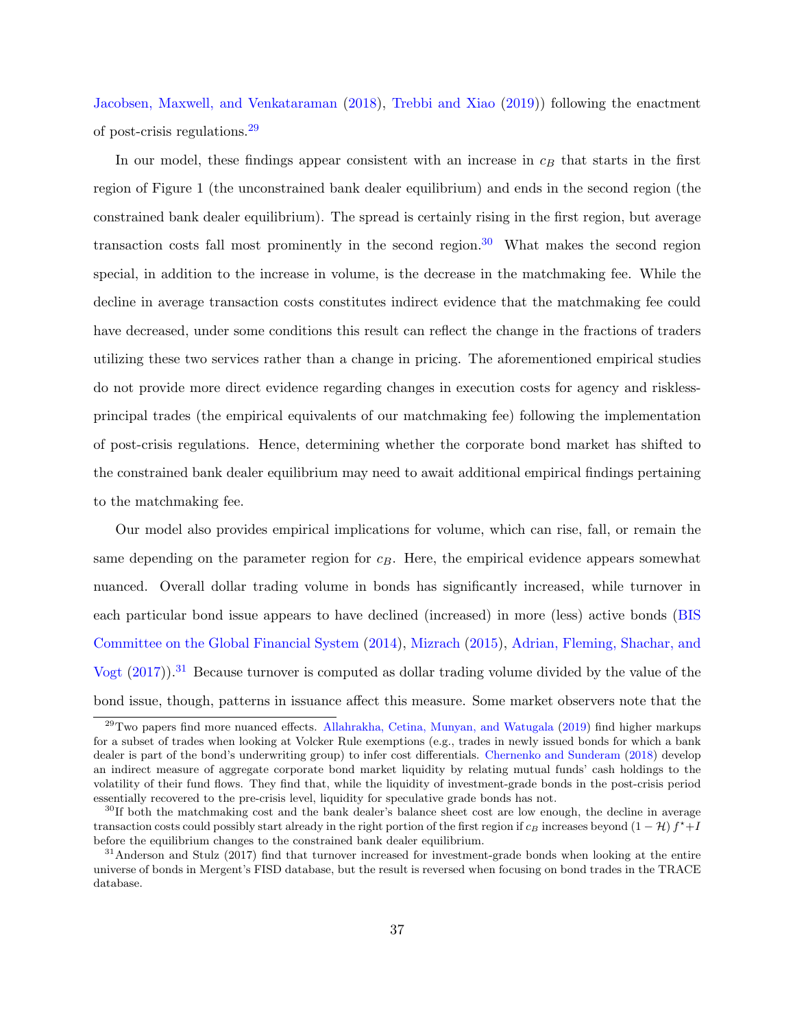[Jacobsen, Maxwell, and Venkataraman](#page-62-7) [\(2018\)](#page-62-7), [Trebbi and Xiao](#page-63-1) [\(2019\)](#page-63-1)) following the enactment of post-crisis regulations.[29](#page-37-0)

In our model, these findings appear consistent with an increase in  $c_B$  that starts in the first region of Figure 1 (the unconstrained bank dealer equilibrium) and ends in the second region (the constrained bank dealer equilibrium). The spread is certainly rising in the first region, but average transaction costs fall most prominently in the second region.<sup>[30](#page-37-1)</sup> What makes the second region special, in addition to the increase in volume, is the decrease in the matchmaking fee. While the decline in average transaction costs constitutes indirect evidence that the matchmaking fee could have decreased, under some conditions this result can reflect the change in the fractions of traders utilizing these two services rather than a change in pricing. The aforementioned empirical studies do not provide more direct evidence regarding changes in execution costs for agency and risklessprincipal trades (the empirical equivalents of our matchmaking fee) following the implementation of post-crisis regulations. Hence, determining whether the corporate bond market has shifted to the constrained bank dealer equilibrium may need to await additional empirical findings pertaining to the matchmaking fee.

Our model also provides empirical implications for volume, which can rise, fall, or remain the same depending on the parameter region for  $c_B$ . Here, the empirical evidence appears somewhat nuanced. Overall dollar trading volume in bonds has significantly increased, while turnover in each particular bond issue appears to have declined (increased) in more (less) active bonds [\(BIS](#page-62-0) [Committee on the Global Financial System](#page-62-0) [\(2014\)](#page-62-0), [Mizrach](#page-63-0) [\(2015\)](#page-63-0), [Adrian, Fleming, Shachar, and](#page-62-5) [Vogt](#page-62-5)  $(2017)$ .<sup>[31](#page-37-2)</sup> Because turnover is computed as dollar trading volume divided by the value of the bond issue, though, patterns in issuance affect this measure. Some market observers note that the

<span id="page-37-0"></span> $^{29}$ Two papers find more nuanced effects. [Allahrakha, Cetina, Munyan, and Watugala](#page-62-15) [\(2019\)](#page-62-15) find higher markups for a subset of trades when looking at Volcker Rule exemptions (e.g., trades in newly issued bonds for which a bank dealer is part of the bond's underwriting group) to infer cost differentials. [Chernenko and Sunderam](#page-62-16) [\(2018\)](#page-62-16) develop an indirect measure of aggregate corporate bond market liquidity by relating mutual funds' cash holdings to the volatility of their fund flows. They find that, while the liquidity of investment-grade bonds in the post-crisis period essentially recovered to the pre-crisis level, liquidity for speculative grade bonds has not.

<span id="page-37-1"></span><sup>&</sup>lt;sup>30</sup>If both the matchmaking cost and the bank dealer's balance sheet cost are low enough, the decline in average transaction costs could possibly start already in the right portion of the first region if  $c_B$  increases beyond  $(1 - \mathcal{H}) f^* + I$ before the equilibrium changes to the constrained bank dealer equilibrium.

<span id="page-37-2"></span><sup>&</sup>lt;sup>31</sup>Anderson and Stulz (2017) find that turnover increased for investment-grade bonds when looking at the entire universe of bonds in Mergent's FISD database, but the result is reversed when focusing on bond trades in the TRACE database.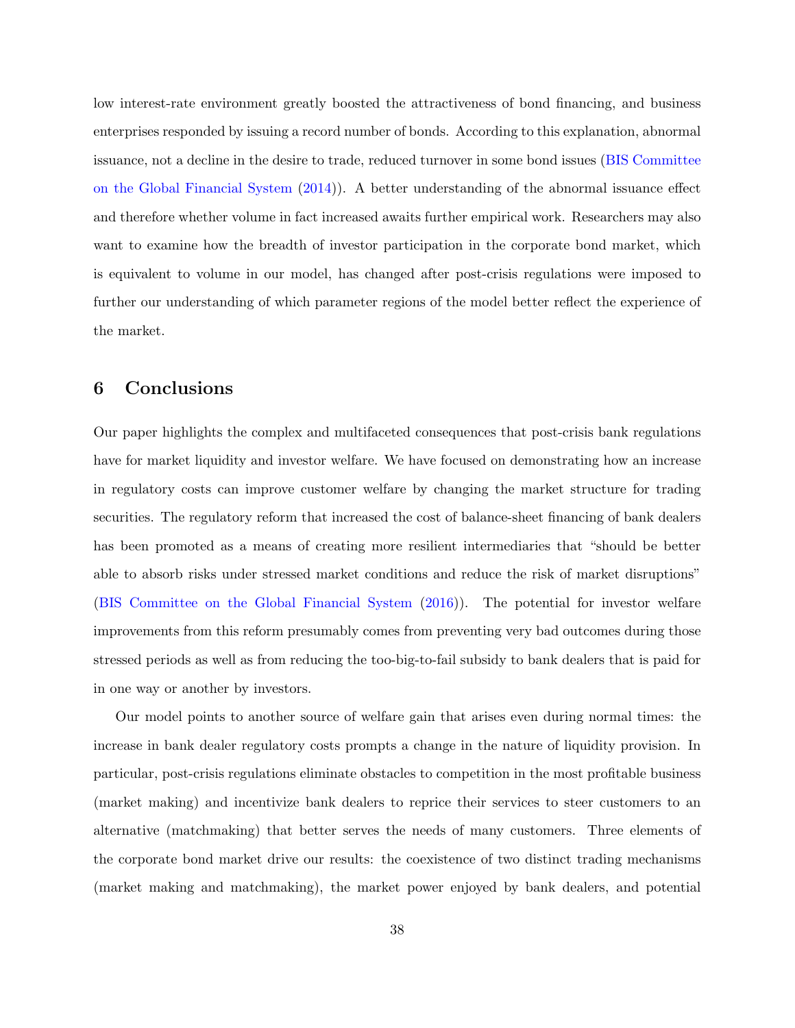low interest-rate environment greatly boosted the attractiveness of bond financing, and business enterprises responded by issuing a record number of bonds. According to this explanation, abnormal issuance, not a decline in the desire to trade, reduced turnover in some bond issues [\(BIS Committee](#page-62-0) [on the Global Financial System](#page-62-0) [\(2014\)](#page-62-0)). A better understanding of the abnormal issuance effect and therefore whether volume in fact increased awaits further empirical work. Researchers may also want to examine how the breadth of investor participation in the corporate bond market, which is equivalent to volume in our model, has changed after post-crisis regulations were imposed to further our understanding of which parameter regions of the model better reflect the experience of the market.

# 6 Conclusions

Our paper highlights the complex and multifaceted consequences that post-crisis bank regulations have for market liquidity and investor welfare. We have focused on demonstrating how an increase in regulatory costs can improve customer welfare by changing the market structure for trading securities. The regulatory reform that increased the cost of balance-sheet financing of bank dealers has been promoted as a means of creating more resilient intermediaries that "should be better able to absorb risks under stressed market conditions and reduce the risk of market disruptions" [\(BIS Committee on the Global Financial System](#page-62-1) [\(2016\)](#page-62-1)). The potential for investor welfare improvements from this reform presumably comes from preventing very bad outcomes during those stressed periods as well as from reducing the too-big-to-fail subsidy to bank dealers that is paid for in one way or another by investors.

Our model points to another source of welfare gain that arises even during normal times: the increase in bank dealer regulatory costs prompts a change in the nature of liquidity provision. In particular, post-crisis regulations eliminate obstacles to competition in the most profitable business (market making) and incentivize bank dealers to reprice their services to steer customers to an alternative (matchmaking) that better serves the needs of many customers. Three elements of the corporate bond market drive our results: the coexistence of two distinct trading mechanisms (market making and matchmaking), the market power enjoyed by bank dealers, and potential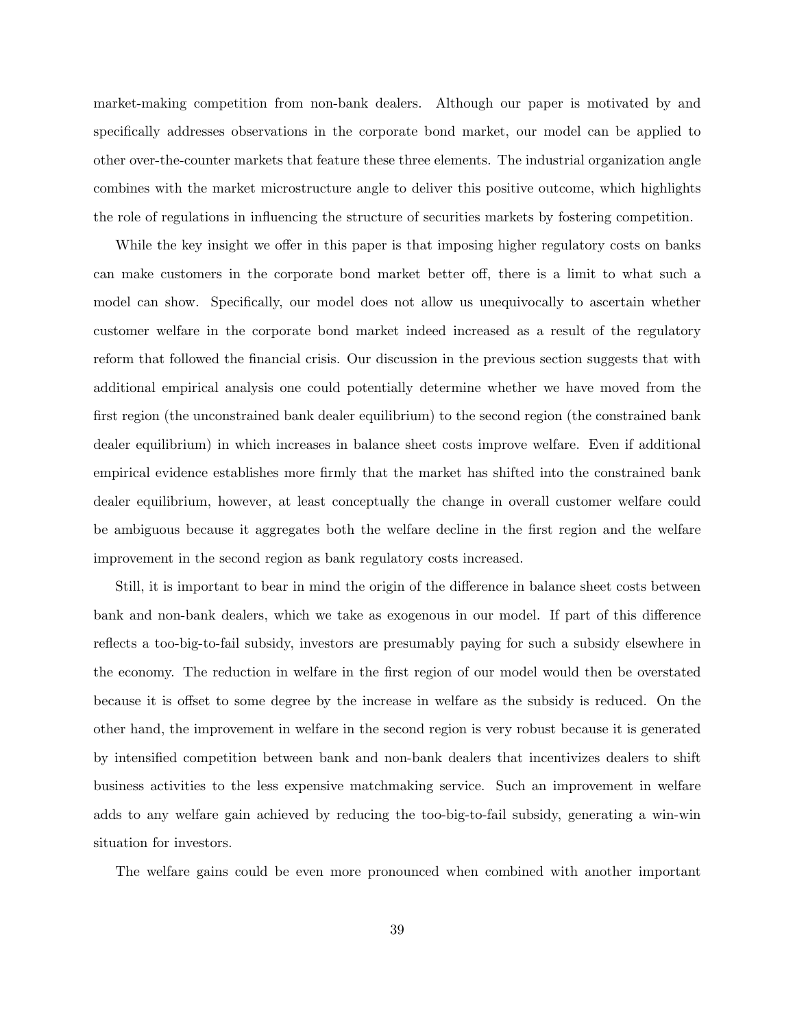market-making competition from non-bank dealers. Although our paper is motivated by and specifically addresses observations in the corporate bond market, our model can be applied to other over-the-counter markets that feature these three elements. The industrial organization angle combines with the market microstructure angle to deliver this positive outcome, which highlights the role of regulations in influencing the structure of securities markets by fostering competition.

While the key insight we offer in this paper is that imposing higher regulatory costs on banks can make customers in the corporate bond market better off, there is a limit to what such a model can show. Specifically, our model does not allow us unequivocally to ascertain whether customer welfare in the corporate bond market indeed increased as a result of the regulatory reform that followed the financial crisis. Our discussion in the previous section suggests that with additional empirical analysis one could potentially determine whether we have moved from the first region (the unconstrained bank dealer equilibrium) to the second region (the constrained bank dealer equilibrium) in which increases in balance sheet costs improve welfare. Even if additional empirical evidence establishes more firmly that the market has shifted into the constrained bank dealer equilibrium, however, at least conceptually the change in overall customer welfare could be ambiguous because it aggregates both the welfare decline in the first region and the welfare improvement in the second region as bank regulatory costs increased.

Still, it is important to bear in mind the origin of the difference in balance sheet costs between bank and non-bank dealers, which we take as exogenous in our model. If part of this difference reflects a too-big-to-fail subsidy, investors are presumably paying for such a subsidy elsewhere in the economy. The reduction in welfare in the first region of our model would then be overstated because it is offset to some degree by the increase in welfare as the subsidy is reduced. On the other hand, the improvement in welfare in the second region is very robust because it is generated by intensified competition between bank and non-bank dealers that incentivizes dealers to shift business activities to the less expensive matchmaking service. Such an improvement in welfare adds to any welfare gain achieved by reducing the too-big-to-fail subsidy, generating a win-win situation for investors.

The welfare gains could be even more pronounced when combined with another important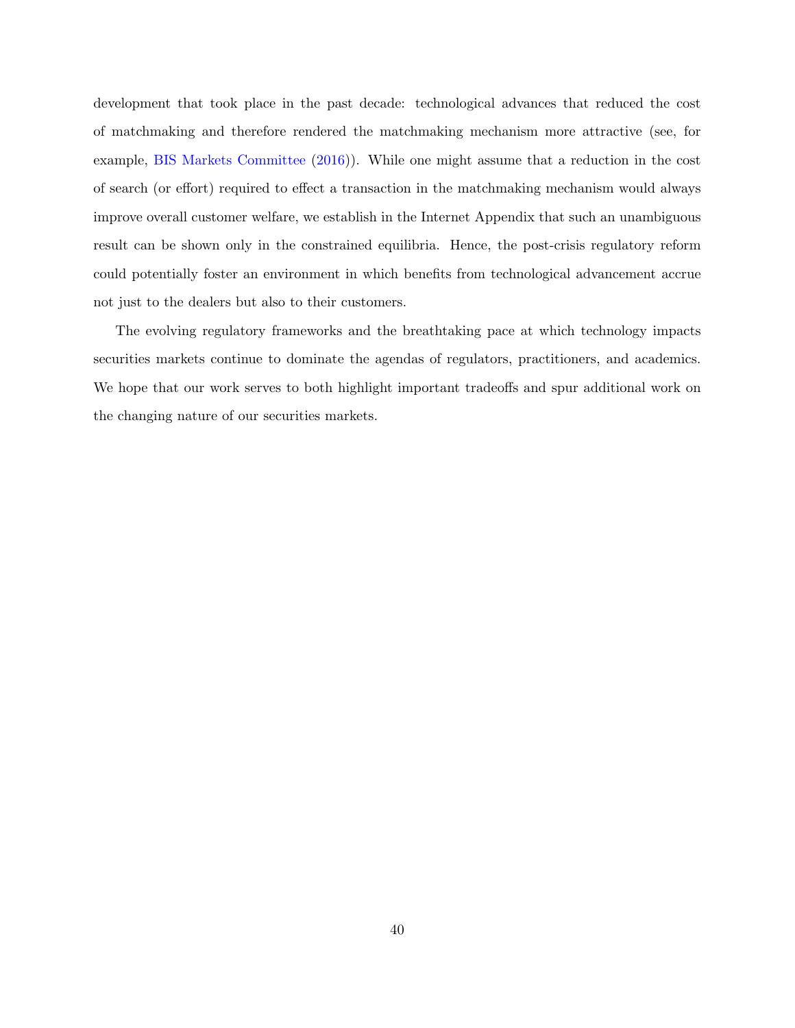development that took place in the past decade: technological advances that reduced the cost of matchmaking and therefore rendered the matchmaking mechanism more attractive (see, for example, [BIS Markets Committee](#page-62-17) [\(2016\)](#page-62-17)). While one might assume that a reduction in the cost of search (or effort) required to effect a transaction in the matchmaking mechanism would always improve overall customer welfare, we establish in the Internet Appendix that such an unambiguous result can be shown only in the constrained equilibria. Hence, the post-crisis regulatory reform could potentially foster an environment in which benefits from technological advancement accrue not just to the dealers but also to their customers.

The evolving regulatory frameworks and the breathtaking pace at which technology impacts securities markets continue to dominate the agendas of regulators, practitioners, and academics. We hope that our work serves to both highlight important tradeoffs and spur additional work on the changing nature of our securities markets.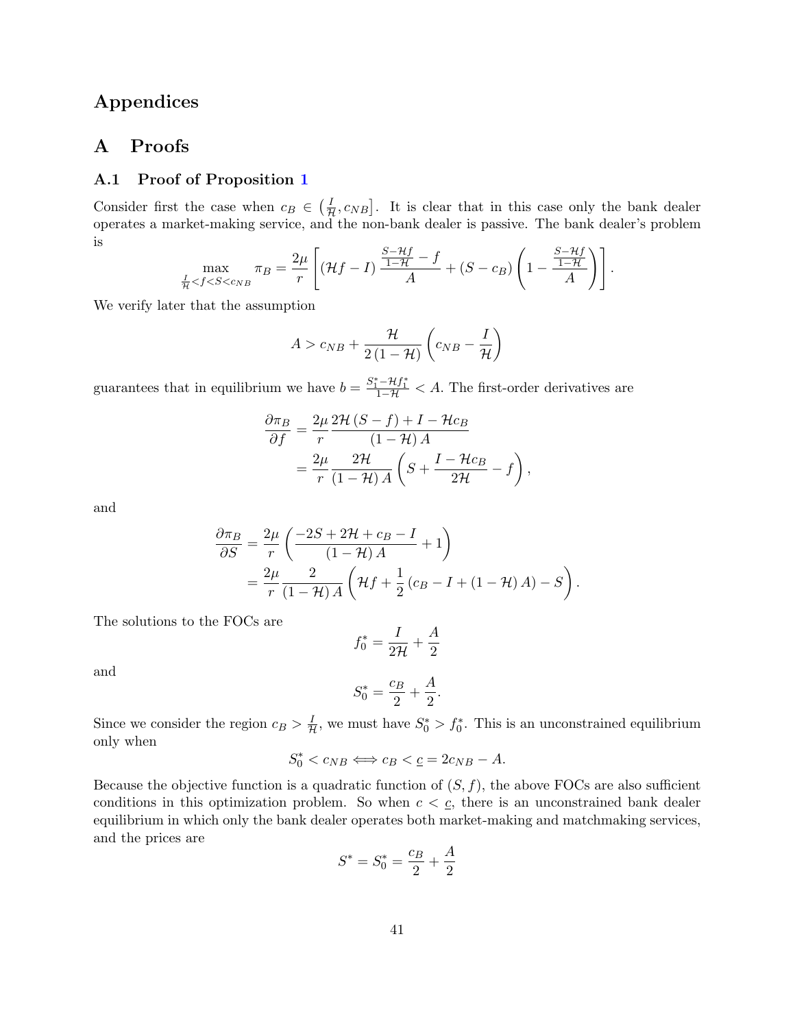# Appendices

## A Proofs

## A.1 Proof of Proposition [1](#page-15-1)

Consider first the case when  $c_B \in (\frac{I}{H}, c_{NB}]$ . It is clear that in this case only the bank dealer operates a market-making service, and the non-bank dealer is passive. The bank dealer's problem is

$$
\max_{\frac{I}{\mathcal{H}} < f < S < c_{NB}} \pi_B = \frac{2\mu}{r} \left[ (\mathcal{H}f - I) \frac{\frac{S - \mathcal{H}f}{1 - \mathcal{H}} - f}{A} + (S - c_B) \left( 1 - \frac{\frac{S - \mathcal{H}f}{1 - \mathcal{H}}}{A} \right) \right].
$$

We verify later that the assumption

$$
A > c_{NB} + \frac{\mathcal{H}}{2(1-\mathcal{H})} \left(c_{NB} - \frac{I}{\mathcal{H}}\right)
$$

guarantees that in equilibrium we have  $b = \frac{S_1^* - Hf_1^*}{1 - H} < A$ . The first-order derivatives are

$$
\frac{\partial \pi_B}{\partial f} = \frac{2\mu}{r} \frac{2\mathcal{H}(S-f) + I - \mathcal{H}c_B}{(1-\mathcal{H})A} \n= \frac{2\mu}{r} \frac{2\mathcal{H}}{(1-\mathcal{H})A} \left( S + \frac{I - \mathcal{H}c_B}{2\mathcal{H}} - f \right),
$$

and

$$
\frac{\partial \pi_B}{\partial S} = \frac{2\mu}{r} \left( \frac{-2S + 2\mathcal{H} + c_B - I}{(1 - \mathcal{H})A} + 1 \right)
$$
  
= 
$$
\frac{2\mu}{r} \frac{2}{(1 - \mathcal{H})A} \left( \mathcal{H}f + \frac{1}{2} (c_B - I + (1 - \mathcal{H})A) - S \right).
$$

The solutions to the FOCs are

$$
f_0^* = \frac{I}{2\mathcal{H}} + \frac{A}{2}
$$

and

$$
S_0^* = \frac{c_B}{2} + \frac{A}{2}.
$$

Since we consider the region  $c_B > \frac{I}{\mathcal{H}}$ , we must have  $S_0^* > f_0^*$ . This is an unconstrained equilibrium only when

$$
S_0^* < c_{NB} \Longleftrightarrow c_B < \underline{c} = 2c_{NB} - A.
$$

Because the objective function is a quadratic function of  $(S, f)$ , the above FOCs are also sufficient conditions in this optimization problem. So when  $c < \underline{c}$ , there is an unconstrained bank dealer equilibrium in which only the bank dealer operates both market-making and matchmaking services, and the prices are

$$
S^* = S_0^* = \frac{c_B}{2} + \frac{A}{2}
$$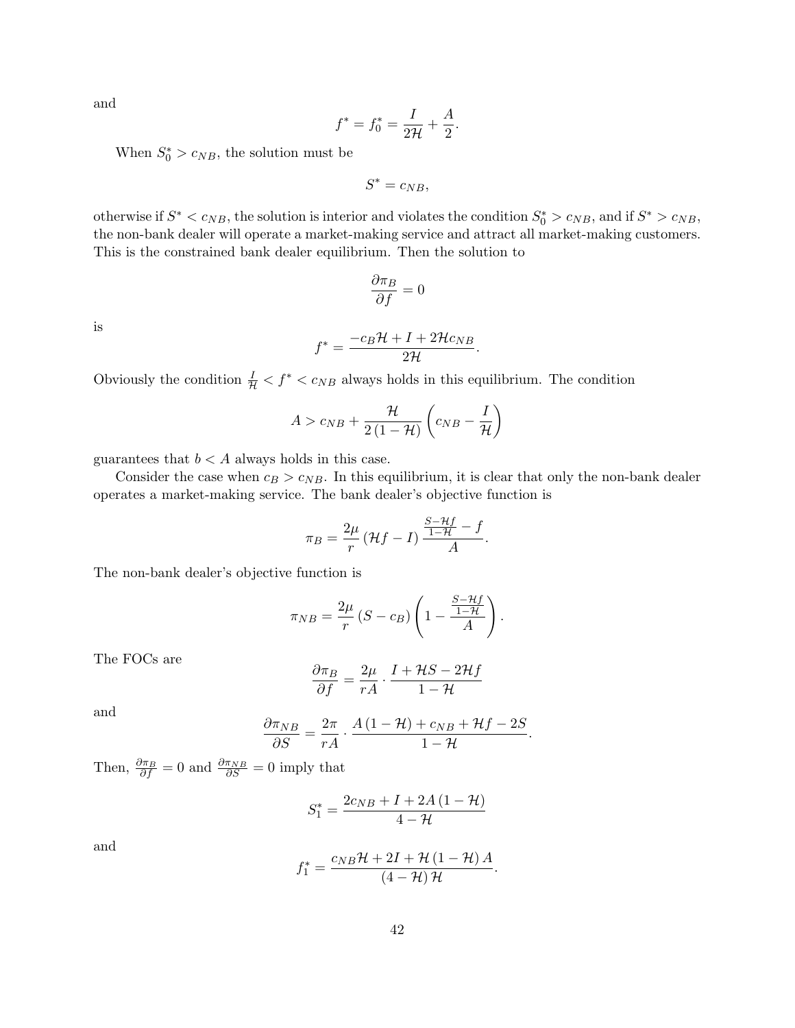and

$$
f^* = f_0^* = \frac{I}{2\mathcal{H}} + \frac{A}{2}.
$$

When  $S_0^* > c_{NB}$ , the solution must be

$$
S^*=c_{NB},
$$

otherwise if  $S^* < c_{NB}$ , the solution is interior and violates the condition  $S_0^* > c_{NB}$ , and if  $S^* > c_{NB}$ , the non-bank dealer will operate a market-making service and attract all market-making customers. This is the constrained bank dealer equilibrium. Then the solution to

$$
\frac{\partial \pi_B}{\partial f} = 0
$$

is

$$
f^* = \frac{-c_B \mathcal{H} + I + 2\mathcal{H}c_{NB}}{2\mathcal{H}}.
$$

Obviously the condition  $\frac{I}{H} < f^* < c_{NB}$  always holds in this equilibrium. The condition

$$
A > c_{NB} + \frac{\mathcal{H}}{2(1-\mathcal{H})} \left(c_{NB} - \frac{I}{\mathcal{H}}\right)
$$

guarantees that  $b < A$  always holds in this case.

Consider the case when  $c_B > c_{NB}$ . In this equilibrium, it is clear that only the non-bank dealer operates a market-making service. The bank dealer's objective function is

$$
\pi_B = \frac{2\mu}{r} \left( \mathcal{H}f - I \right) \frac{\frac{S - \mathcal{H}f}{1 - \mathcal{H}} - f}{A}.
$$

The non-bank dealer's objective function is

$$
\pi_{NB} = \frac{2\mu}{r} (S - c_B) \left( 1 - \frac{\frac{S - Hf}{1 - H}}{A} \right).
$$

The FOCs are

$$
\frac{\partial \pi_B}{\partial f} = \frac{2\mu}{rA} \cdot \frac{I + \mathcal{H}S - 2\mathcal{H}f}{1 - \mathcal{H}}
$$

and

$$
\frac{\partial \pi_{NB}}{\partial S} = \frac{2\pi}{rA} \cdot \frac{A\left(1 - \mathcal{H}\right) + c_{NB} + \mathcal{H}f - 2S}{1 - \mathcal{H}}.
$$

Then,  $\frac{\partial \pi_B}{\partial f} = 0$  and  $\frac{\partial \pi_{NB}}{\partial S} = 0$  imply that

$$
S_1^* = \frac{2c_{NB} + I + 2A\left(1 - \mathcal{H}\right)}{4 - \mathcal{H}}
$$

and

$$
f_1^* = \frac{c_{NB}\mathcal{H} + 2I + \mathcal{H}(1 - \mathcal{H})A}{(4 - \mathcal{H})\mathcal{H}}.
$$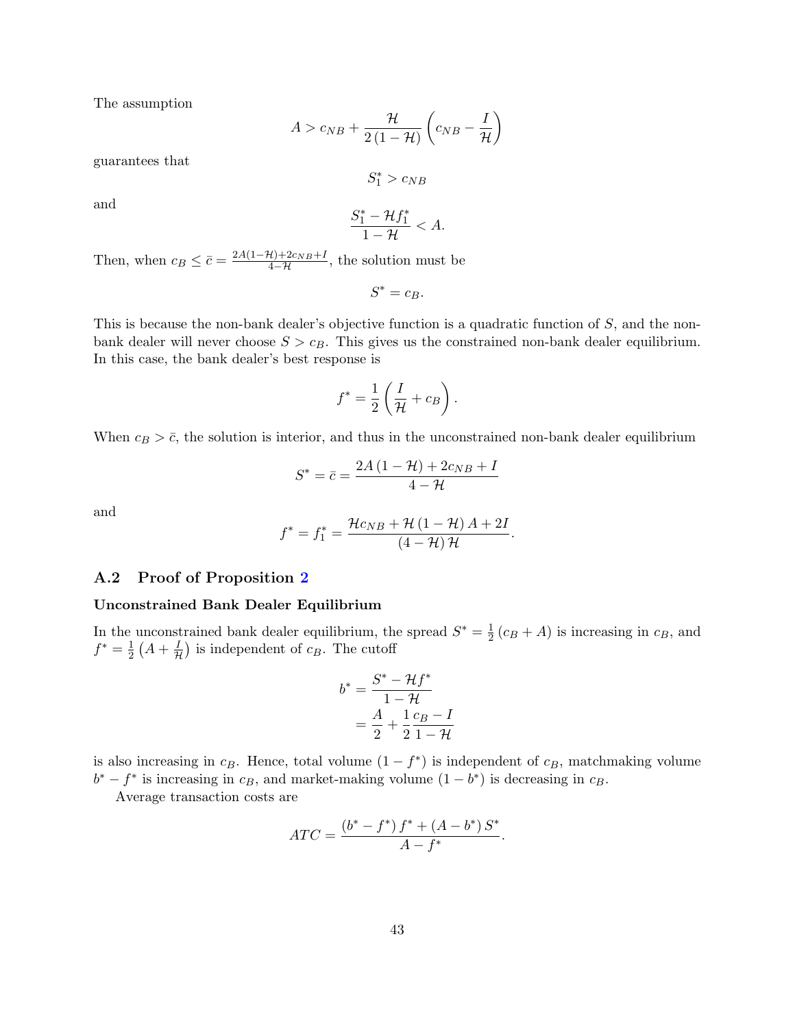The assumption

$$
A > c_{NB} + \frac{\mathcal{H}}{2(1-\mathcal{H})} \left(c_{NB} - \frac{I}{\mathcal{H}}\right)
$$

guarantees that

$$
S_1^* > c_{NB}
$$

and

$$
\frac{S_1^* - \mathcal{H}f_1^*}{1 - \mathcal{H}} < A.
$$

Then, when  $c_B \leq \bar{c} = \frac{2A(1-\mathcal{H})+2c_{NB}+I}{4-\mathcal{H}}$ , the solution must be

$$
S^* = c_B.
$$

This is because the non-bank dealer's objective function is a quadratic function of  $S$ , and the nonbank dealer will never choose  $S > c_B$ . This gives us the constrained non-bank dealer equilibrium. In this case, the bank dealer's best response is

$$
f^* = \frac{1}{2} \left( \frac{I}{\mathcal{H}} + c_B \right).
$$

When  $c_B > \bar{c}$ , the solution is interior, and thus in the unconstrained non-bank dealer equilibrium

$$
S^* = \bar{c} = \frac{2A\left(1 - \mathcal{H}\right) + 2c_{NB} + I}{4 - \mathcal{H}}
$$

and

$$
f^* = f_1^* = \frac{\mathcal{H}c_{NB} + \mathcal{H}(1 - \mathcal{H})A + 2I}{(4 - \mathcal{H})\mathcal{H}}
$$

.

## A.2 Proof of Proposition [2](#page-16-1)

#### Unconstrained Bank Dealer Equilibrium

In the unconstrained bank dealer equilibrium, the spread  $S^* = \frac{1}{2}$  $\frac{1}{2}(c_B + A)$  is increasing in  $c_B$ , and  $f^* = \frac{1}{2}$  $\frac{1}{2}(A+\frac{I}{\mathcal{H}})$  is independent of  $c_B$ . The cutoff

$$
b^* = \frac{S^* - \mathcal{H}f^*}{1 - \mathcal{H}}
$$

$$
= \frac{A}{2} + \frac{1}{2}\frac{c_B - I}{1 - \mathcal{H}}
$$

is also increasing in  $c_B$ . Hence, total volume  $(1 - f^*)$  is independent of  $c_B$ , matchmaking volume  $b^* - f^*$  is increasing in  $c_B$ , and market-making volume  $(1 - b^*)$  is decreasing in  $c_B$ .

Average transaction costs are

$$
ATC = \frac{(b^* - f^*) f^* + (A - b^*) S^*}{A - f^*}.
$$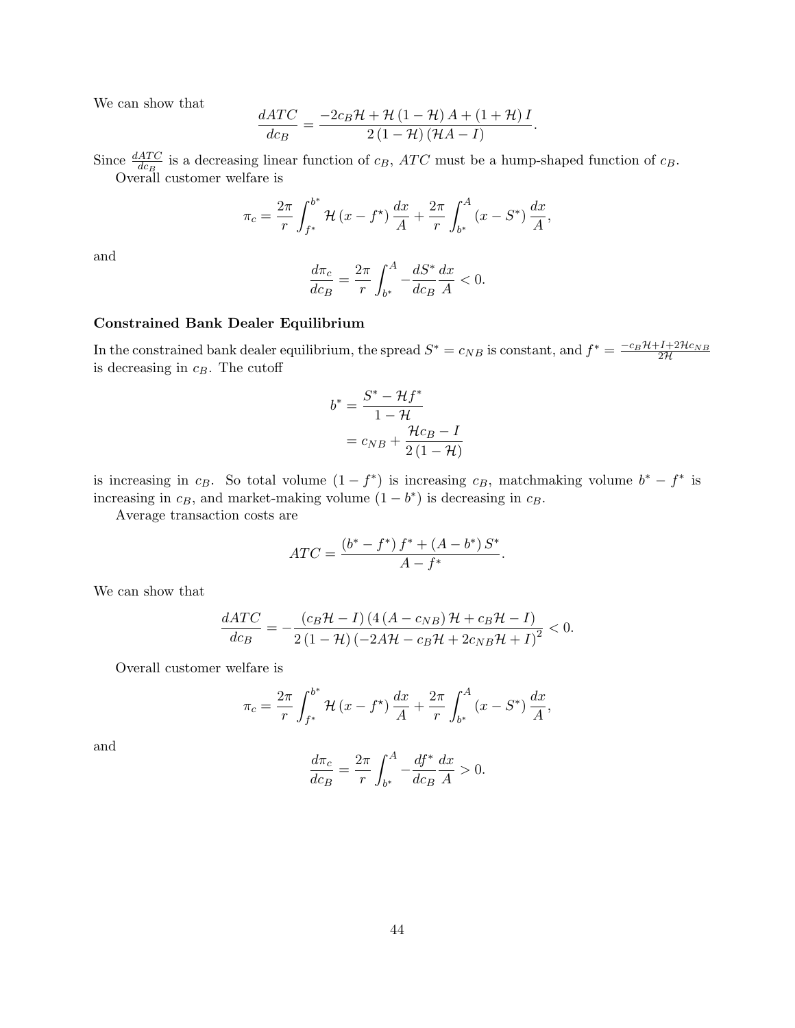We can show that

$$
\frac{dATC}{dc_B} = \frac{-2c_B\mathcal{H} + \mathcal{H}(1-\mathcal{H})A + (1+\mathcal{H})I}{2(1-\mathcal{H})(\mathcal{H}A-I)}.
$$

Since  $\frac{dATC}{dcB}$  is a decreasing linear function of  $c_B$ ,  $ATC$  must be a hump-shaped function of  $c_B$ . Overall customer welfare is

$$
\pi_c = \frac{2\pi}{r} \int_{f^*}^{b^*} \mathcal{H}(x - f^*) \frac{dx}{A} + \frac{2\pi}{r} \int_{b^*}^{A} (x - S^*) \frac{dx}{A},
$$

and

$$
\frac{d\pi_c}{dc_B} = \frac{2\pi}{r} \int_{b^*}^A -\frac{dS^*}{dc_B} \frac{dx}{A} < 0.
$$

### Constrained Bank Dealer Equilibrium

In the constrained bank dealer equilibrium, the spread  $S^* = c_{NB}$  is constant, and  $f^* = \frac{-c_B \mathcal{H} + I + 2\mathcal{H}c_{NB}}{2\mathcal{H}}$ is decreasing in  $c_B$ . The cutoff

$$
b^* = \frac{S^* - \mathcal{H}f^*}{1 - \mathcal{H}}
$$

$$
= c_{NB} + \frac{\mathcal{H}c_B - I}{2(1 - \mathcal{H})}
$$

is increasing in c<sub>B</sub>. So total volume  $(1 - f^*)$  is increasing c<sub>B</sub>, matchmaking volume  $b^* - f^*$  is increasing in  $c_B$ , and market-making volume  $(1 - b^*)$  is decreasing in  $c_B$ .

Average transaction costs are

$$
ATC = \frac{(b^* - f^*) f^* + (A - b^*) S^*}{A - f^*}
$$

.

We can show that

$$
\frac{dATC}{dc_B} = -\frac{(c_B \mathcal{H} - I) (4(A - c_{NB}) \mathcal{H} + c_B \mathcal{H} - I)}{2(1 - \mathcal{H}) (-2A \mathcal{H} - c_B \mathcal{H} + 2c_{NB} \mathcal{H} + I)^2} < 0.
$$

Overall customer welfare is

$$
\pi_c = \frac{2\pi}{r} \int_{f^*}^{b^*} \mathcal{H}(x - f^*) \frac{dx}{A} + \frac{2\pi}{r} \int_{b^*}^{A} (x - S^*) \frac{dx}{A},
$$

and

$$
\frac{d\pi_c}{dc_B} = \frac{2\pi}{r} \int_{b^*}^{A} -\frac{df^*}{dc_B} \frac{dx}{A} > 0.
$$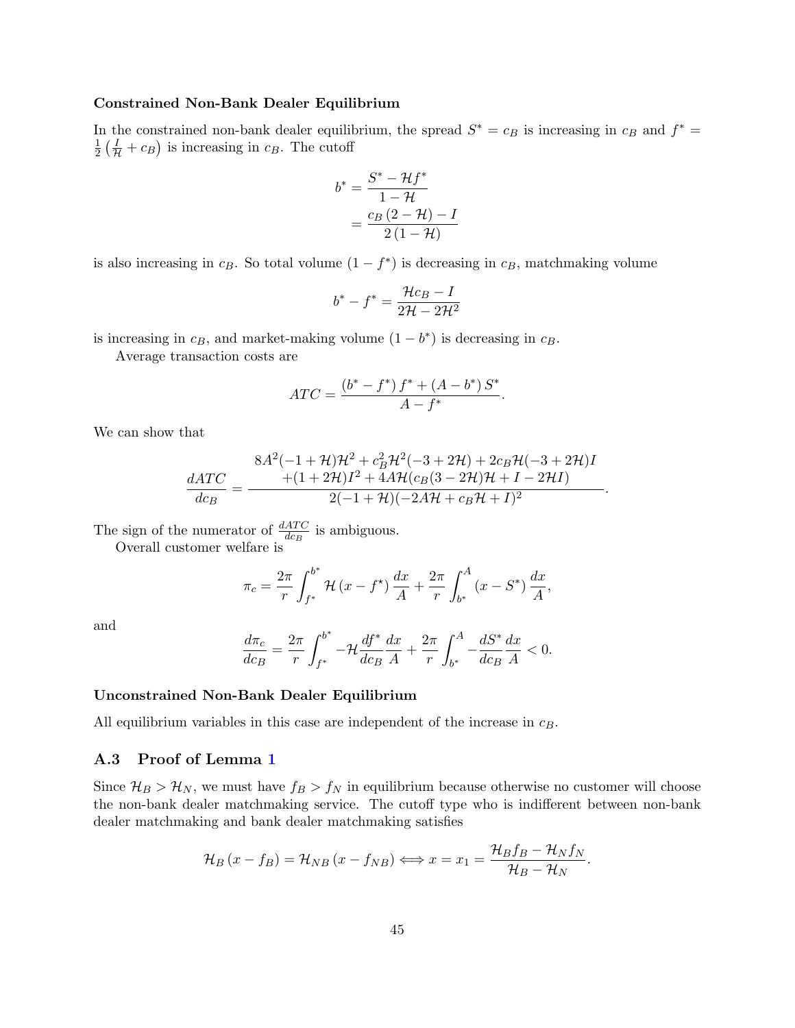#### Constrained Non-Bank Dealer Equilibrium

In the constrained non-bank dealer equilibrium, the spread  $S^* = c_B$  is increasing in  $c_B$  and  $f^* = c_B$ 1  $\frac{1}{2}(\frac{I}{H}+c_B)$  is increasing in  $c_B$ . The cutoff

$$
b^* = \frac{S^* - \mathcal{H}f^*}{1 - \mathcal{H}}
$$

$$
= \frac{c_B(2 - \mathcal{H}) - I}{2(1 - \mathcal{H})}
$$

is also increasing in  $c_B$ . So total volume  $(1 - f^*)$  is decreasing in  $c_B$ , matchmaking volume

$$
b^* - f^* = \frac{\mathcal{H}c_B - I}{2\mathcal{H} - 2\mathcal{H}^2}
$$

is increasing in  $c_B$ , and market-making volume  $(1 - b^*)$  is decreasing in  $c_B$ .

Average transaction costs are

$$
ATC = \frac{(b^* - f^*) f^* + (A - b^*) S^*}{A - f^*}.
$$

We can show that

$$
\frac{dATC}{dcp} = \frac{8A^2(-1+\mathcal{H})\mathcal{H}^2 + c_B^2\mathcal{H}^2(-3+2\mathcal{H}) + 2c_B\mathcal{H}(-3+2\mathcal{H})I}{+(1+2\mathcal{H})I^2 + 4A\mathcal{H}(c_B(3-2\mathcal{H})\mathcal{H} + I - 2\mathcal{H}I)}.
$$

The sign of the numerator of  $\frac{dATC}{dc_B}$  is ambiguous.

Overall customer welfare is

$$
\pi_c = \frac{2\pi}{r} \int_{f^*}^{b^*} \mathcal{H}(x - f^*) \frac{dx}{A} + \frac{2\pi}{r} \int_{b^*}^{A} (x - S^*) \frac{dx}{A},
$$

and

$$
\frac{d\pi_c}{dc_B} = \frac{2\pi}{r} \int_{f^*}^{b^*} -\mathcal{H} \frac{df^*}{dc_B} \frac{dx}{A} + \frac{2\pi}{r} \int_{b^*}^{A} -\frac{dS^*}{dc_B} \frac{dx}{A} < 0.
$$

#### Unconstrained Non-Bank Dealer Equilibrium

All equilibrium variables in this case are independent of the increase in  $c_B$ .

## A.3 Proof of Lemma [1](#page-23-0)

Since  $\mathcal{H}_B > \mathcal{H}_N$ , we must have  $f_B > f_N$  in equilibrium because otherwise no customer will choose the non-bank dealer matchmaking service. The cutoff type who is indifferent between non-bank dealer matchmaking and bank dealer matchmaking satisfies

$$
\mathcal{H}_B(x - f_B) = \mathcal{H}_{NB}(x - f_{NB}) \Longleftrightarrow x = x_1 = \frac{\mathcal{H}_B f_B - \mathcal{H}_N f_N}{\mathcal{H}_B - \mathcal{H}_N}.
$$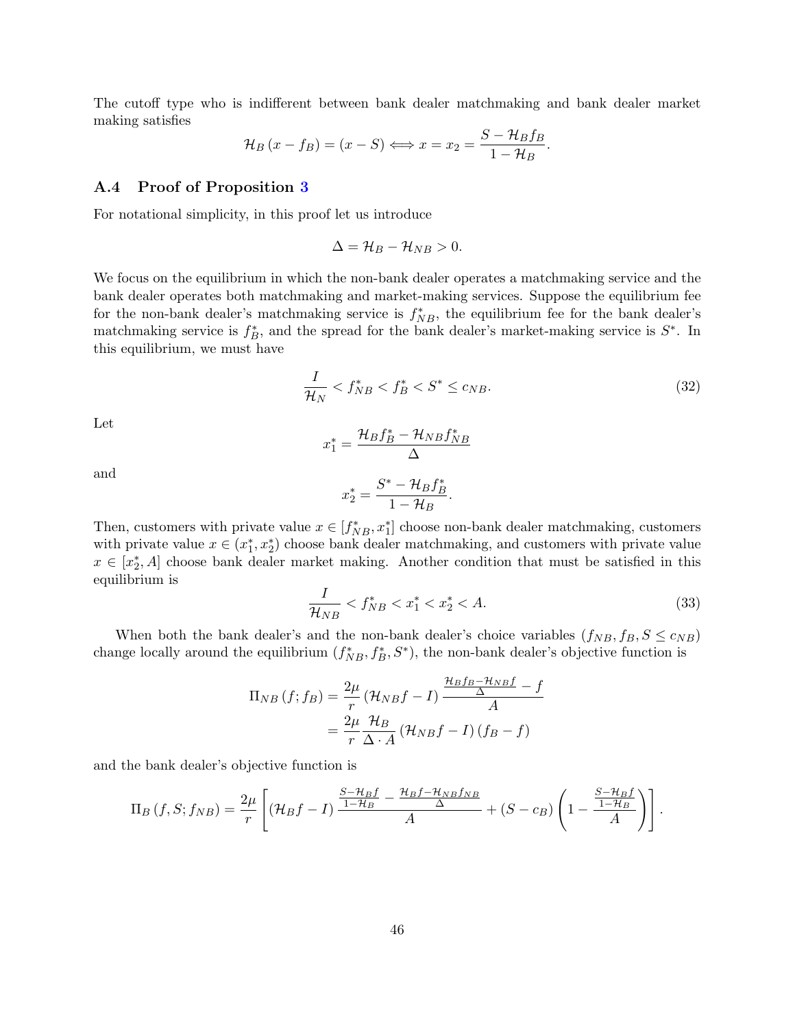The cutoff type who is indifferent between bank dealer matchmaking and bank dealer market making satisfies

$$
\mathcal{H}_B(x - f_B) = (x - S) \Longleftrightarrow x = x_2 = \frac{S - \mathcal{H}_B f_B}{1 - \mathcal{H}_B}.
$$

#### A.4 Proof of Proposition [3](#page-24-2)

For notational simplicity, in this proof let us introduce

$$
\Delta = \mathcal{H}_B - \mathcal{H}_{NB} > 0.
$$

We focus on the equilibrium in which the non-bank dealer operates a matchmaking service and the bank dealer operates both matchmaking and market-making services. Suppose the equilibrium fee for the non-bank dealer's matchmaking service is  $f_{NB}^*$ , the equilibrium fee for the bank dealer's matchmaking service is  $f_B^*$ , and the spread for the bank dealer's market-making service is  $S^*$ . In this equilibrium, we must have

<span id="page-46-0"></span>
$$
\frac{I}{\mathcal{H}_N} < f_{NB}^* < f_B^* < S^* \le c_{NB}.\tag{32}
$$

Let

$$
x_1^* = \frac{\mathcal{H}_B f_B^* - \mathcal{H}_{NB} f_{NB}^*}{\Delta}
$$

and

$$
x_2^* = \frac{S^* - \mathcal{H}_B f_B^*}{1 - \mathcal{H}_B}.
$$

Then, customers with private value  $x \in [f_{NB}^*, x_1^*]$  choose non-bank dealer matchmaking, customers with private value  $x \in (x_1^*, x_2^*)$  choose bank dealer matchmaking, and customers with private value  $x \in [x_2^*, A]$  choose bank dealer market making. Another condition that must be satisfied in this equilibrium is

$$
\frac{I}{\mathcal{H}_{NB}} < f_{NB}^* < x_1^* < x_2^* < A. \tag{33}
$$

When both the bank dealer's and the non-bank dealer's choice variables  $(f_{NB}, f_B, S \le c_{NB})$ change locally around the equilibrium  $(f_{NB}^*, f_B^*, S^*)$ , the non-bank dealer's objective function is

$$
\Pi_{NB}(f; f_B) = \frac{2\mu}{r} (\mathcal{H}_{NB}f - I) \frac{\frac{\mathcal{H}_B f_B - \mathcal{H}_{NB}f}{\Delta} - f}{A}
$$

$$
= \frac{2\mu}{r} \frac{\mathcal{H}_B}{\Delta \cdot A} (\mathcal{H}_{NB}f - I) (f_B - f)
$$

and the bank dealer's objective function is

$$
\Pi_B(f, S; f_{NB}) = \frac{2\mu}{r} \left[ (\mathcal{H}_B f - I) \frac{\frac{S - \mathcal{H}_B f}{1 - \mathcal{H}_B} - \frac{\mathcal{H}_B f - \mathcal{H}_{NB} f_{NB}}{\Delta}}{A} + (S - c_B) \left( 1 - \frac{\frac{S - \mathcal{H}_B f}{1 - \mathcal{H}_B}}{A} \right) \right].
$$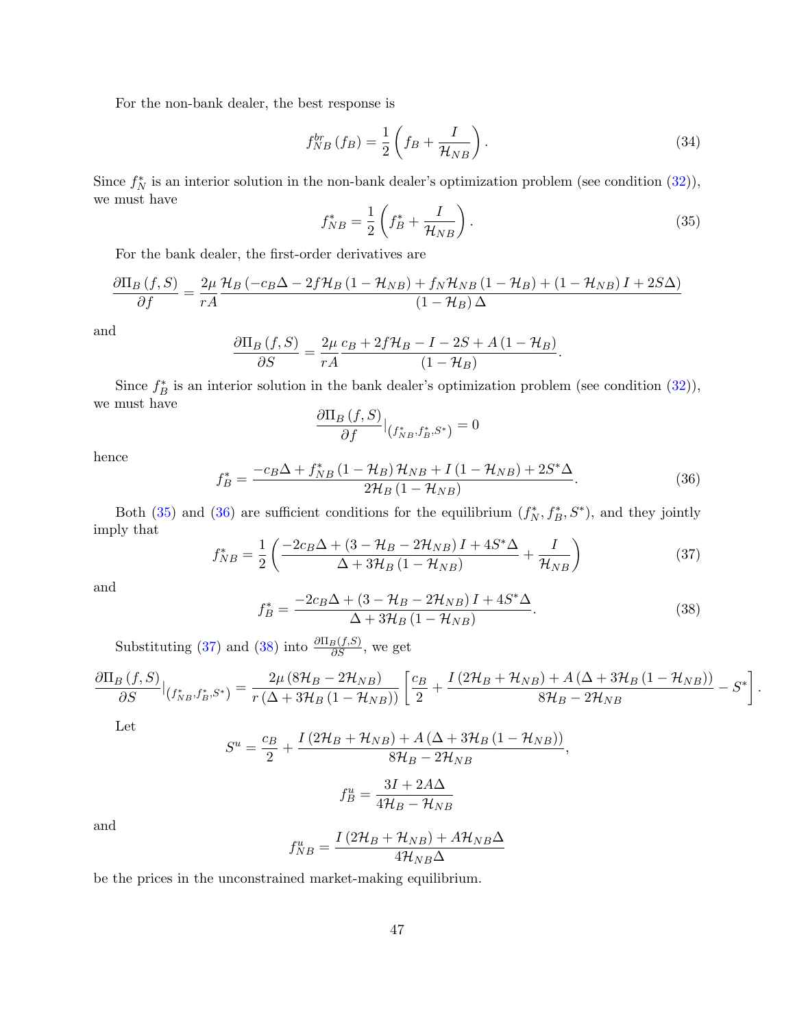For the non-bank dealer, the best response is

<span id="page-47-4"></span>
$$
f_{NB}^{br}(f_B) = \frac{1}{2} \left( f_B + \frac{I}{\mathcal{H}_{NB}} \right). \tag{34}
$$

Since  $f_N^*$  is an interior solution in the non-bank dealer's optimization problem (see condition  $(32)$ ), we must have

<span id="page-47-0"></span>
$$
f_{NB}^* = \frac{1}{2} \left( f_B^* + \frac{I}{\mathcal{H}_{NB}} \right). \tag{35}
$$

For the bank dealer, the first-order derivatives are

$$
\frac{\partial \Pi_B (f, S)}{\partial f} = \frac{2\mu}{rA} \frac{\mathcal{H}_B (-c_B \Delta - 2f \mathcal{H}_B (1 - \mathcal{H}_{NB}) + f_N \mathcal{H}_{NB} (1 - \mathcal{H}_B) + (1 - \mathcal{H}_{NB}) I + 2S\Delta)}{(1 - \mathcal{H}_B)\Delta}
$$

and

$$
\frac{\partial \Pi_B (f, S)}{\partial S} = \frac{2\mu}{rA} \frac{c_B + 2f\mathcal{H}_B - I - 2S + A(1 - \mathcal{H}_B)}{(1 - \mathcal{H}_B)}.
$$

Since  $f_B^*$  is an interior solution in the bank dealer's optimization problem (see condition [\(32\)](#page-46-0)), we must have  $\frac{\partial}{\partial x}$ 

$$
\frac{\partial \Pi_B (f, S)}{\partial f}|_{(f_{NB}^*, f_B^*, S^*)} = 0
$$

hence

<span id="page-47-1"></span>
$$
f_{B}^{*} = \frac{-c_{B}\Delta + f_{NB}^{*}(1 - \mathcal{H}_{B})\mathcal{H}_{NB} + I(1 - \mathcal{H}_{NB}) + 2S^{*}\Delta}{2\mathcal{H}_{B}(1 - \mathcal{H}_{NB})}.
$$
 (36)

Both [\(35\)](#page-47-0) and [\(36\)](#page-47-1) are sufficient conditions for the equilibrium  $(f_N^*, f_B^*, S^*)$ , and they jointly imply that

<span id="page-47-2"></span>
$$
f_{NB}^* = \frac{1}{2} \left( \frac{-2c_B \Delta + (3 - \mathcal{H}_B - 2\mathcal{H}_{NB}) I + 4S^* \Delta}{\Delta + 3\mathcal{H}_B (1 - \mathcal{H}_{NB})} + \frac{I}{\mathcal{H}_{NB}} \right)
$$
(37)

and

<span id="page-47-3"></span>
$$
f_B^* = \frac{-2c_B \Delta + (3 - \mathcal{H}_B - 2\mathcal{H}_{NB}) I + 4S^* \Delta}{\Delta + 3\mathcal{H}_B (1 - \mathcal{H}_{NB})}.
$$
 (38)

.

Substituting [\(37\)](#page-47-2) and [\(38\)](#page-47-3) into  $\frac{\partial \Pi_B(f,S)}{\partial S}$ , we get

$$
\frac{\partial \Pi_B (f, S)}{\partial S}\Big|_{\left(f_{NB}^*, f_B^*, S^*\right)} = \frac{2\mu \left(8\mathcal{H}_B - 2\mathcal{H}_{NB}\right)}{r\left(\Delta + 3\mathcal{H}_B \left(1 - \mathcal{H}_{NB}\right)\right)} \left[\frac{c_B}{2} + \frac{I\left(2\mathcal{H}_B + \mathcal{H}_{NB}\right) + A\left(\Delta + 3\mathcal{H}_B \left(1 - \mathcal{H}_{NB}\right)\right)}{8\mathcal{H}_B - 2\mathcal{H}_{NB}} - S^*\right]
$$

Let

$$
S^{u} = \frac{c_{B}}{2} + \frac{I(2\mathcal{H}_{B} + \mathcal{H}_{NB}) + A(\Delta + 3\mathcal{H}_{B}(1 - \mathcal{H}_{NB}))}{8\mathcal{H}_{B} - 2\mathcal{H}_{NB}},
$$

$$
f_{B}^{u} = \frac{3I + 2A\Delta}{4\mathcal{H}_{B} - \mathcal{H}_{NB}}
$$

and

$$
f_{NB}^{u} = \frac{I\left(2\mathcal{H}_{B} + \mathcal{H}_{NB}\right) + A\mathcal{H}_{NB}\Delta}{4\mathcal{H}_{NB}\Delta}
$$

be the prices in the unconstrained market-making equilibrium.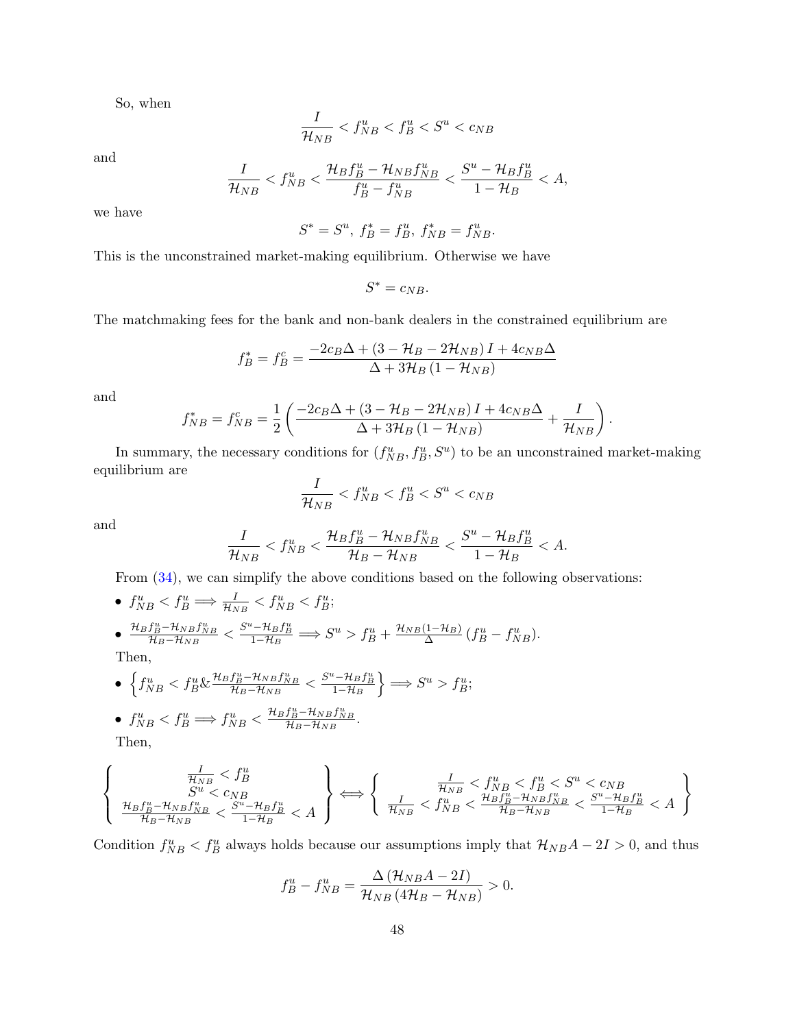So, when

$$
\frac{I}{\mathcal{H}_{NB}} < f_{NB}^u < f_B^u < S^u < c_{NB}
$$

and

$$
\frac{I}{\mathcal{H}_{NB}} < f_{NB}^u < \frac{\mathcal{H}_B f_B^u - \mathcal{H}_{NB} f_{NB}^u}{f_B^u - f_{NB}^u} < \frac{S^u - \mathcal{H}_B f_B^u}{1 - \mathcal{H}_B} < A,
$$

we have

$$
S^*=S^u,\, f_B^*=f_B^u,\, f_{NB}^*=f_{NB}^u.
$$

This is the unconstrained market-making equilibrium. Otherwise we have

$$
S^* = c_{NB}.
$$

The matchmaking fees for the bank and non-bank dealers in the constrained equilibrium are

$$
f_B^* = f_B^c = \frac{-2c_B\Delta + (3 - \mathcal{H}_B - 2\mathcal{H}_{NB})I + 4c_{NB}\Delta}{\Delta + 3\mathcal{H}_B(1 - \mathcal{H}_{NB})}
$$

and

$$
f_{NB}^* = f_{NB}^c = \frac{1}{2} \left( \frac{-2c_B \Delta + (3 - \mathcal{H}_B - 2\mathcal{H}_{NB}) I + 4c_{NB} \Delta}{\Delta + 3\mathcal{H}_B (1 - \mathcal{H}_{NB})} + \frac{I}{\mathcal{H}_{NB}} \right)
$$

.

In summary, the necessary conditions for  $(f_{NB}^u, f_B^u, S^u)$  to be an unconstrained market-making equilibrium are

$$
\frac{I}{\mathcal{H}_{NB}} < f_{NB}^u < f_B^u < S^u < c_{NB}
$$

and

$$
\frac{I}{\mathcal{H}_{NB}} < f_{NB}^u < \frac{\mathcal{H}_B f_B^u - \mathcal{H}_{NB} f_{NB}^u}{\mathcal{H}_B - \mathcal{H}_{NB}} < \frac{S^u - \mathcal{H}_B f_B^u}{1 - \mathcal{H}_B} < A.
$$

From  $(34)$ , we can simplify the above conditions based on the following observations:

• 
$$
f_{NB}^u < f_B^u \Rightarrow \frac{I}{\mathcal{H}_{NB}} < f_{NB}^u < f_B^u
$$
;  
\n•  $\frac{\mathcal{H}_B f_B^u - \mathcal{H}_{NB} f_{NB}^u}{\mathcal{H}_B - \mathcal{H}_{NB}} < \frac{S^u - \mathcal{H}_B f_B^u}{1 - \mathcal{H}_B} \Rightarrow S^u > f_B^u + \frac{\mathcal{H}_{NB}(1 - \mathcal{H}_B)}{\Delta} (f_B^u - f_{NB}^u).$ 

Then,

\n- \n
$$
\left\{ f_{NB}^u < f_B^u \& \frac{\mathcal{H}_B f_B^u - \mathcal{H}_{NB} f_{NB}^u}{\mathcal{H}_B - \mathcal{H}_{NB}} < \frac{S^u - \mathcal{H}_B f_B^u}{1 - \mathcal{H}_B} \right\} \Longrightarrow S^u > f_B^u;
$$
\n
\n- \n
$$
f_{NB}^u < f_B^u \Longrightarrow f_{NB}^u < \frac{\mathcal{H}_B f_B^u - \mathcal{H}_{NB} f_{NB}^u}{\mathcal{H}_B - \mathcal{H}_{NB}}.
$$
\n
\n- \n Then,\n
\n

$$
\left\{\begin{array}{c} \frac{I}{\mathcal{H}_{NB}}< f_B^u\\ S^u< c_{NB}\\ \frac{\mathcal{H}_Bf_B^u-\mathcal{H}_{NB}f_{NB}^u}{\mathcal{H}_B-\mathcal{H}_{NB}}< \frac{S^u-\mathcal{H}_Bf_B^u}{1-\mathcal{H}_B}< A \end{array}\right\} \Longleftrightarrow \left\{\begin{array}{c} \frac{I}{\mathcal{H}_{NB}}< f_B^u< f_B^u< S^u< c_{NB}\\ \frac{I}{\mathcal{H}_{NB}}< f_{NB}^u< \frac{\mathcal{H}_Bf_B^u-\mathcal{H}_{NB}f_{NB}^u}{\mathcal{H}_B-\mathcal{H}_{NB}}< \frac{S^u-\mathcal{H}_Bf_B^u}{1-\mathcal{H}_B}< A \end{array}\right\}
$$

Condition  $f_{NB}^u < f_B^u$  always holds because our assumptions imply that  $\mathcal{H}_{NB}A - 2I > 0$ , and thus

$$
f_B^u - f_{NB}^u = \frac{\Delta \left(\mathcal{H}_{NB}A - 2I\right)}{\mathcal{H}_{NB}\left(4\mathcal{H}_B - \mathcal{H}_{NB}\right)} > 0.
$$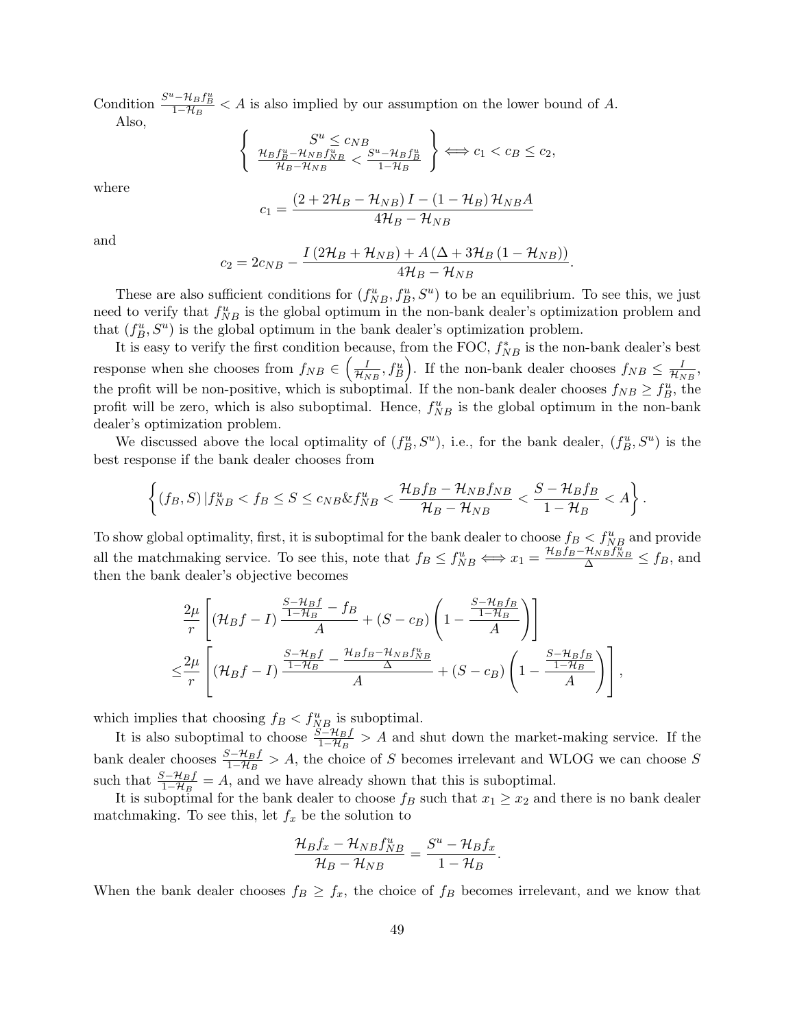Condition  $\frac{S^u - \mathcal{H}_B f_B^u}{1 - \mathcal{H}_B} < A$  is also implied by our assumption on the lower bound of A. Also,

$$
\left\{\n\begin{array}{c}\nS^u \leq c_{NB} \\
\frac{\mathcal{H}_B f_B^u - \mathcal{H}_{NB} f_{NB}^u}{\mathcal{H}_B - \mathcal{H}_{NB}} < \frac{S^u - \mathcal{H}_B f_B^u}{1 - \mathcal{H}_B}\n\end{array}\n\right\} \Longleftrightarrow c_1 < c_B \leq c_2,
$$

where

$$
c_1 = \frac{\left(2 + 2\mathcal{H}_B - \mathcal{H}_{NB}\right)I - \left(1 - \mathcal{H}_B\right)\mathcal{H}_{NB}A}{4\mathcal{H}_B - \mathcal{H}_{NB}}
$$

and

$$
c_2 = 2c_{NB} - \frac{I\left(2\mathcal{H}_B + \mathcal{H}_{NB}\right) + A\left(\Delta + 3\mathcal{H}_B\left(1 - \mathcal{H}_{NB}\right)\right)}{4\mathcal{H}_B - \mathcal{H}_{NB}}.
$$

These are also sufficient conditions for  $(f_{NB}^u, f_B^u, S^u)$  to be an equilibrium. To see this, we just need to verify that  $f_{NB}^u$  is the global optimum in the non-bank dealer's optimization problem and that  $(f_B^u, S^u)$  is the global optimum in the bank dealer's optimization problem.

It is easy to verify the first condition because, from the FOC,  $f_{NB}^*$  is the non-bank dealer's best response when she chooses from  $f_{NB} \in \left(\frac{I}{\mathcal{H}_{NB}}, f_{B}^{u}\right)$ . If the non-bank dealer chooses  $f_{NB} \leq \frac{I}{\mathcal{H}_{NB}}$ , the profit will be non-positive, which is suboptimal. If the non-bank dealer chooses  $f_{NB} \ge f_B^u$ , the profit will be zero, which is also suboptimal. Hence,  $f_{NB}^u$  is the global optimum in the non-bank dealer's optimization problem.

We discussed above the local optimality of  $(f_B^u, S^u)$ , i.e., for the bank dealer,  $(f_B^u, S^u)$  is the best response if the bank dealer chooses from

$$
\left\{ (f_B, S) | f_{NB}^u < f_B \le S \le c_{NB} \& f_{NB}^u < \frac{\mathcal{H}_B f_B - \mathcal{H}_{NB} f_{NB}}{\mathcal{H}_B - \mathcal{H}_{NB}} < \frac{S - \mathcal{H}_B f_B}{1 - \mathcal{H}_B} < A \right\}
$$

.

To show global optimality, first, it is suboptimal for the bank dealer to choose  $f_B < f_{NB}^u$  and provide all the matchmaking service. To see this, note that  $f_B \leq f_{NB}^u \iff x_1 = \frac{\mathcal{H}_B f_B - \mathcal{H}_{NB} f_{NB}^u}{\Delta} \leq f_B$ , and then the bank dealer's objective becomes

$$
\frac{2\mu}{r} \left[ (\mathcal{H}_B f - I) \frac{\frac{S - \mathcal{H}_B f}{1 - \mathcal{H}_B} - f_B}{A} + (S - c_B) \left( 1 - \frac{\frac{S - \mathcal{H}_B f_B}{1 - \mathcal{H}_B}}{A} \right) \right]
$$
  

$$
\leq \frac{2\mu}{r} \left[ (\mathcal{H}_B f - I) \frac{\frac{S - \mathcal{H}_B f}{1 - \mathcal{H}_B} - \frac{\mathcal{H}_B f_B - \mathcal{H}_{NB} f_{NB}^u}{\Delta}}{A} + (S - c_B) \left( 1 - \frac{\frac{S - \mathcal{H}_B f_B}{1 - \mathcal{H}_B}}{A} \right) \right],
$$

which implies that choosing  $f_B < f_{NB}^u$  is suboptimal.

It is also suboptimal to choose  $\frac{S-\mathcal{H}_B f}{1-\mathcal{H}_B} > A$  and shut down the market-making service. If the bank dealer chooses  $\frac{S-\mathcal{H}_B f}{1-\mathcal{H}_B} > A$ , the choice of S becomes irrelevant and WLOG we can choose S such that  $\frac{S-\mathcal{H}_B f}{1-\mathcal{H}_B} = A$ , and we have already shown that this is suboptimal.

It is suboptimal for the bank dealer to choose  $f_B$  such that  $x_1 \geq x_2$  and there is no bank dealer matchmaking. To see this, let  $f_x$  be the solution to

$$
\frac{\mathcal{H}_B f_x - \mathcal{H}_{NB} f_{NB}^u}{\mathcal{H}_B - \mathcal{H}_{NB}} = \frac{S^u - \mathcal{H}_B f_x}{1 - \mathcal{H}_B}.
$$

When the bank dealer chooses  $f_B \geq f_x$ , the choice of  $f_B$  becomes irrelevant, and we know that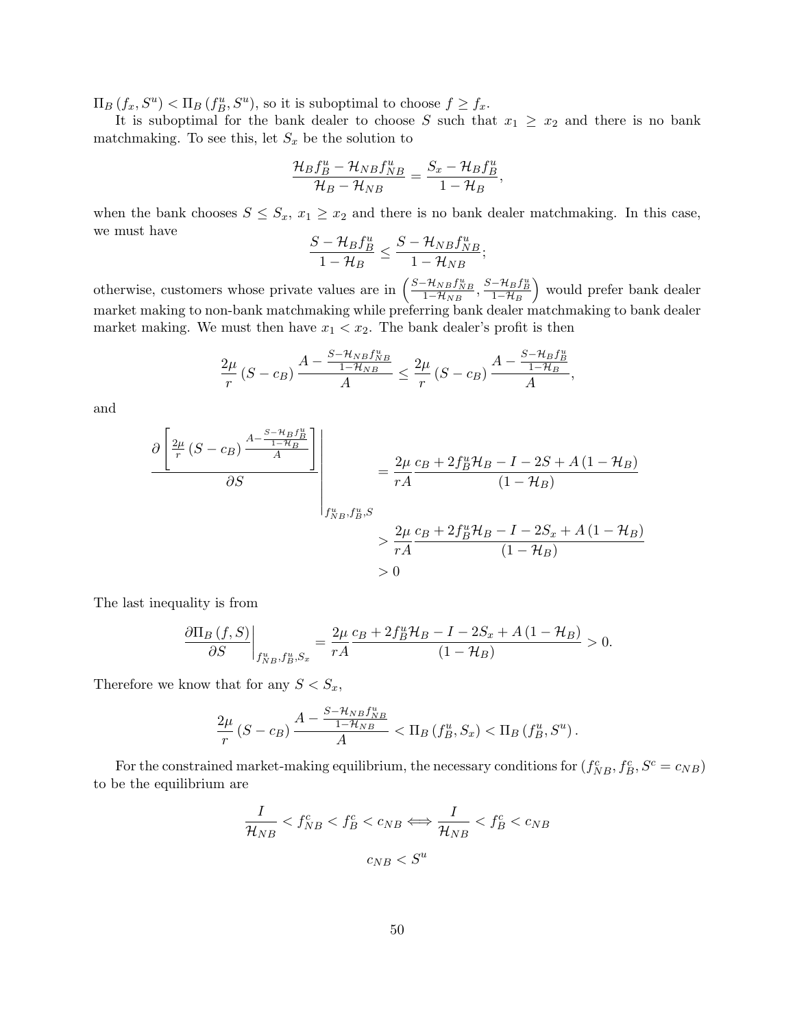$\Pi_B(f_x, S^u) < \Pi_B(f_B^u, S^u)$ , so it is suboptimal to choose  $f \ge f_x$ .

It is suboptimal for the bank dealer to choose S such that  $x_1 \geq x_2$  and there is no bank matchmaking. To see this, let  $S_x$  be the solution to

$$
\frac{\mathcal{H}_B f_B^u - \mathcal{H}_{NB} f_{NB}^u}{\mathcal{H}_B - \mathcal{H}_{NB}} = \frac{S_x - \mathcal{H}_B f_B^u}{1 - \mathcal{H}_B},
$$

when the bank chooses  $S \leq S_x$ ,  $x_1 \geq x_2$  and there is no bank dealer matchmaking. In this case, we must have

$$
\frac{S-\mathcal{H}_Bf_B^u}{1-\mathcal{H}_B}\leq \frac{S-\mathcal{H}_{NB}f_{NB}^u}{1-\mathcal{H}_{NB}};
$$

otherwise, customers whose private values are in  $\left(\frac{S-\mathcal{H}_{NB}f_{NB}^u}{1-\mathcal{H}_{NB}} , \frac{S-\mathcal{H}_{B}f_{B}^u}{1-\mathcal{H}_{B}}\right)$  would prefer bank dealer market making to non-bank matchmaking while preferring bank dealer matchmaking to bank dealer market making. We must then have  $x_1 < x_2$ . The bank dealer's profit is then

$$
\frac{2\mu}{r}\left(S-c_B\right)\frac{A-\frac{S-\mathcal{H}_{NB}f_{NB}^u}{1-\mathcal{H}_{NB}}}{A}\leq \frac{2\mu}{r}\left(S-c_B\right)\frac{A-\frac{S-\mathcal{H}_Bf_B^u}{1-\mathcal{H}_B}}{A},
$$

and

$$
\frac{\partial \left[\frac{2\mu}{r}(S-c_B)\frac{A-\frac{S-H_B f_B^u}{1-H_B}}{A}\right]}{\partial S} = \frac{2\mu}{rA} \frac{c_B+2f_B^u \mathcal{H}_B - I - 2S + A(1-\mathcal{H}_B)}{(1-\mathcal{H}_B)}
$$

$$
> \frac{2\mu}{rA} \frac{c_B+2f_B^u \mathcal{H}_B - I - 2S_x + A(1-\mathcal{H}_B)}{(1-\mathcal{H}_B)}
$$

$$
> 0
$$

The last inequality is from

$$
\frac{\partial \Pi_B (f, S)}{\partial S}\bigg|_{f_{NB}^u, f_B^u, S_x} = \frac{2\mu}{rA} \frac{c_B + 2f_B^u \mathcal{H}_B - I - 2S_x + A(1 - \mathcal{H}_B)}{(1 - \mathcal{H}_B)} > 0.
$$

Therefore we know that for any  $S < S_x$ ,

$$
\frac{2\mu}{r} \left( S - c_B \right) \frac{A - \frac{S - \mathcal{H}_{NB} f_{NB}^u}{1 - \mathcal{H}_{NB}}}{A} < \Pi_B \left( f_B^u, S_x \right) < \Pi_B \left( f_B^u, S^u \right).
$$

For the constrained market-making equilibrium, the necessary conditions for  $(f_{NB}^c, f_B^c, S^c = c_{NB})$ to be the equilibrium are

$$
\frac{I}{\mathcal{H}_{NB}} < f_{NB}^c < f_B^c < c_{NB} \Longleftrightarrow \frac{I}{\mathcal{H}_{NB}} < f_B^c < c_{NB} \tag{B}
$$
\n
$$
c_{NB} < S^u
$$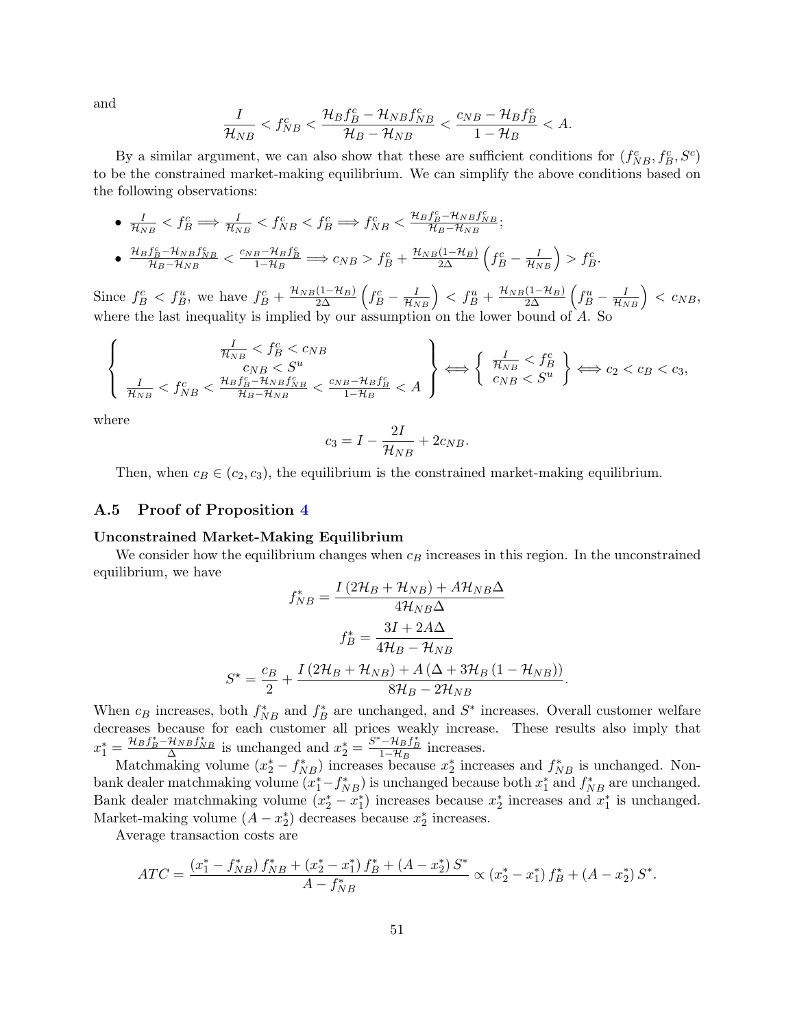and

$$
\frac{I}{\mathcal{H}_{NB}} < f_{NB}^c < \frac{\mathcal{H}_Bf_B^c - \mathcal{H}_{NB}f_{NB}^c}{\mathcal{H}_B - \mathcal{H}_{NB}} < \frac{c_{NB} - \mathcal{H}_Bf_B^c}{1 - \mathcal{H}_B} < A.
$$

By a similar argument, we can also show that these are sufficient conditions for  $(f_{NB}^c, f_B^c, S^c)$ to be the constrained market-making equilibrium. We can simplify the above conditions based on the following observations:

• 
$$
\frac{I}{\mathcal{H}_{NB}} < f_B^c \implies \frac{I}{\mathcal{H}_{NB}} < f_{NB}^c < f_B^c \implies f_{NB}^c < \frac{\mathcal{H}_B f_B^c - \mathcal{H}_{NB} f_{NB}^c}{\mathcal{H}_B - \mathcal{H}_{NB}};
$$
  
\n•  $\frac{\mathcal{H}_B f_B^c - \mathcal{H}_{NB} f_{NB}^c}{\mathcal{H}_B - \mathcal{H}_{NB}} < \frac{c_{NB} - \mathcal{H}_B f_B^c}{1 - \mathcal{H}_B} \implies c_{NB} > f_B^c + \frac{\mathcal{H}_{NB}(1 - \mathcal{H}_B)}{2\Delta} \left( f_B^c - \frac{I}{\mathcal{H}_{NB}} \right) > f_B^c.$ 

Since  $f_B^c < f_B^u$ , we have  $f_B^c + \frac{\mathcal{H}_{NB}(1-\mathcal{H}_B)}{2\Delta} \left( f_B^c - \frac{I}{\mathcal{H}_{NB}} \right) < f_B^u + \frac{\mathcal{H}_{NB}(1-\mathcal{H}_B)}{2\Delta} \left( f_B^u - \frac{I}{\mathcal{H}_{NB}} \right) < c_{NB}$ , where the last inequality is implied by our assumption on the lower bound of A. So

$$
\left\{\n\begin{array}{c}\n\frac{I}{\mathcal{H}_{NB}} < f_B^c < c_{NB} \\
c_{NB} < S^u \\
\frac{I}{\mathcal{H}_{NB}} < f_{NB}^c < \frac{\mathcal{H}_B f_B^c - \mathcal{H}_{NB} f_{NB}^c}{\mathcal{H}_B - \mathcal{H}_{NB}} < \frac{c_{NB} - \mathcal{H}_B f_B^c}{1 - \mathcal{H}_B} < A\n\end{array}\n\right\} \Longleftrightarrow \left\{\n\begin{array}{c}\n\frac{I}{\mathcal{H}_{NB}} < f_B^c \\
c_{NB} < S^u\n\end{array}\n\right\} \Longleftrightarrow c_2 < c_B < c_3,
$$

where

$$
c_3 = I - \frac{2I}{\mathcal{H}_{NB}} + 2c_{NB}.
$$

Then, when  $c_B \in (c_2, c_3)$ , the equilibrium is the constrained market-making equilibrium.

## A.5 Proof of Proposition [4](#page-25-1)

#### Unconstrained Market-Making Equilibrium

We consider how the equilibrium changes when  $c_B$  increases in this region. In the unconstrained equilibrium, we have

$$
f_{NB}^* = \frac{I(2\mathcal{H}_B + \mathcal{H}_{NB}) + A\mathcal{H}_{NB}\Delta}{4\mathcal{H}_{NB}\Delta}
$$

$$
f_B^* = \frac{3I + 2A\Delta}{4\mathcal{H}_B - \mathcal{H}_{NB}}
$$

$$
S^* = \frac{c_B}{2} + \frac{I(2\mathcal{H}_B + \mathcal{H}_{NB}) + A(\Delta + 3\mathcal{H}_B(1 - \mathcal{H}_{NB}))}{8\mathcal{H}_B - 2\mathcal{H}_{NB}}.
$$

When  $c_B$  increases, both  $f_{NB}^*$  and  $f_B^*$  are unchanged, and  $S^*$  increases. Overall customer welfare decreases because for each customer all prices weakly increase. These results also imply that  $x_1^* = \frac{\mathcal{H}_B f_B^* - \mathcal{H}_{NB} f_{NB}^*}{\Delta}$  is unchanged and  $x_2^* = \frac{S^* - \mathcal{H}_B f_B^*}{1 - \mathcal{H}_B}$  increases.

Matchmaking volume  $(x_2^* - f_{NB}^*)$  increases because  $x_2^*$  increases and  $f_{NB}^*$  is unchanged. Nonbank dealer matchmaking volume  $(x_1^* - f_{NB}^*)$  is unchanged because both  $x_1^*$  and  $f_{NB}^*$  are unchanged. Bank dealer matchmaking volume  $(x_2^* - x_1^*)$  increases because  $x_2^*$  increases and  $x_1^*$  is unchanged. Market-making volume  $(A - x_2^*)$  decreases because  $x_2^*$  increases.

Average transaction costs are

$$
ATC = \frac{(x_1^* - f_{NB}^*) f_{NB}^* + (x_2^* - x_1^*) f_B^* + (A - x_2^*) S^*}{A - f_{NB}^*} \propto (x_2^* - x_1^*) f_B^* + (A - x_2^*) S^*.
$$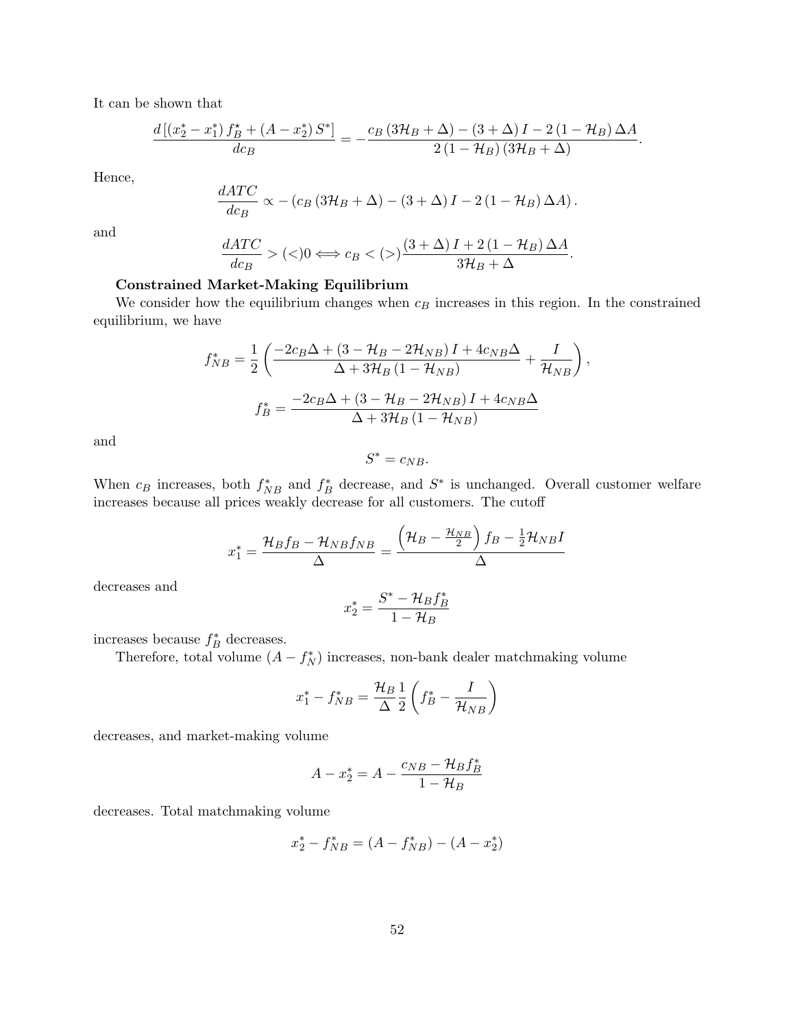It can be shown that

$$
\frac{d\left[\left(x_2^*-x_1^*\right)f_B^{\star}+\left(A-x_2^*\right)S^{\ast}\right]}{dc_B}=-\frac{c_B\left(3\mathcal{H}_B+\Delta\right)-\left(3+\Delta\right)I-2\left(1-\mathcal{H}_B\right)\Delta A}{2\left(1-\mathcal{H}_B\right)\left(3\mathcal{H}_B+\Delta\right)}.
$$

Hence,

$$
\frac{dATC}{dc_B} \propto - (c_B (3\mathcal{H}_B + \Delta) - (3 + \Delta) I - 2 (1 - \mathcal{H}_B) \Delta A).
$$

and

$$
\frac{dATC}{dc_B} > (<0 \Longleftrightarrow c_B < (>) \frac{(3+\Delta)I + 2(1-\mathcal{H}_B)\Delta A}{3\mathcal{H}_B + \Delta}.
$$

## Constrained Market-Making Equilibrium

We consider how the equilibrium changes when  $c_B$  increases in this region. In the constrained equilibrium, we have

$$
f_{NB}^{*} = \frac{1}{2} \left( \frac{-2c_{B}\Delta + (3 - \mathcal{H}_{B} - 2\mathcal{H}_{NB}) I + 4c_{NB}\Delta}{\Delta + 3\mathcal{H}_{B} (1 - \mathcal{H}_{NB})} + \frac{I}{\mathcal{H}_{NB}} \right),
$$

$$
f_{B}^{*} = \frac{-2c_{B}\Delta + (3 - \mathcal{H}_{B} - 2\mathcal{H}_{NB}) I + 4c_{NB}\Delta}{\Delta + 3\mathcal{H}_{B} (1 - \mathcal{H}_{NB})}
$$

and

$$
S^* = c_{NB}.
$$

When  $c_B$  increases, both  $f_{NB}^*$  and  $f_B^*$  decrease, and  $S^*$  is unchanged. Overall customer welfare increases because all prices weakly decrease for all customers. The cutoff

$$
x_1^* = \frac{\mathcal{H}_B f_B - \mathcal{H}_{NB} f_{NB}}{\Delta} = \frac{\left(\mathcal{H}_B - \frac{\mathcal{H}_{NB}}{2}\right) f_B - \frac{1}{2} \mathcal{H}_{NB} I}{\Delta}
$$

decreases and

$$
x_2^* = \frac{S^* - \mathcal{H}_B f_B^*}{1 - \mathcal{H}_B}
$$

increases because  $f_B^*$  decreases.

Therefore, total volume  $(A - f_N^*)$  increases, non-bank dealer matchmaking volume

$$
x_1^* - f_{NB}^* = \frac{\mathcal{H}_B}{\Delta} \frac{1}{2} \left( f_B^* - \frac{I}{\mathcal{H}_{NB}} \right)
$$

decreases, and market-making volume

$$
A - x_2^* = A - \frac{c_{NB} - \mathcal{H}_B f_B^*}{1 - \mathcal{H}_B}
$$

decreases. Total matchmaking volume

$$
x_2^* - f_{NB}^* = (A - f_{NB}^*) - (A - x_2^*)
$$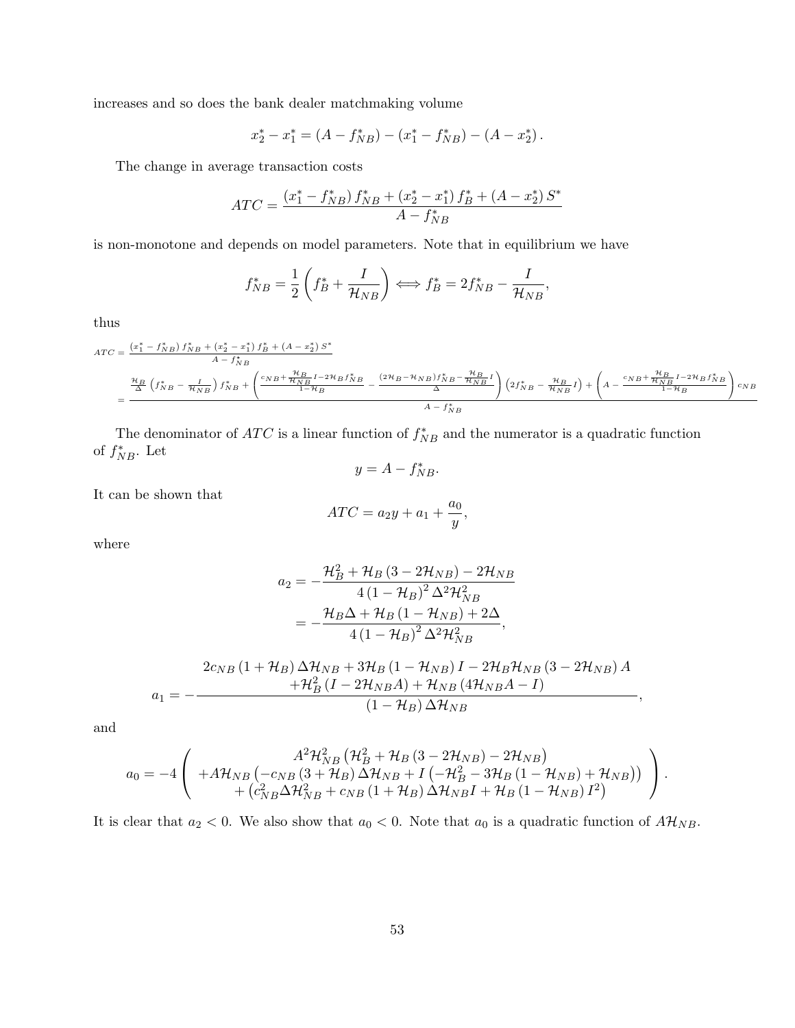increases and so does the bank dealer matchmaking volume

$$
x_2^* - x_1^* = (A - f_{NB}^*) - (x_1^* - f_{NB}^*) - (A - x_2^*).
$$

The change in average transaction costs

$$
ATC = \frac{(x_1^* - f_{NB}^*) f_{NB}^* + (x_2^* - x_1^*) f_B^* + (A - x_2^*) S^*}{A - f_{NB}^*}
$$

is non-monotone and depends on model parameters. Note that in equilibrium we have

$$
f_{NB}^* = \frac{1}{2} \left( f_B^* + \frac{I}{\mathcal{H}_{NB}} \right) \Longleftrightarrow f_B^* = 2f_{NB}^* - \frac{I}{\mathcal{H}_{NB}},
$$

thus

$$
ATC = \frac{(x_1^* - f_{NB}^*) f_{NB}^* + (x_2^* - x_1^*) f_B^* + (A - x_2^*) S^*}{A - f_{NB}^*} = \frac{\frac{\mathcal{H}_B}{\Delta} \left( f_{NB}^* - \frac{I}{\mathcal{H}_{NB}} \right) f_{NB}^* + \left( \frac{c_{NB} + \frac{\mathcal{H}_B}{\mathcal{H}_{NB}} I - 2\mathcal{H}_B f_{NB}^*}{1 - \mathcal{H}_B} - \frac{(2\mathcal{H}_B - \mathcal{H}_{NB}) f_{NB}^* - \frac{\mathcal{H}_B}{\mathcal{H}_{NB}} I}{\Delta} \right) \left( 2f_{NB}^* - \frac{\mathcal{H}_B}{\mathcal{H}_{NB}} I \right) + \left( A - \frac{c_{NB} + \frac{\mathcal{H}_B}{\mathcal{H}_{NB}} I - 2\mathcal{H}_B f_{NB}^*}{1 - \mathcal{H}_B} \right) c_{NB} }{A - f_{NB}^*}
$$

The denominator of  $ATC$  is a linear function of  $f_{NB}^*$  and the numerator is a quadratic function of  $f_{NB}^*$ . Let

$$
y = A - f_{NB}^*.
$$

It can be shown that

$$
ATC = a_2y + a_1 + \frac{a_0}{y},
$$

where

$$
a_{2} = -\frac{\mathcal{H}_{B}^{2} + \mathcal{H}_{B} (3 - 2\mathcal{H}_{NB}) - 2\mathcal{H}_{NB}}{4(1 - \mathcal{H}_{B})^{2} \Delta^{2} \mathcal{H}_{NB}^{2}}
$$
  
= 
$$
-\frac{\mathcal{H}_{B}\Delta + \mathcal{H}_{B} (1 - \mathcal{H}_{NB}) + 2\Delta}{4(1 - \mathcal{H}_{B})^{2} \Delta^{2} \mathcal{H}_{NB}^{2}},
$$

$$
a_1 = -\frac{2c_{NB} (1 + \mathcal{H}_B) \Delta \mathcal{H}_{NB} + 3\mathcal{H}_B (1 - \mathcal{H}_{NB}) I - 2\mathcal{H}_B \mathcal{H}_{NB} (3 - 2\mathcal{H}_{NB}) A}{\mathcal{H}_B^2 (I - 2\mathcal{H}_{NB} A) + \mathcal{H}_{NB} (4\mathcal{H}_{NB} A - I)},
$$

and

$$
a_0 = -4 \left( \begin{array}{c} A^2 \mathcal{H}_{NB}^2 \left( \mathcal{H}_{B}^2 + \mathcal{H}_{B} \left( 3 - 2 \mathcal{H}_{NB} \right) - 2 \mathcal{H}_{NB} \right) \\ + A \mathcal{H}_{NB} \left( -c_{NB} \left( 3 + \mathcal{H}_{B} \right) \Delta \mathcal{H}_{NB} + I \left( -\mathcal{H}_{B}^2 - 3 \mathcal{H}_{B} \left( 1 - \mathcal{H}_{NB} \right) + \mathcal{H}_{NB} \right) \right) \\ + \left( c_{NB}^2 \Delta \mathcal{H}_{NB}^2 + c_{NB} \left( 1 + \mathcal{H}_{B} \right) \Delta \mathcal{H}_{NB} I + \mathcal{H}_{B} \left( 1 - \mathcal{H}_{NB} \right) I^2 \right) \end{array} \right).
$$

It is clear that  $a_2 < 0$ . We also show that  $a_0 < 0$ . Note that  $a_0$  is a quadratic function of  $A\mathcal{H}_{NB}$ .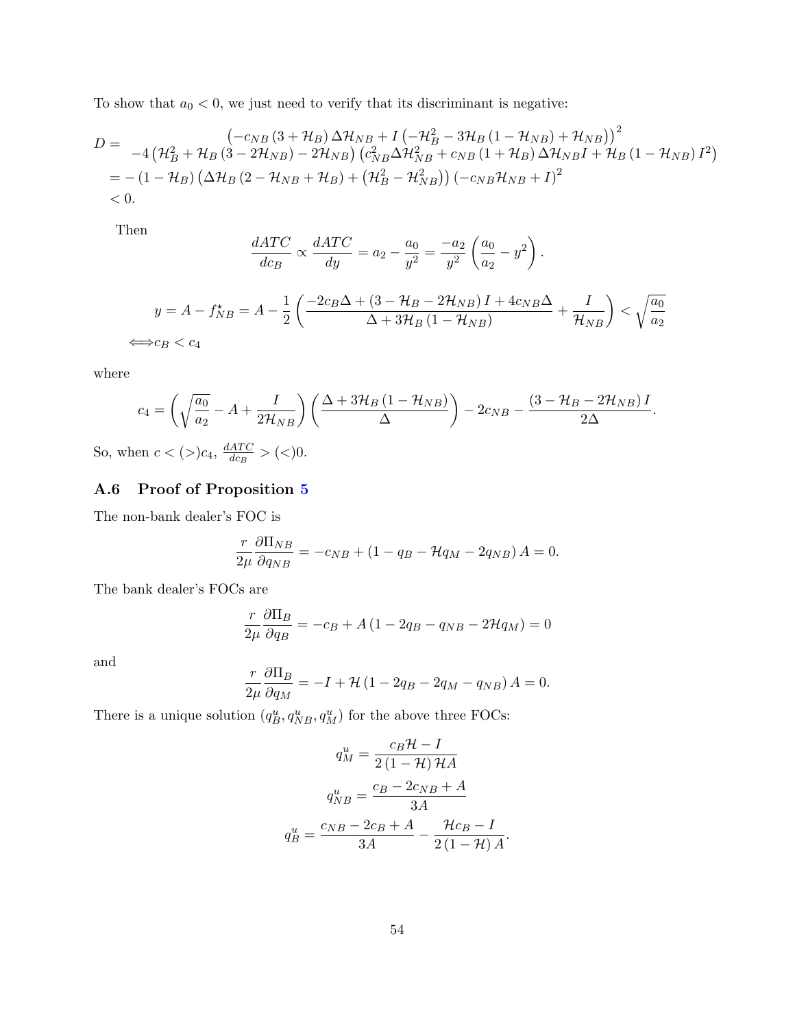To show that  $a_0 < 0$ , we just need to verify that its discriminant is negative:

$$
D = \frac{\left(-c_{NB}\left(3+\mathcal{H}_{B}\right)\Delta\mathcal{H}_{NB} + I\left(-\mathcal{H}_{B}^{2} - 3\mathcal{H}_{B}\left(1-\mathcal{H}_{NB}\right) + \mathcal{H}_{NB}\right)\right)^{2}}{-4\left(\mathcal{H}_{B}^{2} + \mathcal{H}_{B}\left(3-2\mathcal{H}_{NB}\right) - 2\mathcal{H}_{NB}\right)\left(c_{NB}^{2}\Delta\mathcal{H}_{NB}^{2} + c_{NB}\left(1+\mathcal{H}_{B}\right)\Delta\mathcal{H}_{NB}I + \mathcal{H}_{B}\left(1-\mathcal{H}_{NB}\right)I^{2}\right)}
$$
  
= -\left(1-\mathcal{H}\_{B}\right)\left(\Delta\mathcal{H}\_{B}\left(2-\mathcal{H}\_{NB} + \mathcal{H}\_{B}\right) + \left(\mathcal{H}\_{B}^{2} - \mathcal{H}\_{NB}^{2}\right)\right)\left(-c\_{NB}\mathcal{H}\_{NB} + I\right)^{2}  
< 0.

Then

$$
\frac{dATC}{dc_B} \propto \frac{dATC}{dy} = a_2 - \frac{a_0}{y^2} = \frac{-a_2}{y^2} \left(\frac{a_0}{a_2} - y^2\right).
$$
\n
$$
y = A - f_{NB}^{\star} = A - \frac{1}{2} \left(\frac{-2c_B\Delta + (3 - \mathcal{H}_B - 2\mathcal{H}_{NB})I + 4c_{NB}\Delta}{\Delta + 3\mathcal{H}_B(1 - \mathcal{H}_{NB})} + \frac{I}{\mathcal{H}_{NB}}\right) < \sqrt{\frac{a_0}{a_2}}
$$
\n
$$
\iff c_B < c_4
$$

where

$$
c_4 = \left(\sqrt{\frac{a_0}{a_2}} - A + \frac{I}{2\mathcal{H}_{NB}}\right) \left(\frac{\Delta + 3\mathcal{H}_B \left(1 - \mathcal{H}_{NB}\right)}{\Delta}\right) - 2c_{NB} - \frac{\left(3 - \mathcal{H}_B - 2\mathcal{H}_{NB}\right)I}{2\Delta}.
$$

So, when  $c < (>)$  $c_4$ ,  $\frac{dATC}{dcR}$  $\frac{ATC}{dc_B} > (<)0.$ 

# A.6 Proof of Proposition [5](#page-29-0)

The non-bank dealer's FOC is

$$
\frac{r}{2\mu} \frac{\partial \Pi_{NB}}{\partial q_{NB}} = -c_{NB} + (1 - q_B - \mathcal{H}q_M - 2q_{NB}) A = 0.
$$

The bank dealer's FOCs are

$$
\frac{r}{2\mu} \frac{\partial \Pi_B}{\partial q_B} = -c_B + A \left( 1 - 2q_B - q_{NB} - 2\mathcal{H}q_M \right) = 0
$$

and

$$
\frac{r}{2\mu} \frac{\partial \Pi_B}{\partial q_M} = -I + \mathcal{H} (1 - 2q_B - 2q_M - q_{NB}) A = 0.
$$

There is a unique solution  $(q_B^u, q_{NB}^u, q_M^u)$  for the above three FOCs:

$$
q_M^u = \frac{c_B \mathcal{H} - I}{2(1 - \mathcal{H})\mathcal{H}A}
$$

$$
q_{NB}^u = \frac{c_B - 2c_{NB} + A}{3A}
$$

$$
q_B^u = \frac{c_{NB} - 2c_B + A}{3A} - \frac{\mathcal{H}c_B - I}{2(1 - \mathcal{H})A}.
$$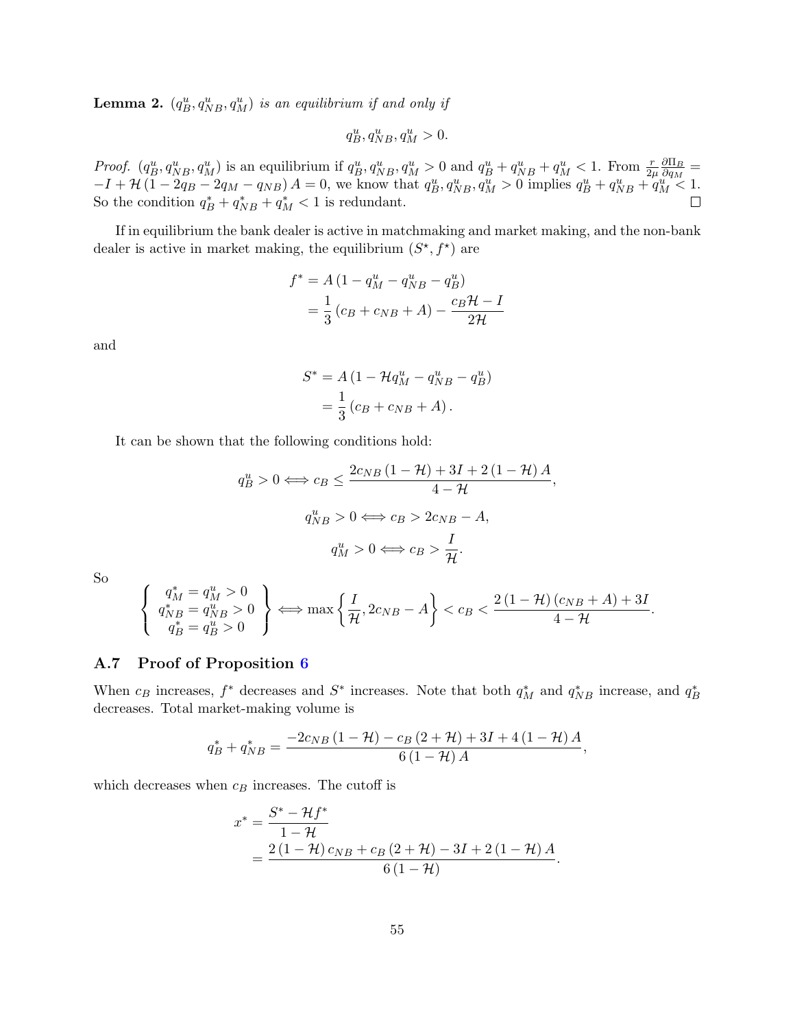**Lemma 2.**  $(q_B^u, q_{NB}^u, q_M^u)$  is an equilibrium if and only if

$$
q_B^u, q_{NB}^u, q_M^u > 0.
$$

Proof.  $(q_B^u, q_{NB}^u, q_M^u)$  is an equilibrium if  $q_B^u, q_{NB}^u, q_M^u > 0$  and  $q_B^u + q_{NB}^u + q_M^u < 1$ . From  $\frac{r}{2\mu} \frac{\partial \Pi_B}{\partial q_M}$  $\frac{\partial \Pi_B}{\partial q_M} =$  $-I + H(1 - 2q_B - 2q_M - q_{NB}) A = 0$ , we know that  $q_B^u, q_{NB}^u, q_M^u > 0$  implies  $q_B^u + q_{NB}^u + q_M^u < 1$ . So the condition  $q_B^* + q_{NB}^* + q_M^* < 1$  is redundant.

If in equilibrium the bank dealer is active in matchmaking and market making, and the non-bank dealer is active in market making, the equilibrium  $(S^*, f^*)$  are

$$
f^* = A (1 - q_M^u - q_{NB}^u - q_B^u)
$$
  
=  $\frac{1}{3} (c_B + c_{NB} + A) - \frac{c_B \mathcal{H} - I}{2\mathcal{H}}$ 

and

$$
S^* = A \left( 1 - \mathcal{H}q_M^u - q_{NB}^u - q_B^u \right)
$$

$$
= \frac{1}{3} \left( c_B + c_{NB} + A \right).
$$

It can be shown that the following conditions hold:

$$
q_B^u > 0 \Longleftrightarrow c_B \le \frac{2c_{NB} (1 - \mathcal{H}) + 3I + 2(1 - \mathcal{H})A}{4 - \mathcal{H}},
$$

$$
q_{NB}^u > 0 \Longleftrightarrow c_B > 2c_{NB} - A,
$$

$$
q_M^u > 0 \Longleftrightarrow c_B > \frac{I}{\mathcal{H}}.
$$

So

$$
\left\{\n\begin{array}{l}\n q_M^* = q_M^u > 0 \\
 q_{NB}^* = q_{NB}^u > 0 \\
 q_B^* = q_B^u > 0\n\end{array}\n\right\}\n\Longleftrightarrow \max\left\{\n\frac{I}{\mathcal{H}}, 2c_{NB} - A\n\right\}\n< c_B < \frac{2\left(1 - \mathcal{H}\right)(c_{NB} + A) + 3I}{4 - \mathcal{H}}.
$$

### A.7 Proof of Proposition [6](#page-29-1)

When  $c_B$  increases,  $f^*$  decreases and  $S^*$  increases. Note that both  $q_M^*$  and  $q_{NB}^*$  increase, and  $q_B^*$ decreases. Total market-making volume is

$$
q_B^* + q_{NB}^* = \frac{-2c_{NB}(1 - \mathcal{H}) - c_B(2 + \mathcal{H}) + 3I + 4(1 - \mathcal{H})A}{6(1 - \mathcal{H})A},
$$

which decreases when  $c_B$  increases. The cutoff is

$$
x^* = \frac{S^* - \mathcal{H}f^*}{1 - \mathcal{H}}
$$
  
= 
$$
\frac{2(1 - \mathcal{H})c_{NB} + c_B(2 + \mathcal{H}) - 3I + 2(1 - \mathcal{H})A}{6(1 - \mathcal{H})}.
$$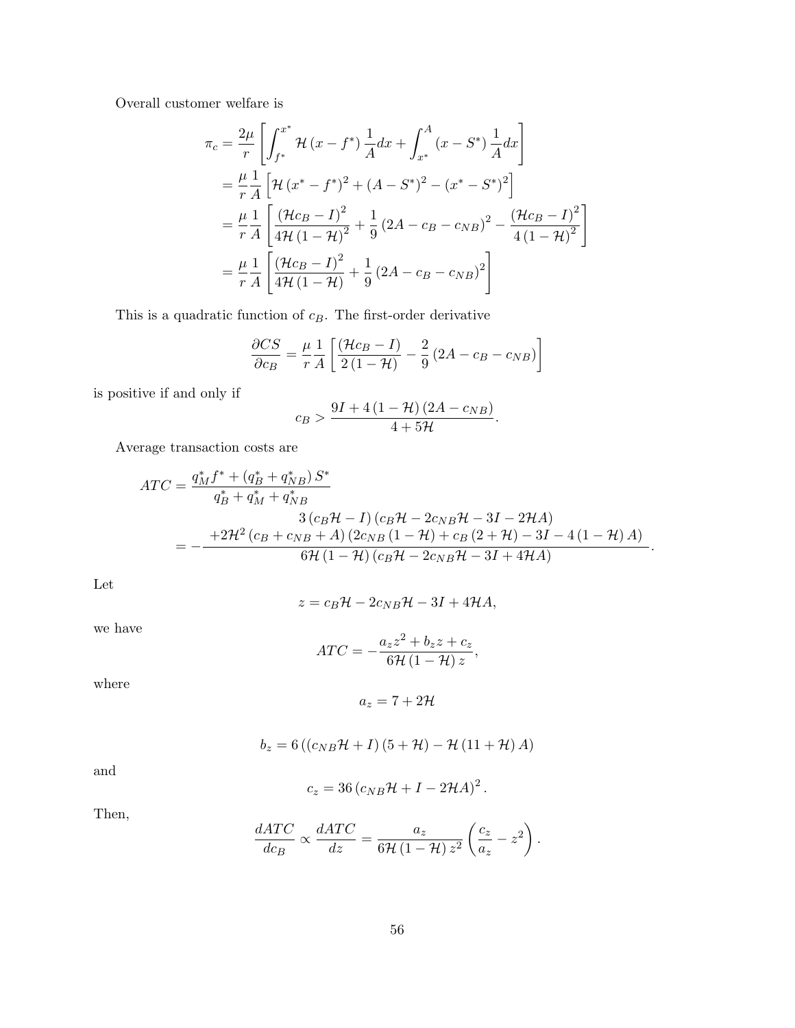Overall customer welfare is

$$
\pi_c = \frac{2\mu}{r} \left[ \int_{f^*}^{x^*} \mathcal{H}(x - f^*) \frac{1}{A} dx + \int_{x^*}^{A} (x - S^*) \frac{1}{A} dx \right]
$$
  
\n
$$
= \frac{\mu}{r} \frac{1}{A} \left[ \mathcal{H}(x^* - f^*)^2 + (A - S^*)^2 - (x^* - S^*)^2 \right]
$$
  
\n
$$
= \frac{\mu}{r} \frac{1}{A} \left[ \frac{(\mathcal{H}c_B - I)^2}{4\mathcal{H}(1 - \mathcal{H})^2} + \frac{1}{9} (2A - c_B - c_{NB})^2 - \frac{(\mathcal{H}c_B - I)^2}{4(1 - \mathcal{H})^2} \right]
$$
  
\n
$$
= \frac{\mu}{r} \frac{1}{A} \left[ \frac{(\mathcal{H}c_B - I)^2}{4\mathcal{H}(1 - \mathcal{H})} + \frac{1}{9} (2A - c_B - c_{NB})^2 \right]
$$

This is a quadratic function of  $c_B$ . The first-order derivative

$$
\frac{\partial CS}{\partial c_B} = \frac{\mu}{r} \frac{1}{A} \left[ \frac{(\mathcal{H}c_B - I)}{2(1 - \mathcal{H})} - \frac{2}{9} (2A - c_B - c_{NB}) \right]
$$

is positive if and only if

$$
c_B > \frac{9I + 4(1 - \mathcal{H})(2A - c_{NB})}{4 + 5\mathcal{H}}.
$$

Average transaction costs are

$$
ATC = \frac{q_M^* f^* + (q_B^* + q_{NB}^*) S^*}{q_B^* + q_M^* + q_{NB}^*} \n= -\frac{+2\mathcal{H}^2 (c_B + c_{NB} + A) (2c_{NB} (1 - \mathcal{H}) + c_B (2 + \mathcal{H}) - 3I - 4 (1 - \mathcal{H}) A)}{6\mathcal{H} (1 - \mathcal{H}) (c_B \mathcal{H} - 2c_{NB} \mathcal{H} - 3I + 4\mathcal{H}A)}.
$$

Let

$$
z = c_B \mathcal{H} - 2c_{NB} \mathcal{H} - 3I + 4\mathcal{H}A,
$$

we have

$$
ATC = -\frac{a_z z^2 + b_z z + c_z}{6\mathcal{H} (1 - \mathcal{H}) z},
$$

where

$$
a_z=7+2\mathcal{H}
$$

$$
b_z = 6 ((c_{NB} \mathcal{H} + I) (5 + \mathcal{H}) - \mathcal{H} (11 + \mathcal{H}) A)
$$

and

$$
c_z = 36 (c_{NB} \mathcal{H} + I - 2\mathcal{H}A)^2.
$$

Then,

$$
\frac{dATC}{dc_B} \propto \frac{dATC}{dz} = \frac{a_z}{6\mathcal{H}\left(1-\mathcal{H}\right)z^2} \left(\frac{c_z}{a_z} - z^2\right).
$$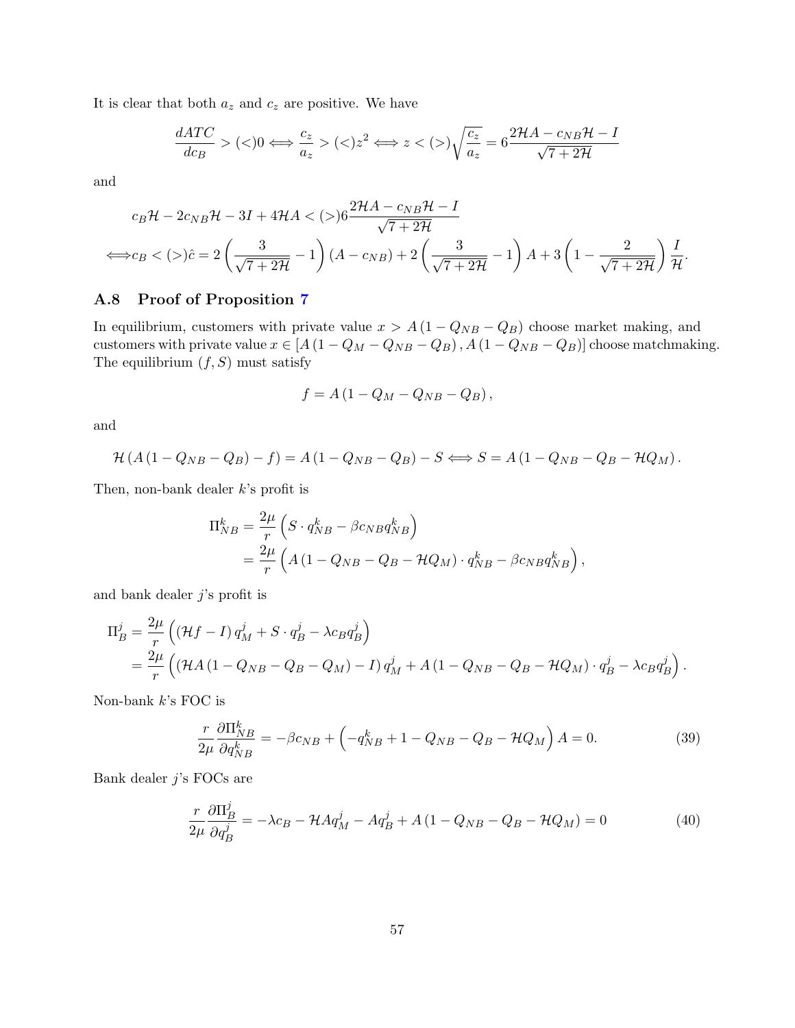It is clear that both  $a_z$  and  $c_z$  are positive. We have

$$
\frac{dATC}{dc_B} > (<0 \iff \frac{c_z}{a_z} > (<) z^2 \iff z < (>)\sqrt{\frac{c_z}{a_z}} = 6 \frac{2\mathcal{H}A - c_{NB}\mathcal{H} - I}{\sqrt{7 + 2\mathcal{H}}}
$$

and

$$
c_B \mathcal{H} - 2c_{NB} \mathcal{H} - 3I + 4\mathcal{H}A < (>)6\frac{2\mathcal{H}A - c_{NB}\mathcal{H} - I}{\sqrt{7 + 2\mathcal{H}}}
$$
\n
$$
\Leftrightarrow c_B < (>)\hat{c} = 2\left(\frac{3}{\sqrt{7 + 2\mathcal{H}}} - 1\right)(A - c_{NB}) + 2\left(\frac{3}{\sqrt{7 + 2\mathcal{H}}} - 1\right)A + 3\left(1 - \frac{2}{\sqrt{7 + 2\mathcal{H}}}\right)\frac{I}{\mathcal{H}}.
$$

## A.8 Proof of Proposition [7](#page-32-0)

In equilibrium, customers with private value  $x > A(1 - Q_{NB} - Q_B)$  choose market making, and customers with private value  $x \in [A(1-Q_M-Q_{NB}-Q_B), A(1-Q_{NB}-Q_B)]$  choose matchmaking. The equilibrium  $(f, S)$  must satisfy

$$
f = A\left(1 - Q_M - Q_{NB} - Q_B\right),\,
$$

and

$$
\mathcal{H}(A(1-Q_{NB}-Q_B)-f)=A(1-Q_{NB}-Q_B)-S\Longleftrightarrow S=A(1-Q_{NB}-Q_B-\mathcal{H}Q_M).
$$

Then, non-bank dealer k's profit is

$$
\Pi_{NB}^k = \frac{2\mu}{r} \left( S \cdot q_{NB}^k - \beta c_{NB} q_{NB}^k \right)
$$
  
= 
$$
\frac{2\mu}{r} \left( A \left( 1 - Q_{NB} - Q_B - \mathcal{H}Q_M \right) \cdot q_{NB}^k - \beta c_{NB} q_{NB}^k \right),
$$

and bank dealer  $j$ 's profit is

$$
\Pi_B^j = \frac{2\mu}{r} \left( (\mathcal{H}f - I) q_M^j + S \cdot q_B^j - \lambda c_B q_B^j \right)
$$
  
= 
$$
\frac{2\mu}{r} \left( (\mathcal{H}A (1 - Q_{NB} - Q_B - Q_M) - I) q_M^j + A (1 - Q_{NB} - Q_B - \mathcal{H}Q_M) \cdot q_B^j - \lambda c_B q_B^j \right).
$$

Non-bank  $k$ 's FOC is

<span id="page-57-0"></span>
$$
\frac{r}{2\mu} \frac{\partial \Pi_{NB}^k}{\partial q_{NB}^k} = -\beta c_{NB} + \left(-q_{NB}^k + 1 - Q_{NB} - Q_B - \mathcal{H}Q_M\right)A = 0. \tag{39}
$$

Bank dealer j's FOCs are

<span id="page-57-1"></span>
$$
\frac{r}{2\mu} \frac{\partial \Pi_B^j}{\partial q_B^j} = -\lambda c_B - \mathcal{H} A q_M^j - A q_B^j + A \left( 1 - Q_{NB} - Q_B - \mathcal{H} Q_M \right) = 0 \tag{40}
$$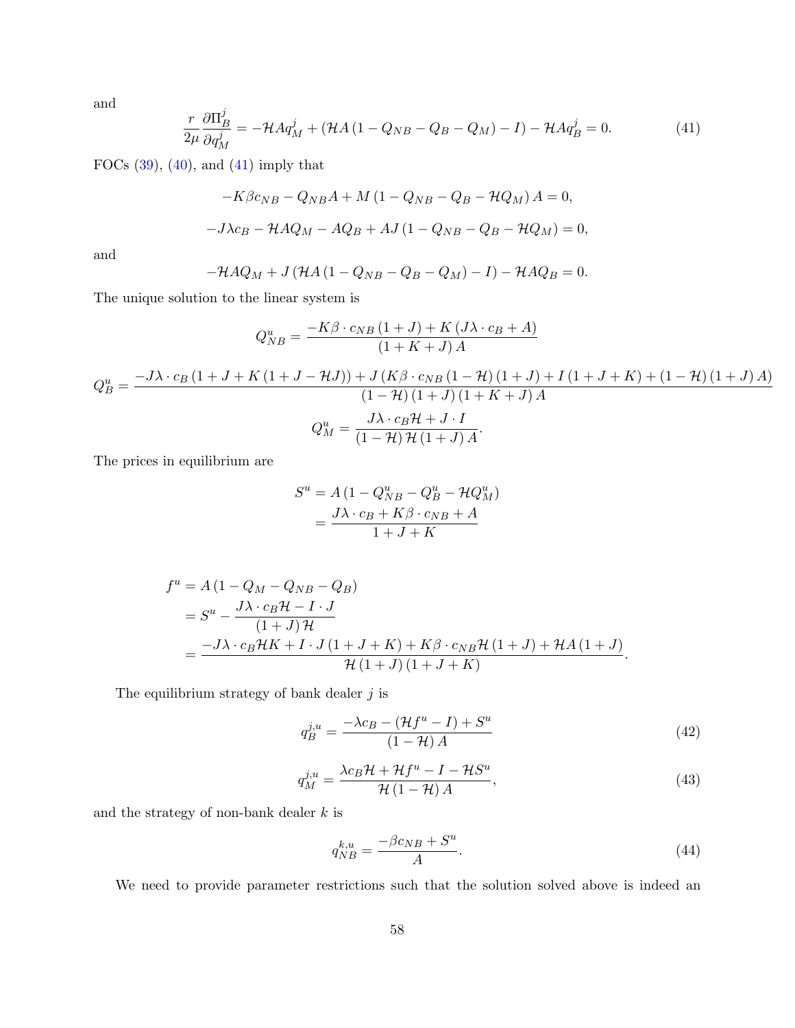and

<span id="page-58-0"></span>
$$
\frac{r}{2\mu} \frac{\partial \Pi_B^j}{\partial q_M^j} = -\mathcal{H} A q_M^j + (\mathcal{H} A (1 - Q_{NB} - Q_B - Q_M) - I) - \mathcal{H} A q_B^j = 0. \tag{41}
$$

FOCs  $(39)$ ,  $(40)$ , and  $(41)$  imply that

$$
-K\beta c_{NB} - Q_{NB}A + M(1 - Q_{NB} - Q_B - HQ_M) A = 0,
$$
  

$$
-J\lambda c_B - HAQ_M - AQ_B + AJ(1 - Q_{NB} - Q_B - HQ_M) = 0,
$$

and

$$
-\mathcal{H}AQ_M + J\left(\mathcal{H}A\left(1 - Q_{NB} - Q_B - Q_M\right) - I\right) - \mathcal{H}AQ_B = 0.
$$

The unique solution to the linear system is

$$
Q_{NB}^{u} = \frac{-K\beta \cdot c_{NB} (1+J) + K (J\lambda \cdot c_{B} + A)}{(1+K+J) A}
$$

$$
Q_{B}^{u} = \frac{-J\lambda \cdot c_{B} (1+J+K(1+J-AJ)) + J (K\beta \cdot c_{NB} (1-\mathcal{H}) (1+J) + I (1+J+K) + (1-\mathcal{H}) (1+J) A)}{(1-\mathcal{H}) (1+J) (1+K+J) A}
$$

$$
Q_{M}^{u} = \frac{J\lambda \cdot c_{B} \mathcal{H} + J \cdot I}{(1-\mathcal{H}) \mathcal{H} (1+J) A}.
$$

The prices in equilibrium are

$$
S^{u} = A (1 - Q_{NB}^{u} - Q_{B}^{u} - \mathcal{H}Q_{M}^{u})
$$

$$
= \frac{J\lambda \cdot c_{B} + K\beta \cdot c_{NB} + A}{1 + J + K}
$$

$$
f^{u} = A (1 - Q_{M} - Q_{NB} - Q_{B})
$$
  
= 
$$
S^{u} - \frac{J\lambda \cdot c_{B} \mathcal{H} - I \cdot J}{(1 + J) \mathcal{H}}
$$
  
= 
$$
\frac{-J\lambda \cdot c_{B} \mathcal{H}K + I \cdot J(1 + J + K) + K\beta \cdot c_{NB} \mathcal{H}(1 + J) + \mathcal{H}A(1 + J)}{\mathcal{H}(1 + J)(1 + J + K)}.
$$

The equilibrium strategy of bank dealer  $j$  is

<span id="page-58-1"></span>
$$
q_B^{j,u} = \frac{-\lambda c_B - (\mathcal{H}f^u - I) + S^u}{(1 - \mathcal{H})A} \tag{42}
$$

<span id="page-58-2"></span>
$$
q_M^{j,u} = \frac{\lambda c_B \mathcal{H} + \mathcal{H}f^u - I - \mathcal{H}S^u}{\mathcal{H}\left(1 - \mathcal{H}\right)A},\tag{43}
$$

and the strategy of non-bank dealer  $k$  is

<span id="page-58-3"></span>
$$
q_{NB}^{k,u} = \frac{-\beta c_{NB} + S^u}{A}.\tag{44}
$$

We need to provide parameter restrictions such that the solution solved above is indeed an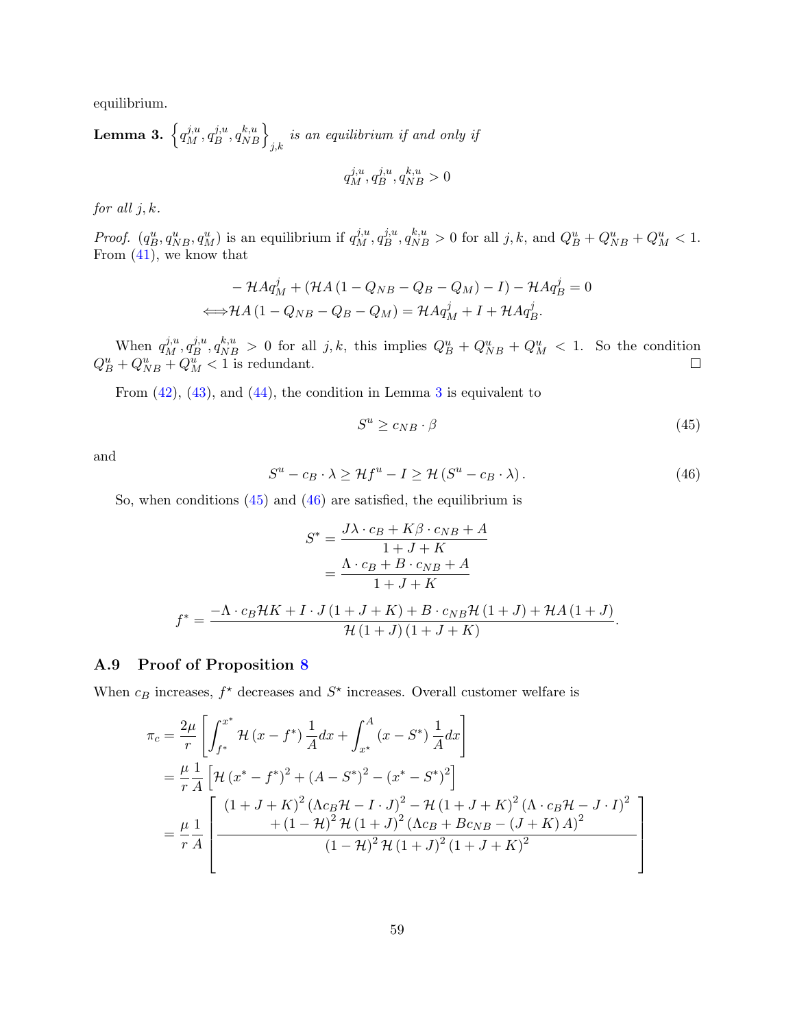equilibrium.

<span id="page-59-0"></span>**Lemma 3.** 
$$
\left\{ q_M^{j,u}, q_B^{j,u}, q_{NB}^{k,u} \right\}_{j,k}
$$
 is an equilibrium if and only if  

$$
q_M^{j,u}, q_B^{j,u}, q_{NB}^{k,u} > 0
$$

for all  $j, k$ .

*Proof.*  $(q_B^u, q_{NB}^u, q_M^u)$  is an equilibrium if  $q_M^{j,u}, q_B^{j,u}$  $j_{B}^{j,u}, q_{NB}^{k,u} > 0$  for all  $j, k$ , and  $Q_{B}^{u} + Q_{NB}^{u} + Q_{M}^{u} < 1$ . From [\(41\)](#page-58-0), we know that

$$
- \mathcal{H} A q_M^j + (\mathcal{H} A (1 - Q_{NB} - Q_B - Q_M) - I) - \mathcal{H} A q_B^j = 0
$$
  

$$
\Longleftrightarrow \mathcal{H} A (1 - Q_{NB} - Q_B - Q_M) = \mathcal{H} A q_M^j + I + \mathcal{H} A q_B^j.
$$

When  $q_M^{j,u}, q_B^{j,u}$  $\delta_B^{j,u}, q_{NB}^{k,u} > 0$  for all  $j, k$ , this implies  $Q_B^u + Q_{NB}^u + Q_M^u < 1$ . So the condition  $Q_B^u + Q_{NB}^u + Q_M^u < 1$  is redundant.

From [\(42\)](#page-58-1), [\(43\)](#page-58-2), and [\(44\)](#page-58-3), the condition in Lemma [3](#page-59-0) is equivalent to

<span id="page-59-1"></span>
$$
S^u \ge c_{NB} \cdot \beta \tag{45}
$$

and

<span id="page-59-2"></span>
$$
S^{u} - c_{B} \cdot \lambda \ge \mathcal{H}f^{u} - I \ge \mathcal{H}(S^{u} - c_{B} \cdot \lambda).
$$
 (46)

So, when conditions  $(45)$  and  $(46)$  are satisfied, the equilibrium is

$$
S^* = \frac{J\lambda \cdot c_B + K\beta \cdot c_{NB} + A}{1 + J + K}
$$

$$
= \frac{\Lambda \cdot c_B + B \cdot c_{NB} + A}{1 + J + K}
$$

$$
f^* = \frac{-\Lambda \cdot c_B \mathcal{H}K + I \cdot J(1 + J + K) + B \cdot c_{NB} \mathcal{H}(1 + J) + \mathcal{H}A(1 + J)}{\mathcal{H}(1 + J)(1 + J + K)}.
$$

## A.9 Proof of Proposition [8](#page-32-2)

When  $c_B$  increases,  $f^*$  decreases and  $S^*$  increases. Overall customer welfare is

$$
\pi_{c} = \frac{2\mu}{r} \left[ \int_{f^{*}}^{x^{*}} \mathcal{H}(x - f^{*}) \frac{1}{A} dx + \int_{x^{*}}^{A} (x - S^{*}) \frac{1}{A} dx \right]
$$
  
\n
$$
= \frac{\mu}{r} \frac{1}{A} \left[ \mathcal{H}(x^{*} - f^{*})^{2} + (A - S^{*})^{2} - (x^{*} - S^{*})^{2} \right]
$$
  
\n
$$
= \frac{\mu}{r} \frac{1}{A} \left[ \frac{(1 + J + K)^{2} (\Lambda c_{B} \mathcal{H} - I \cdot J)^{2} - \mathcal{H}(1 + J + K)^{2} (\Lambda \cdot c_{B} \mathcal{H} - J \cdot I)^{2}}{+ (1 - \mathcal{H})^{2} \mathcal{H}(1 + J)^{2} (\Lambda c_{B} + B c_{NB} - (J + K) A)^{2}} \right]
$$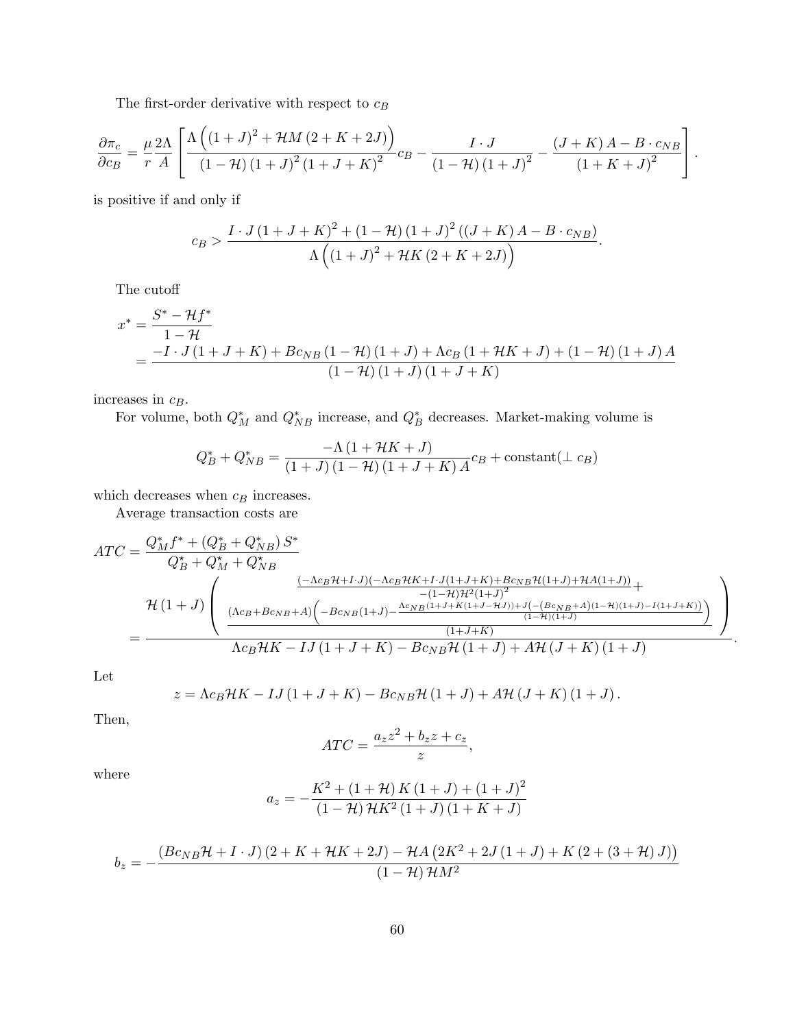The first-order derivative with respect to  $c_B$ 

$$
\frac{\partial \pi_c}{\partial c_B} = \frac{\mu}{r} \frac{2\Lambda}{A} \left[ \frac{\Lambda \left( (1+J)^2 + \mathcal{H}M (2+K+2J) \right)}{(1-\mathcal{H}) (1+J)^2 (1+J+K)^2} c_B - \frac{I \cdot J}{(1-\mathcal{H}) (1+J)^2} - \frac{(J+K) A - B \cdot c_{NB}}{(1+K+J)^2} \right].
$$

is positive if and only if

$$
c_B > \frac{I \cdot J\left(1+J+K\right)^2 + \left(1-\mathcal{H}\right)\left(1+J\right)^2 \left((J+K) A - B \cdot c_{NB}\right)}{\Lambda \left(\left(1+J\right)^2 + \mathcal{H} K\left(2+K+2J\right)\right)}.
$$

The cutoff

$$
x^* = \frac{S^* - \mathcal{H}f^*}{1 - \mathcal{H}}
$$
  
= 
$$
\frac{-I \cdot J(1 + J + K) + Bc_{NB}(1 - \mathcal{H})(1 + J) + \Lambda c_B(1 + \mathcal{H}K + J) + (1 - \mathcal{H})(1 + J)A}{(1 - \mathcal{H})(1 + J)(1 + J + K)}
$$

increases in  $c_B$ .

For volume, both  $Q_M^*$  and  $Q_{NB}^*$  increase, and  $Q_B^*$  decreases. Market-making volume is

$$
Q_B^* + Q_{NB}^* = \frac{-\Lambda \left(1 + \mathcal{H}K + J\right)}{\left(1 + J\right)\left(1 - \mathcal{H}\right)\left(1 + J + K\right)A}c_B + \text{constant}(\perp c_B)
$$

which decreases when  $c_B$  increases.

Average transaction costs are

$$
ATC = \frac{Q_M^* f^* + (Q_B^* + Q_M^*) S^*}{Q_B^* + Q_M^* + Q_{NB}^*}
$$
  
\n
$$
\mathcal{H}(1+J) \left( \frac{(-\Lambda c_B \mathcal{H} + I \cdot J)(-\Lambda c_B \mathcal{H} K + I \cdot J(1+J+K) + B c_{NB} \mathcal{H}(1+J) + \mathcal{H} A(1+J))}{(-1-\mathcal{H}) \mathcal{H}^2 (1+J)^2} + \frac{(\Lambda c_B + B c_{NB} + A) \left(-B c_{NB} (1+J) - \frac{\Lambda c_{NB} (1+J+K(1+J-HJ)) + J(-\left(B c_{NB} + A\right)(1-\mathcal{H})(1+J) - I(1+J+K))}{(1-\mathcal{H})(1+J)}\right)}{(1+J+K)}
$$
  
\n
$$
+ \frac{(\Lambda c_B + B c_{NB} + A) \left(-B c_{NB} (1+J) - \frac{\Lambda c_{NB} (1+J+K(1+J-HJ)) + J(-\left(B c_{NB} + A\right)(1-\mathcal{H})(1+J+K))}{(1-\mathcal{H})(1+J)}\right)}{(\mathcal{H} + \mathcal{H})(1+J)}.
$$

Let

$$
z = \Lambda c_B \mathcal{H} K - I J (1 + J + K) - B c_{NB} \mathcal{H} (1 + J) + A \mathcal{H} (J + K) (1 + J).
$$

Then,

$$
ATC = \frac{a_z z^2 + b_z z + c_z}{z},
$$

where

$$
a_z = -\frac{K^2 + (1 + \mathcal{H}) K (1 + J) + (1 + J)^2}{(1 - \mathcal{H}) \mathcal{H} K^2 (1 + J) (1 + K + J)}
$$

$$
b_z = -\frac{\left(Bc_{NB}\mathcal{H} + I \cdot J\right)\left(2 + K + \mathcal{H}K + 2J\right) - \mathcal{H}A\left(2K^2 + 2J\left(1 + J\right) + K\left(2 + \left(3 + \mathcal{H}\right)J\right)\right)}{\left(1 - \mathcal{H}\right)\mathcal{H}M^2}
$$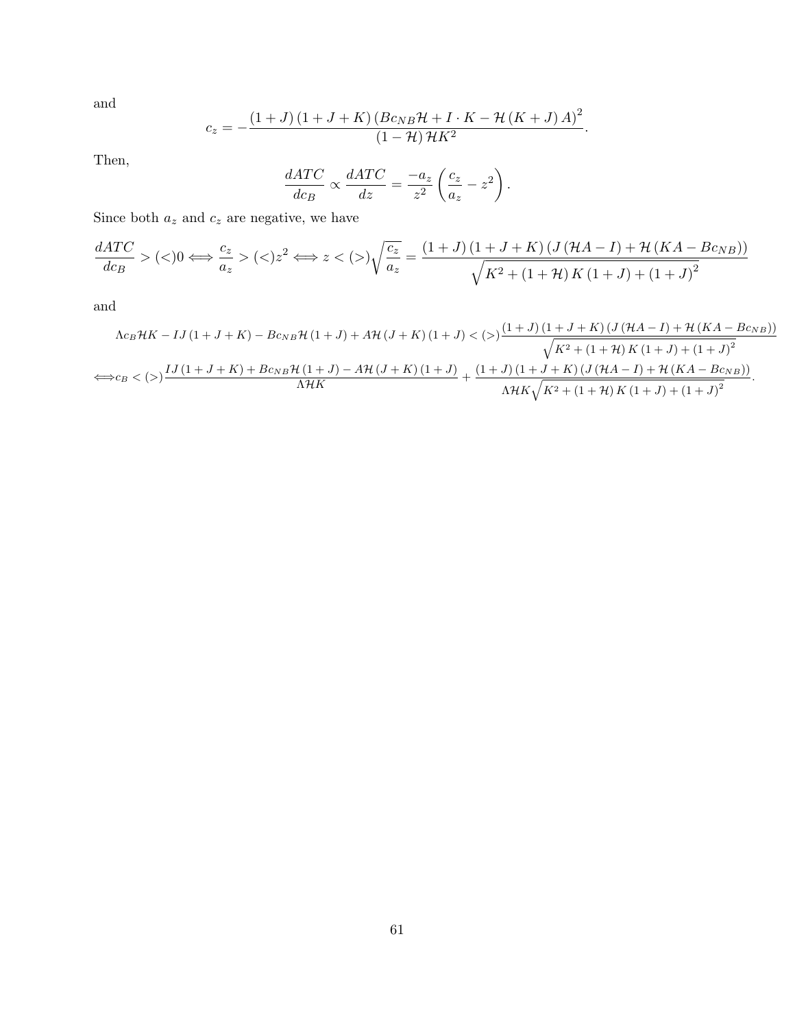and

$$
c_z = -\frac{\left(1+J\right)\left(1+J+K\right)\left(Bc_{NB}\mathcal{H}+I\cdot K-\mathcal{H}\left(K+J\right)A\right)^2}{\left(1-\mathcal{H}\right)\mathcal{H}K^2}.
$$

Then,

$$
\frac{dATC}{dc_B} \propto \frac{dATC}{dz} = \frac{-a_z}{z^2} \left(\frac{c_z}{a_z} - z^2\right).
$$

Since both  $a_z$  and  $c_z$  are negative, we have

$$
\frac{dATC}{dc_B} > (\langle >) 0 \Longleftrightarrow \frac{c_z}{a_z} > (\langle >) z^2 \Longleftrightarrow z < (\rangle) \sqrt{\frac{c_z}{a_z}} = \frac{(1+J)(1+J+K)(J(\mathcal{H}A-I) + \mathcal{H}(KA - Bc_{NB}))}{\sqrt{K^2 + (1+\mathcal{H})K(1+J) + (1+J)^2}}
$$

and

$$
\Lambda c_B \mathcal{H} K - I J (1 + J + K) - B c_{NB} \mathcal{H} (1 + J) + A \mathcal{H} (J + K) (1 + J) < \left( \right) \frac{(1 + J) (1 + J + K) (J (\mathcal{H} A - I) + \mathcal{H} (K A - B c_{NB}))}{\sqrt{K^2 + (1 + \mathcal{H}) K (1 + J) + (1 + J)^2}}
$$
\n
$$
\Leftrightarrow c_B < \left( \right) \frac{I J (1 + J + K) + B c_{NB} \mathcal{H} (1 + J) - A \mathcal{H} (J + K) (1 + J)}{\Lambda \mathcal{H} K} + \frac{(1 + J) (1 + J + K) (J (\mathcal{H} A - I) + \mathcal{H} (K A - B c_{NB}))}{\Lambda \mathcal{H} K \sqrt{K^2 + (1 + \mathcal{H}) K (1 + J) + (1 + J)^2}}.
$$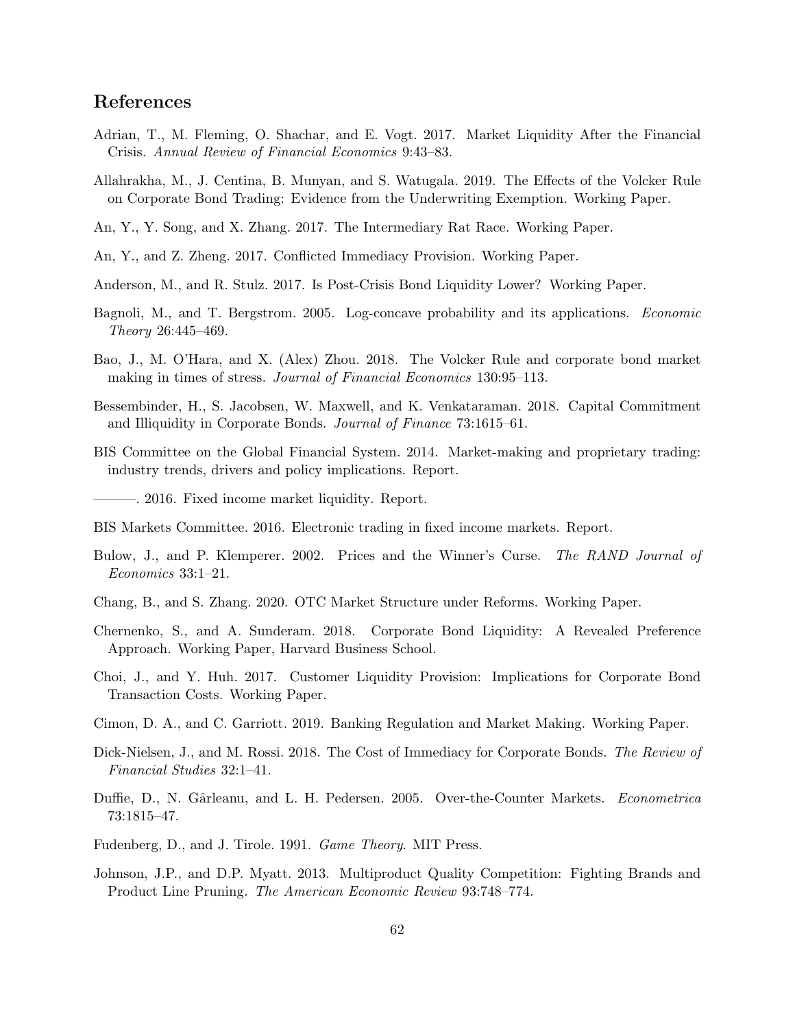## References

- <span id="page-62-5"></span>Adrian, T., M. Fleming, O. Shachar, and E. Vogt. 2017. Market Liquidity After the Financial Crisis. Annual Review of Financial Economics 9:43–83.
- <span id="page-62-15"></span>Allahrakha, M., J. Centina, B. Munyan, and S. Watugala. 2019. The Effects of the Volcker Rule on Corporate Bond Trading: Evidence from the Underwriting Exemption. Working Paper.
- <span id="page-62-8"></span>An, Y., Y. Song, and X. Zhang. 2017. The Intermediary Rat Race. Working Paper.
- <span id="page-62-9"></span>An, Y., and Z. Zheng. 2017. Conflicted Immediacy Provision. Working Paper.
- <span id="page-62-6"></span>Anderson, M., and R. Stulz. 2017. Is Post-Crisis Bond Liquidity Lower? Working Paper.
- <span id="page-62-14"></span>Bagnoli, M., and T. Bergstrom. 2005. Log-concave probability and its applications. Economic Theory 26:445–469.
- <span id="page-62-2"></span>Bao, J., M. O'Hara, and X. (Alex) Zhou. 2018. The Volcker Rule and corporate bond market making in times of stress. Journal of Financial Economics 130:95–113.
- <span id="page-62-7"></span>Bessembinder, H., S. Jacobsen, W. Maxwell, and K. Venkataraman. 2018. Capital Commitment and Illiquidity in Corporate Bonds. Journal of Finance 73:1615–61.
- <span id="page-62-0"></span>BIS Committee on the Global Financial System. 2014. Market-making and proprietary trading: industry trends, drivers and policy implications. Report.

<span id="page-62-1"></span>———. 2016. Fixed income market liquidity. Report.

- <span id="page-62-17"></span>BIS Markets Committee. 2016. Electronic trading in fixed income markets. Report.
- Bulow, J., and P. Klemperer. 2002. Prices and the Winner's Curse. The RAND Journal of Economics 33:1–21.
- <span id="page-62-11"></span>Chang, B., and S. Zhang. 2020. OTC Market Structure under Reforms. Working Paper.
- <span id="page-62-16"></span>Chernenko, S., and A. Sunderam. 2018. Corporate Bond Liquidity: A Revealed Preference Approach. Working Paper, Harvard Business School.
- <span id="page-62-3"></span>Choi, J., and Y. Huh. 2017. Customer Liquidity Provision: Implications for Corporate Bond Transaction Costs. Working Paper.
- <span id="page-62-10"></span>Cimon, D. A., and C. Garriott. 2019. Banking Regulation and Market Making. Working Paper.
- <span id="page-62-4"></span>Dick-Nielsen, J., and M. Rossi. 2018. The Cost of Immediacy for Corporate Bonds. The Review of Financial Studies 32:1–41.
- Duffie, D., N. Gârleanu, and L. H. Pedersen. 2005. Over-the-Counter Markets. Econometrica 73:1815–47.
- <span id="page-62-13"></span>Fudenberg, D., and J. Tirole. 1991. Game Theory. MIT Press.
- <span id="page-62-12"></span>Johnson, J.P., and D.P. Myatt. 2013. Multiproduct Quality Competition: Fighting Brands and Product Line Pruning. The American Economic Review 93:748–774.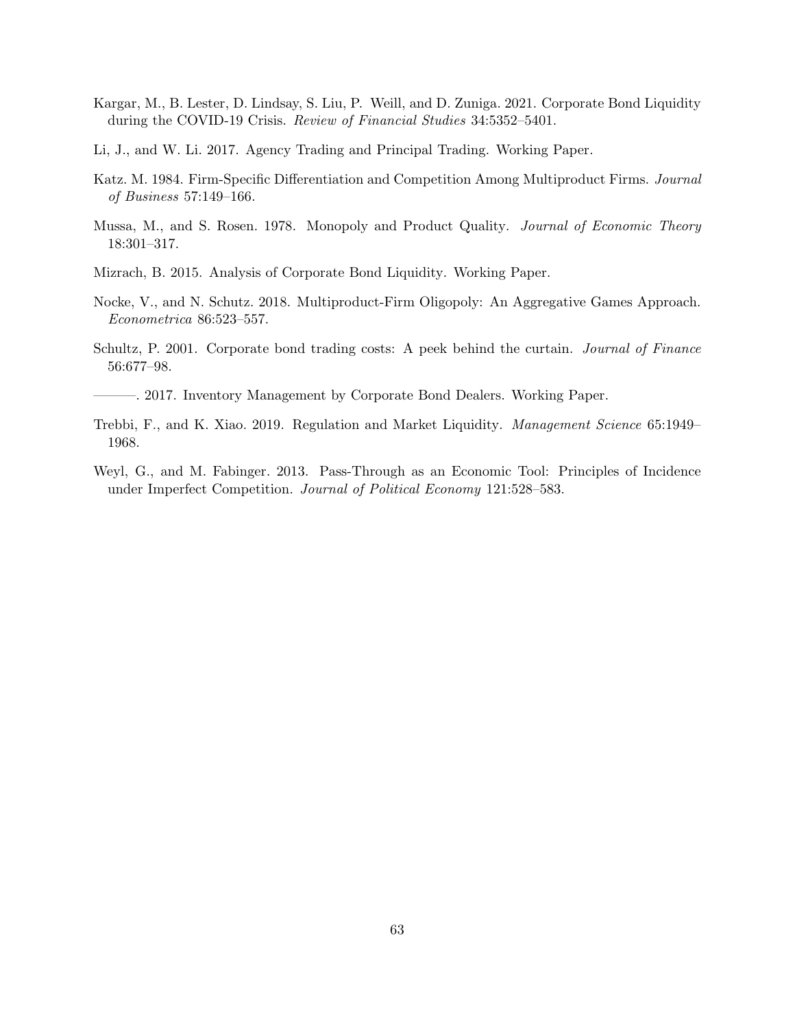- <span id="page-63-5"></span>Kargar, M., B. Lester, D. Lindsay, S. Liu, P. Weill, and D. Zuniga. 2021. Corporate Bond Liquidity during the COVID-19 Crisis. Review of Financial Studies 34:5352–5401.
- <span id="page-63-4"></span>Li, J., and W. Li. 2017. Agency Trading and Principal Trading. Working Paper.
- <span id="page-63-7"></span>Katz. M. 1984. Firm-Specific Differentiation and Competition Among Multiproduct Firms. Journal of Business 57:149–166.
- <span id="page-63-6"></span>Mussa, M., and S. Rosen. 1978. Monopoly and Product Quality. *Journal of Economic Theory* 18:301–317.
- <span id="page-63-0"></span>Mizrach, B. 2015. Analysis of Corporate Bond Liquidity. Working Paper.
- <span id="page-63-8"></span>Nocke, V., and N. Schutz. 2018. Multiproduct-Firm Oligopoly: An Aggregative Games Approach. Econometrica 86:523–557.
- <span id="page-63-3"></span>Schultz, P. 2001. Corporate bond trading costs: A peek behind the curtain. Journal of Finance 56:677–98.
- <span id="page-63-2"></span>———. 2017. Inventory Management by Corporate Bond Dealers. Working Paper.
- <span id="page-63-1"></span>Trebbi, F., and K. Xiao. 2019. Regulation and Market Liquidity. Management Science 65:1949– 1968.
- <span id="page-63-9"></span>Weyl, G., and M. Fabinger. 2013. Pass-Through as an Economic Tool: Principles of Incidence under Imperfect Competition. Journal of Political Economy 121:528–583.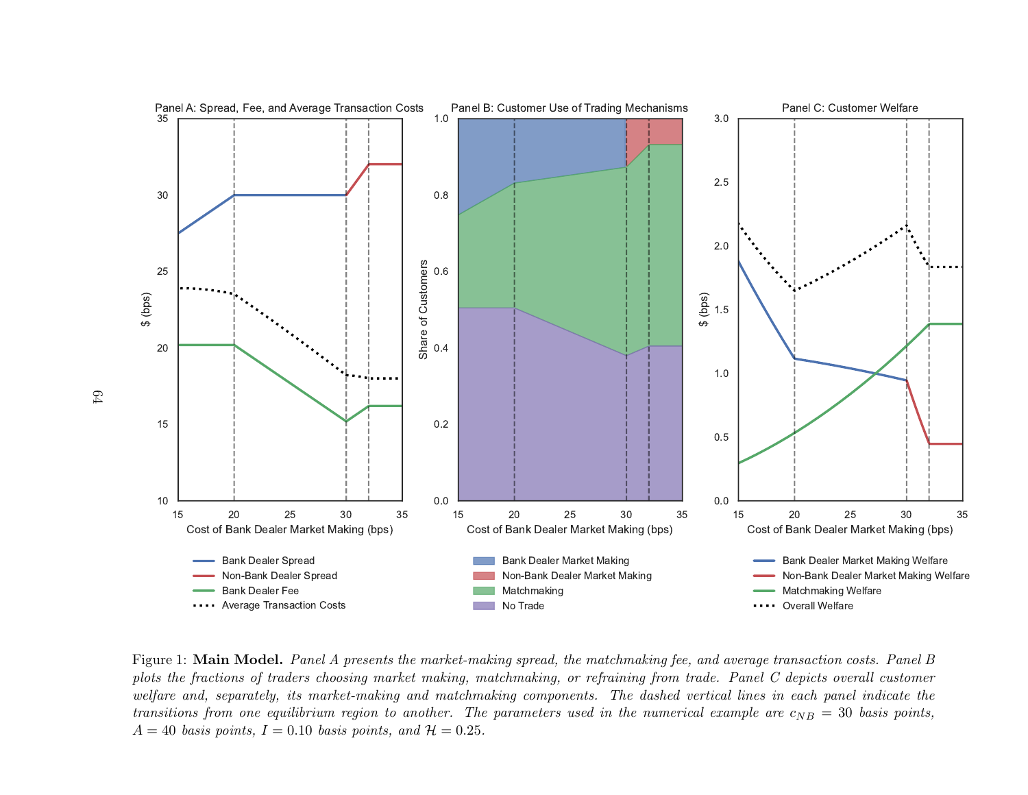

Figure 1: **Main Model.** Panel A presents the market-making spread, the matchmaking fee, and average transaction costs. Panel B plots the fractions of traders choosing market making, matchmaking, or refraining from trade. Panel C depicts overall customer welfare and, separately, its market-making and matchmaking components. The dashed vertical lines in each panel indicate thetransitions from one equilibrium region to another. The parameters used in the numerical example are  $c_{NB} = 30$  basis points,  $A = 40$  basis points,  $I = 0.10$  basis points, and  $H = 0.25$ .

64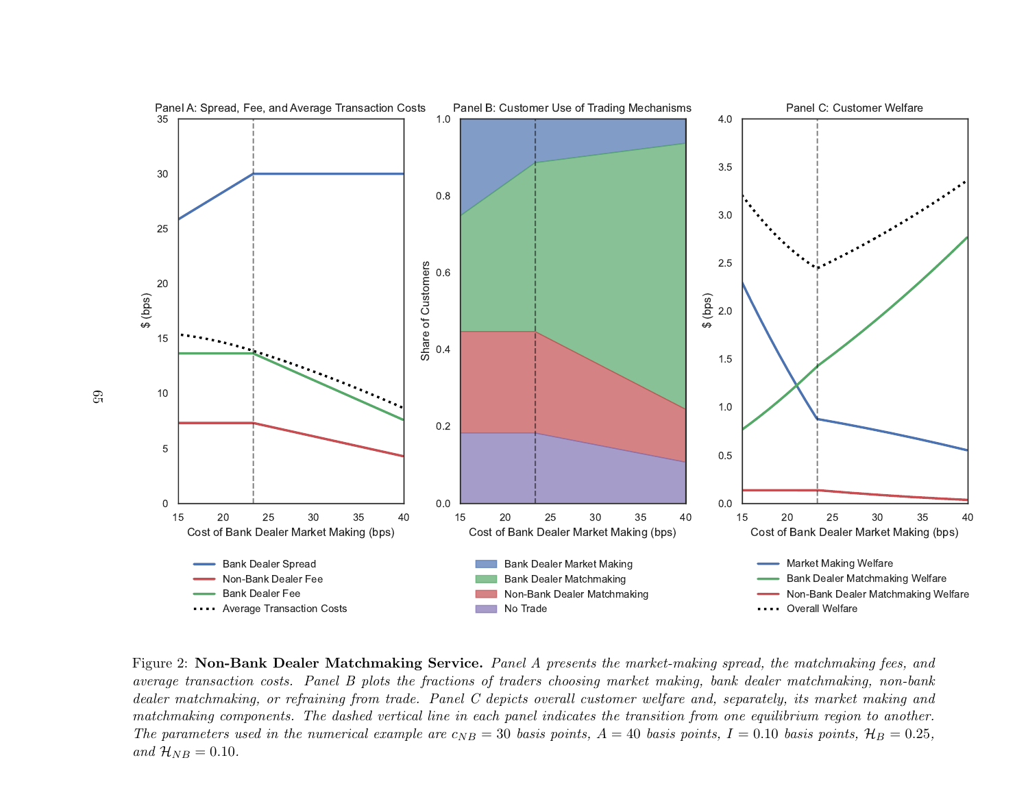

Figure 2: Non-Bank Dealer Matchmaking Service. Panel A presents the market-making spread, the matchmaking fees, and average transaction costs. Panel B plots the fractions of traders choosing market making, bank dealer matchmaking, non-bank dealer matchmaking, or refraining from trade. Panel C depicts overall customer welfare and, separately, its market making and matchmaking components. The dashed vertical line in each panel indicates the transition from one equilibrium region to another.The parameters used in the numerical example are  $c_{NB} = 30$  basis points,  $A = 40$  basis points,  $I = 0.10$  basis points,  $\mathcal{H}_B = 0.25$ , and  $\mathcal{H}_{NB} = 0.10$ .

65